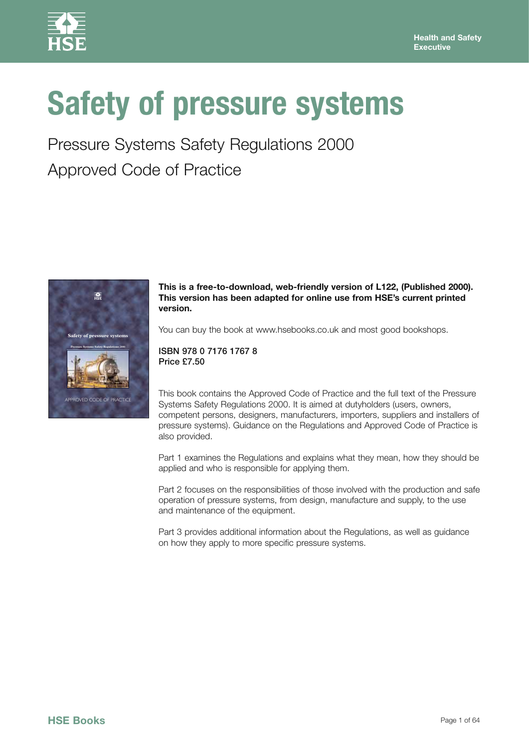

# **Safety of pressure systems**

Pressure Systems Safety Regulations 2000

Approved Code of Practice



**This is a free-to-download, web-friendly version of L122, (Published 2000). This version has been adapted for online use from HSE's current printed version.** 

You can buy the book at www.hsebooks.co.uk and most good bookshops.

ISBN 978 0 7176 1767 8 Price £7.50

This book contains the Approved Code of Practice and the full text of the Pressure Systems Safety Regulations 2000. It is aimed at dutyholders (users, owners, competent persons, designers, manufacturers, importers, suppliers and installers of pressure systems). Guidance on the Regulations and Approved Code of Practice is also provided.

Part 1 examines the Regulations and explains what they mean, how they should be applied and who is responsible for applying them.

Part 2 focuses on the responsibilities of those involved with the production and safe operation of pressure systems, from design, manufacture and supply, to the use and maintenance of the equipment.

Part 3 provides additional information about the Regulations, as well as guidance on how they apply to more specific pressure systems.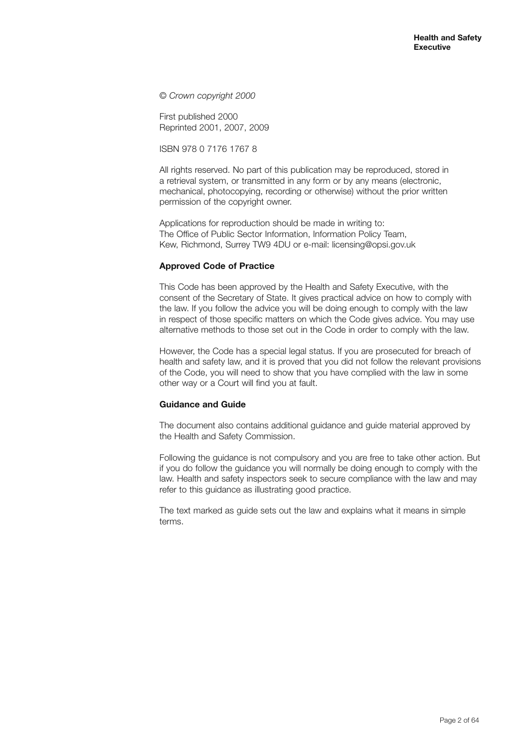© *Crown copyright 2000*

First published 2000 Reprinted 2001, 2007, 2009

ISBN 978 0 7176 1767 8

All rights reserved. No part of this publication may be reproduced, stored in a retrieval system, or transmitted in any form or by any means (electronic, mechanical, photocopying, recording or otherwise) without the prior written permission of the copyright owner.

Applications for reproduction should be made in writing to: The Office of Public Sector Information, Information Policy Team, Kew, Richmond, Surrey TW9 4DU or e-mail: licensing@opsi.gov.uk

#### **Approved Code of Practice**

This Code has been approved by the Health and Safety Executive, with the consent of the Secretary of State. It gives practical advice on how to comply with the law. If you follow the advice you will be doing enough to comply with the law in respect of those specific matters on which the Code gives advice. You may use alternative methods to those set out in the Code in order to comply with the law.

However, the Code has a special legal status. If you are prosecuted for breach of health and safety law, and it is proved that you did not follow the relevant provisions of the Code, you will need to show that you have complied with the law in some other way or a Court will find you at fault.

#### **Guidance and Guide**

The document also contains additional guidance and guide material approved by the Health and Safety Commission.

Following the guidance is not compulsory and you are free to take other action. But if you do follow the guidance you will normally be doing enough to comply with the law. Health and safety inspectors seek to secure compliance with the law and may refer to this guidance as illustrating good practice.

The text marked as guide sets out the law and explains what it means in simple terms.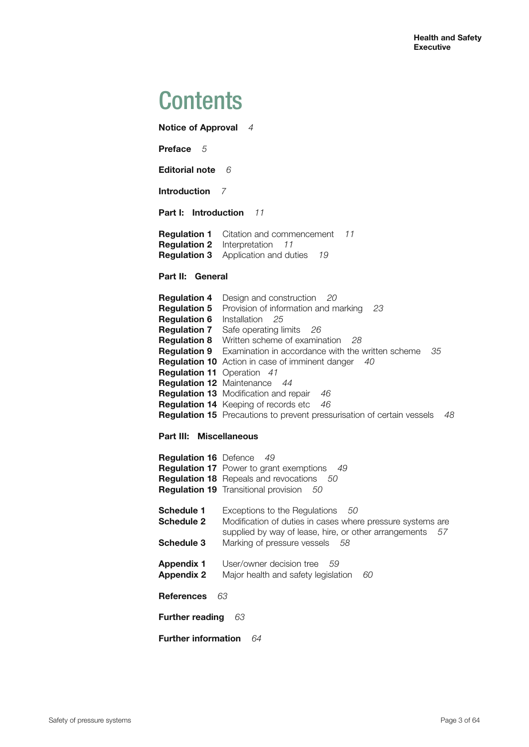# **Contents**

**Notice of Approval** *4*

**Preface** *5*

**Editorial note** *6*

**Introduction** *7*

**Part I: Introduction** *11*

**Regulation 1** Citation and commencement *11* **Regulation 2** Interpretation *11* **Regulation 3** Application and duties *19*

#### **Part II: General**

**Regulation 4** Design and construction *20* **Regulation 5** Provision of information and marking *23* **Regulation 6** Installation *25* **Regulation 7** Safe operating limits *26* **Regulation 8** Written scheme of examination *28* **Regulation 9** Examination in accordance with the written scheme *35* **Regulation 10** Action in case of imminent danger *40* **Regulation 11** Operation *41* **Regulation 12** Maintenance *44* **Regulation 13** Modification and repair *46* **Regulation 14** Keeping of records etc *46* **Regulation 15** Precautions to prevent pressurisation of certain vessels *48*

#### **Part III: Miscellaneous**

**Regulation 16** Defence *49* **Regulation 17** Power to grant exemptions *49* **Regulation 18** Repeals and revocations *50* **Regulation 19** Transitional provision *50*

- **Schedule 1** Exceptions to the Regulations *50* **Schedule 2** Modification of duties in cases where pressure systems are supplied by way of lease, hire, or other arrangements *57* **Schedule 3** Marking of pressure vessels *58*
- **Appendix 1** User/owner decision tree *59*
- **Appendix 2** Major health and safety legislation *60*

**References** *63*

**Further reading** *63*

**Further information** *64*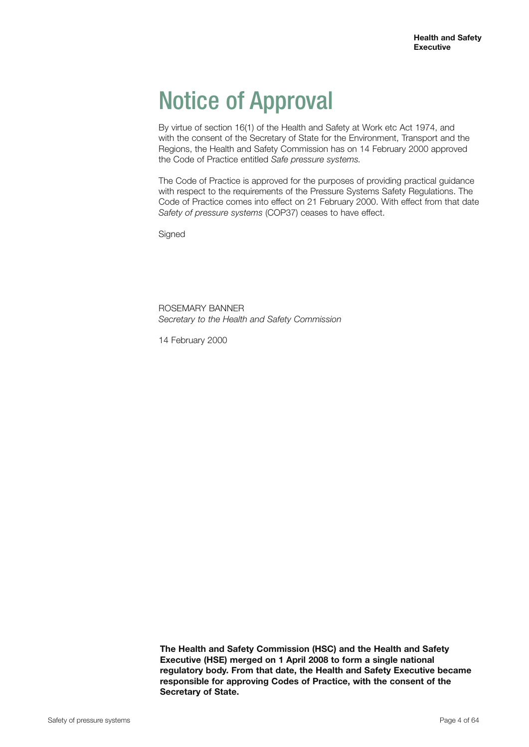# Notice of Approval

By virtue of section 16(1) of the Health and Safety at Work etc Act 1974, and with the consent of the Secretary of State for the Environment, Transport and the Regions, the Health and Safety Commission has on 14 February 2000 approved the Code of Practice entitled *Safe pressure systems.*

The Code of Practice is approved for the purposes of providing practical guidance with respect to the requirements of the Pressure Systems Safety Regulations. The Code of Practice comes into effect on 21 February 2000. With effect from that date *Safety of pressure systems* (COP37) ceases to have effect.

**Signed** 

ROSEMARY BANNER *Secretary to the Health and Safety Commission*

14 February 2000

**The Health and Safety Commission (HSC) and the Health and Safety Executive (HSE) merged on 1 April 2008 to form a single national regulatory body. From that date, the Health and Safety Executive became responsible for approving Codes of Practice, with the consent of the Secretary of State.**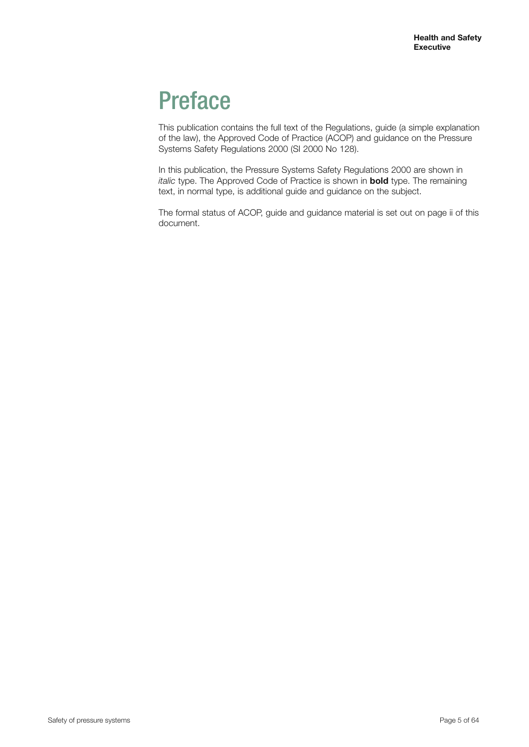# Preface

This publication contains the full text of the Regulations, guide (a simple explanation of the law), the Approved Code of Practice (ACOP) and guidance on the Pressure Systems Safety Regulations 2000 (SI 2000 No 128).

In this publication, the Pressure Systems Safety Regulations 2000 are shown in *italic* type. The Approved Code of Practice is shown in **bold** type. The remaining text, in normal type, is additional guide and guidance on the subject.

The formal status of ACOP, guide and guidance material is set out on page ii of this document.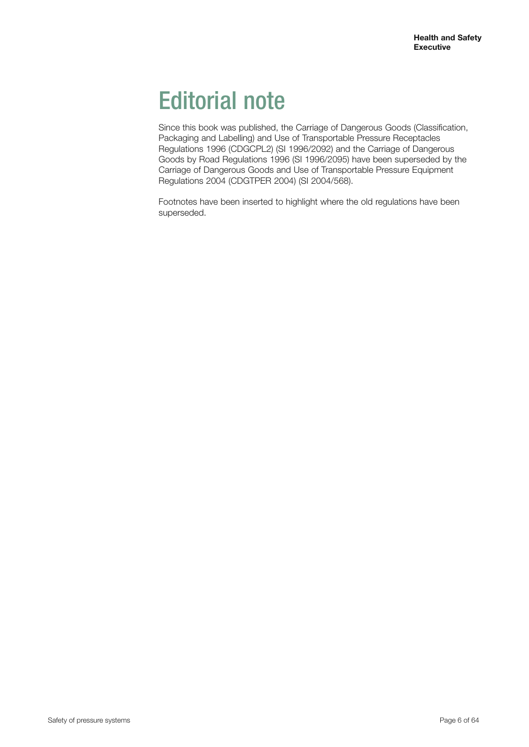# Editorial note

Since this book was published, the Carriage of Dangerous Goods (Classification, Packaging and Labelling) and Use of Transportable Pressure Receptacles Regulations 1996 (CDGCPL2) (SI 1996/2092) and the Carriage of Dangerous Goods by Road Regulations 1996 (SI 1996/2095) have been superseded by the Carriage of Dangerous Goods and Use of Transportable Pressure Equipment Regulations 2004 (CDGTPER 2004) (SI 2004/568).

Footnotes have been inserted to highlight where the old regulations have been superseded.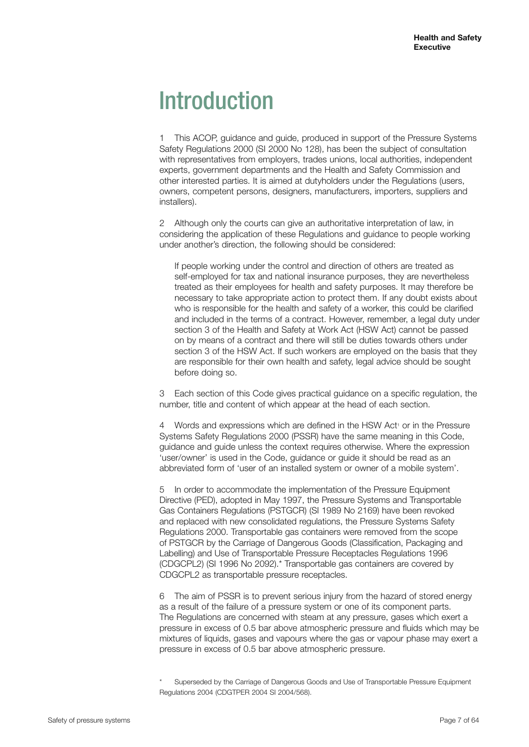# **Introduction**

This ACOP, guidance and guide, produced in support of the Pressure Systems Safety Regulations 2000 (SI 2000 No 128), has been the subject of consultation with representatives from employers, trades unions, local authorities, independent experts, government departments and the Health and Safety Commission and other interested parties. It is aimed at dutyholders under the Regulations (users, owners, competent persons, designers, manufacturers, importers, suppliers and installers).

2 Although only the courts can give an authoritative interpretation of law, in considering the application of these Regulations and guidance to people working under another's direction, the following should be considered:

If people working under the control and direction of others are treated as self-employed for tax and national insurance purposes, they are nevertheless treated as their employees for health and safety purposes. It may therefore be necessary to take appropriate action to protect them. If any doubt exists about who is responsible for the health and safety of a worker, this could be clarified and included in the terms of a contract. However, remember, a legal duty under section 3 of the Health and Safety at Work Act (HSW Act) cannot be passed on by means of a contract and there will still be duties towards others under section 3 of the HSW Act. If such workers are employed on the basis that they are responsible for their own health and safety, legal advice should be sought before doing so.

3 Each section of this Code gives practical guidance on a specific regulation, the number, title and content of which appear at the head of each section.

4 Words and expressions which are defined in the HSW Act<sup>1</sup> or in the Pressure Systems Safety Regulations 2000 (PSSR) have the same meaning in this Code, guidance and guide unless the context requires otherwise. Where the expression 'user/owner' is used in the Code, guidance or guide it should be read as an abbreviated form of 'user of an installed system or owner of a mobile system'.

5 In order to accommodate the implementation of the Pressure Equipment Directive (PED), adopted in May 1997, the Pressure Systems and Transportable Gas Containers Regulations (PSTGCR) (SI 1989 No 2169) have been revoked and replaced with new consolidated regulations, the Pressure Systems Safety Regulations 2000. Transportable gas containers were removed from the scope of PSTGCR by the Carriage of Dangerous Goods (Classification, Packaging and Labelling) and Use of Transportable Pressure Receptacles Regulations 1996 (CDGCPL2) (SI 1996 No 2092).\* Transportable gas containers are covered by CDGCPL2 as transportable pressure receptacles.

6 The aim of PSSR is to prevent serious injury from the hazard of stored energy as a result of the failure of a pressure system or one of its component parts. The Regulations are concerned with steam at any pressure, gases which exert a pressure in excess of 0.5 bar above atmospheric pressure and fluids which may be mixtures of liquids, gases and vapours where the gas or vapour phase may exert a pressure in excess of 0.5 bar above atmospheric pressure.

Superseded by the Carriage of Dangerous Goods and Use of Transportable Pressure Equipment Regulations 2004 (CDGTPER 2004 SI 2004/568).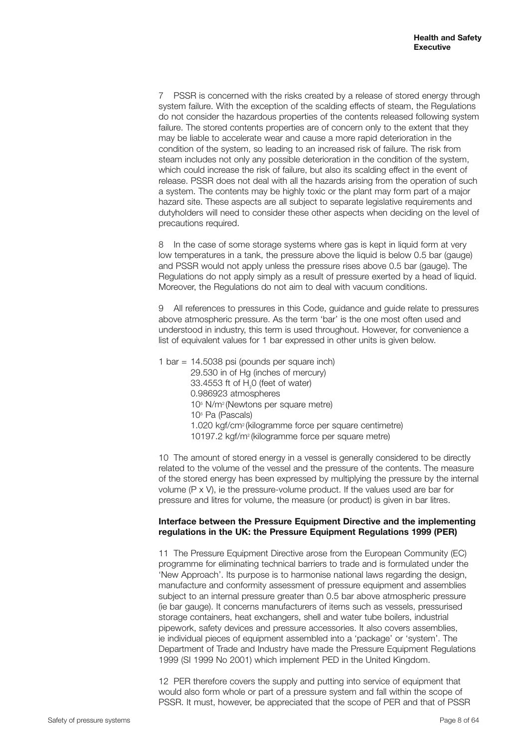7 PSSR is concerned with the risks created by a release of stored energy through system failure. With the exception of the scalding effects of steam, the Regulations do not consider the hazardous properties of the contents released following system failure. The stored contents properties are of concern only to the extent that they may be liable to accelerate wear and cause a more rapid deterioration in the condition of the system, so leading to an increased risk of failure. The risk from steam includes not only any possible deterioration in the condition of the system, which could increase the risk of failure, but also its scalding effect in the event of release. PSSR does not deal with all the hazards arising from the operation of such a system. The contents may be highly toxic or the plant may form part of a major hazard site. These aspects are all subject to separate legislative requirements and dutyholders will need to consider these other aspects when deciding on the level of precautions required.

8 In the case of some storage systems where gas is kept in liquid form at very low temperatures in a tank, the pressure above the liquid is below 0.5 bar (gauge) and PSSR would not apply unless the pressure rises above 0.5 bar (gauge). The Regulations do not apply simply as a result of pressure exerted by a head of liquid. Moreover, the Regulations do not aim to deal with vacuum conditions.

9 All references to pressures in this Code, guidance and guide relate to pressures above atmospheric pressure. As the term 'bar' is the one most often used and understood in industry, this term is used throughout. However, for convenience a list of equivalent values for 1 bar expressed in other units is given below.

1 bar = 14.5038 psi (pounds per square inch) 29.530 in of Hg (inches of mercury) 33.4553 ft of  $H<sub>2</sub>$ O (feet of water) 0.986923 atmospheres 10<sup>5</sup> N/m<sup>2</sup> (Newtons per square metre) 10<sup>5</sup> Pa (Pascals) 1.020 kgf/cm2 (kilogramme force per square centimetre) 10197.2 kgf/m2 (kilogramme force per square metre)

10 The amount of stored energy in a vessel is generally considered to be directly related to the volume of the vessel and the pressure of the contents. The measure of the stored energy has been expressed by multiplying the pressure by the internal volume (P x V), ie the pressure-volume product. If the values used are bar for pressure and litres for volume, the measure (or product) is given in bar litres.

#### **Interface between the Pressure Equipment Directive and the implementing regulations in the UK: the Pressure Equipment Regulations 1999 (PER)**

11 The Pressure Equipment Directive arose from the European Community (EC) programme for eliminating technical barriers to trade and is formulated under the 'New Approach'. Its purpose is to harmonise national laws regarding the design, manufacture and conformity assessment of pressure equipment and assemblies subject to an internal pressure greater than 0.5 bar above atmospheric pressure (ie bar gauge). It concerns manufacturers of items such as vessels, pressurised storage containers, heat exchangers, shell and water tube boilers, industrial pipework, safety devices and pressure accessories. It also covers assemblies, ie individual pieces of equipment assembled into a 'package' or 'system'. The Department of Trade and Industry have made the Pressure Equipment Regulations 1999 (SI 1999 No 2001) which implement PED in the United Kingdom.

12 PER therefore covers the supply and putting into service of equipment that would also form whole or part of a pressure system and fall within the scope of PSSR. It must, however, be appreciated that the scope of PER and that of PSSR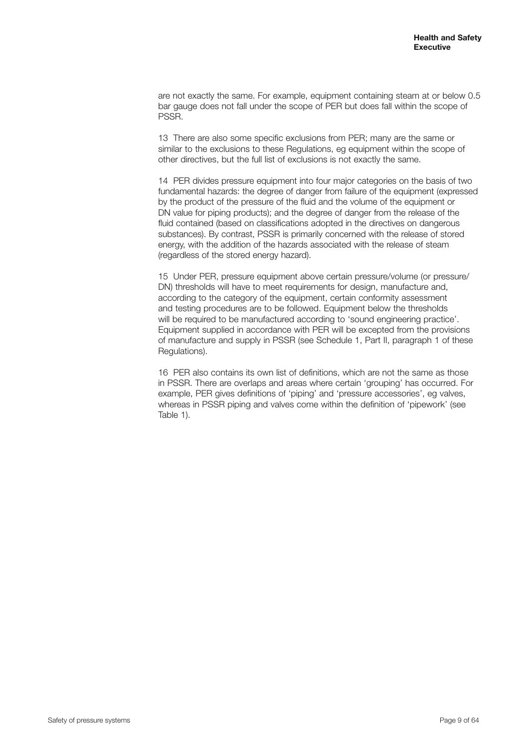are not exactly the same. For example, equipment containing steam at or below 0.5 bar gauge does not fall under the scope of PER but does fall within the scope of PSSR.

13 There are also some specific exclusions from PER; many are the same or similar to the exclusions to these Regulations, eg equipment within the scope of other directives, but the full list of exclusions is not exactly the same.

14 PER divides pressure equipment into four major categories on the basis of two fundamental hazards: the degree of danger from failure of the equipment (expressed by the product of the pressure of the fluid and the volume of the equipment or DN value for piping products); and the degree of danger from the release of the fluid contained (based on classifications adopted in the directives on dangerous substances). By contrast, PSSR is primarily concerned with the release of stored energy, with the addition of the hazards associated with the release of steam (regardless of the stored energy hazard).

15 Under PER, pressure equipment above certain pressure/volume (or pressure/ DN) thresholds will have to meet requirements for design, manufacture and, according to the category of the equipment, certain conformity assessment and testing procedures are to be followed. Equipment below the thresholds will be required to be manufactured according to 'sound engineering practice'. Equipment supplied in accordance with PER will be excepted from the provisions of manufacture and supply in PSSR (see Schedule 1, Part II, paragraph 1 of these Regulations).

16 PER also contains its own list of definitions, which are not the same as those in PSSR. There are overlaps and areas where certain 'grouping' has occurred. For example, PER gives definitions of 'piping' and 'pressure accessories', eg valves, whereas in PSSR piping and valves come within the definition of 'pipework' (see Table 1).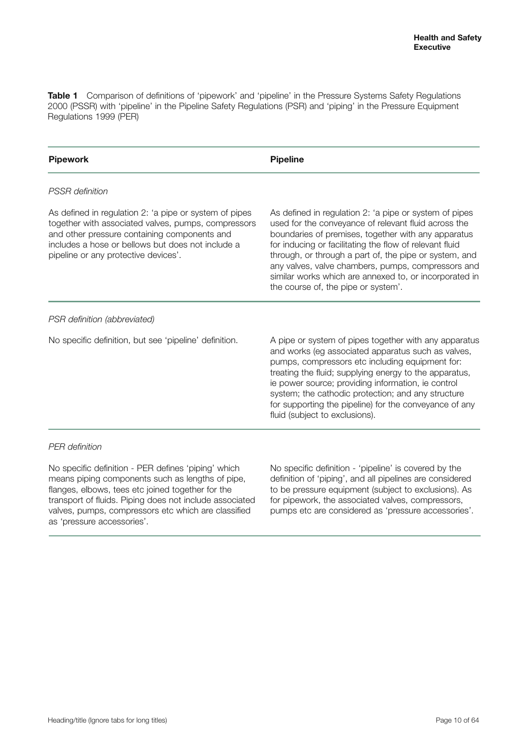**Table 1** Comparison of definitions of 'pipework' and 'pipeline' in the Pressure Systems Safety Regulations 2000 (PSSR) with 'pipeline' in the Pipeline Safety Regulations (PSR) and 'piping' in the Pressure Equipment Regulations 1999 (PER)

| <b>Pipework</b>                                                                                                                                                                                                                                            | <b>Pipeline</b>                                                                                                                                                                                                                                                                                                                                                                                                                                   |
|------------------------------------------------------------------------------------------------------------------------------------------------------------------------------------------------------------------------------------------------------------|---------------------------------------------------------------------------------------------------------------------------------------------------------------------------------------------------------------------------------------------------------------------------------------------------------------------------------------------------------------------------------------------------------------------------------------------------|
| <b>PSSR</b> definition                                                                                                                                                                                                                                     |                                                                                                                                                                                                                                                                                                                                                                                                                                                   |
| As defined in regulation 2: 'a pipe or system of pipes<br>together with associated valves, pumps, compressors<br>and other pressure containing components and<br>includes a hose or bellows but does not include a<br>pipeline or any protective devices'. | As defined in regulation 2: 'a pipe or system of pipes<br>used for the conveyance of relevant fluid across the<br>boundaries of premises, together with any apparatus<br>for inducing or facilitating the flow of relevant fluid<br>through, or through a part of, the pipe or system, and<br>any valves, valve chambers, pumps, compressors and<br>similar works which are annexed to, or incorporated in<br>the course of, the pipe or system'. |
| PSR definition (abbreviated)                                                                                                                                                                                                                               |                                                                                                                                                                                                                                                                                                                                                                                                                                                   |
| No specific definition, but see 'pipeline' definition.                                                                                                                                                                                                     | A pipe or system of pipes together with any apparatus<br>and works (eg associated apparatus such as valves,<br>pumps, compressors etc including equipment for:<br>treating the fluid; supplying energy to the apparatus,<br>ie power source; providing information, ie control<br>system; the cathodic protection; and any structure<br>for supporting the pipeline) for the conveyance of any<br>fluid (subject to exclusions).                  |
| <b>PER</b> definition                                                                                                                                                                                                                                      |                                                                                                                                                                                                                                                                                                                                                                                                                                                   |
| No specific definition - PER defines 'piping' which<br>means piping components such as lengths of pipe,<br>flongen albeure tone ato inised tegether for the                                                                                                | No specific definition - 'pipeline' is covered by the<br>definition of 'piping', and all pipelines are considered<br>$\pm$ o log is used the second condition $\pm$ or $\pm$ or $\pm$ or $\pm$ or $\pm$ or $\pm$ or $\pm$ or $\pm$                                                                                                                                                                                                                |

flanges, elbows, tees etc joined together for the transport of fluids. Piping does not include associated valves, pumps, compressors etc which are classified as 'pressure accessories'.

to be pressure equipment (subject to exclusions). As for pipework, the associated valves, compressors, pumps etc are considered as 'pressure accessories'.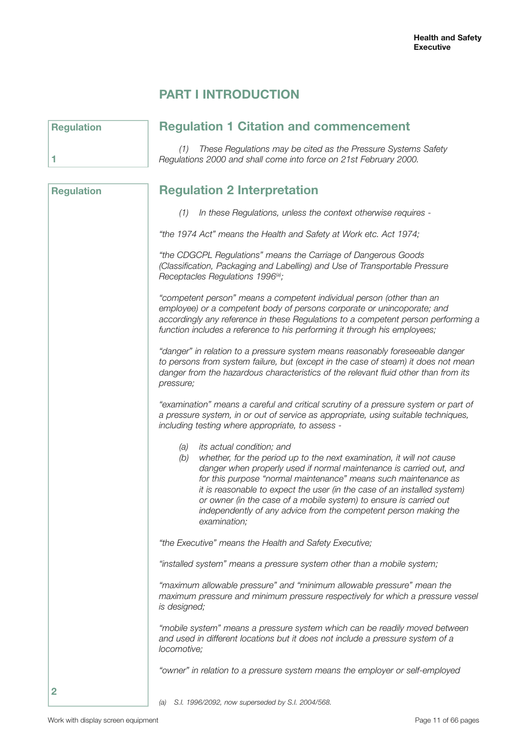# **PART I INTRODUCTION**

| <b>Regulation</b> | <b>Regulation 1 Citation and commencement</b>                                                                                                                                                                                                                                                                                                                                                                                                                                                    |
|-------------------|--------------------------------------------------------------------------------------------------------------------------------------------------------------------------------------------------------------------------------------------------------------------------------------------------------------------------------------------------------------------------------------------------------------------------------------------------------------------------------------------------|
| 1                 | These Regulations may be cited as the Pressure Systems Safety<br>(1)<br>Regulations 2000 and shall come into force on 21st February 2000.                                                                                                                                                                                                                                                                                                                                                        |
| <b>Regulation</b> | <b>Regulation 2 Interpretation</b>                                                                                                                                                                                                                                                                                                                                                                                                                                                               |
|                   | In these Regulations, unless the context otherwise requires -<br>(1)                                                                                                                                                                                                                                                                                                                                                                                                                             |
|                   | "the 1974 Act" means the Health and Safety at Work etc. Act 1974;                                                                                                                                                                                                                                                                                                                                                                                                                                |
|                   | "the CDGCPL Regulations" means the Carriage of Dangerous Goods<br>(Classification, Packaging and Labelling) and Use of Transportable Pressure<br>Receptacles Regulations 1996 <sup>(a)</sup> ;                                                                                                                                                                                                                                                                                                   |
|                   | "competent person" means a competent individual person (other than an<br>employee) or a competent body of persons corporate or unincoporate; and<br>accordingly any reference in these Regulations to a competent person performing a<br>function includes a reference to his performing it through his employees;                                                                                                                                                                               |
|                   | "danger" in relation to a pressure system means reasonably foreseeable danger<br>to persons from system failure, but (except in the case of steam) it does not mean<br>danger from the hazardous characteristics of the relevant fluid other than from its<br>pressure;                                                                                                                                                                                                                          |
|                   | "examination" means a careful and critical scrutiny of a pressure system or part of<br>a pressure system, in or out of service as appropriate, using suitable techniques,<br>including testing where appropriate, to assess -                                                                                                                                                                                                                                                                    |
|                   | its actual condition; and<br>(a)<br>whether, for the period up to the next examination, it will not cause<br>(b)<br>danger when properly used if normal maintenance is carried out, and<br>for this purpose "normal maintenance" means such maintenance as<br>it is reasonable to expect the user (in the case of an installed system)<br>or owner (in the case of a mobile system) to ensure is carried out<br>independently of any advice from the competent person making the<br>examination; |
|                   | "the Executive" means the Health and Safety Executive;                                                                                                                                                                                                                                                                                                                                                                                                                                           |
|                   | "installed system" means a pressure system other than a mobile system;                                                                                                                                                                                                                                                                                                                                                                                                                           |
|                   | "maximum allowable pressure" and "minimum allowable pressure" mean the<br>maximum pressure and minimum pressure respectively for which a pressure vessel<br>is designed;                                                                                                                                                                                                                                                                                                                         |
|                   | "mobile system" means a pressure system which can be readily moved between<br>and used in different locations but it does not include a pressure system of a<br>locomotive;                                                                                                                                                                                                                                                                                                                      |
|                   | "owner" in relation to a pressure system means the employer or self-employed                                                                                                                                                                                                                                                                                                                                                                                                                     |
| 2                 | S.I. 1996/2092, now superseded by S.I. 2004/568.<br>(a)                                                                                                                                                                                                                                                                                                                                                                                                                                          |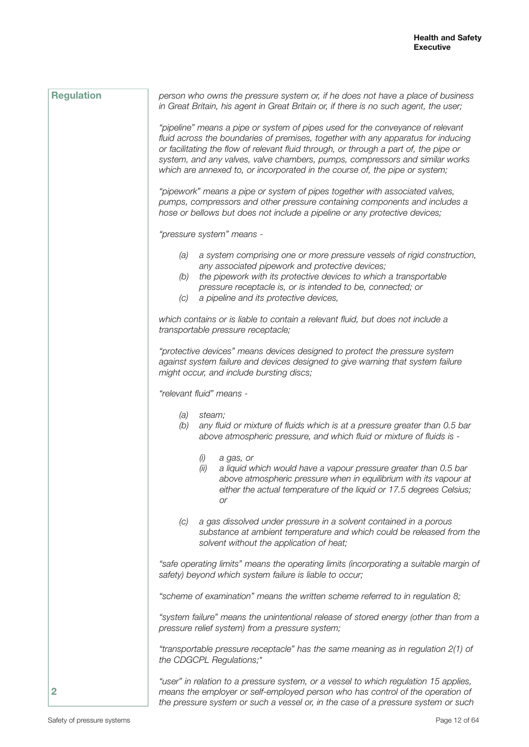### **Regulation**

*person who owns the pressure system or, if he does not have a place of business in Great Britain, his agent in Great Britain or, if there is no such agent, the user;*

*"pipeline" means a pipe or system of pipes used for the conveyance of relevant*  fluid across the boundaries of premises, together with any apparatus for inducing *or facilitating the flow of relevant fluid through, or through a part of, the pipe or system, and any valves, valve chambers, pumps, compressors and similar works which are annexed to, or incorporated in the course of, the pipe or system;*

*"pipework" means a pipe or system of pipes together with associated valves, pumps, compressors and other pressure containing components and includes a hose or bellows but does not include a pipeline or any protective devices;*

*"pressure system" means -*

- *(a) a system comprising one or more pressure vessels of rigid construction, any associated pipework and protective devices;*
- *(b) the pipework with its protective devices to which a transportable pressure receptacle is, or is intended to be, connected; or*
- *(c) a pipeline and its protective devices,*

*which contains or is liable to contain a relevant fluid, but does not include a transportable pressure receptacle;*

*"protective devices" means devices designed to protect the pressure system against system failure and devices designed to give warning that system failure might occur, and include bursting discs;*

*"relevant fluid" means -* 

- *(a) steam;*
- *(b) any fluid or mixture of fluids which is at a pressure greater than 0.5 bar above atmospheric pressure, and which fluid or mixture of fluids is -*
	- *(i) a gas, or*
	- *(ii) a liquid which would have a vapour pressure greater than 0.5 bar above atmospheric pressure when in equilibrium with its vapour at either the actual temperature of the liquid or 17.5 degrees Celsius; or*
- *(c) a gas dissolved under pressure in a solvent contained in a porous substance at ambient temperature and which could be released from the solvent without the application of heat;*

*"safe operating limits" means the operating limits (incorporating a suitable margin of safety) beyond which system failure is liable to occur;*

*"scheme of examination" means the written scheme referred to in regulation 8;*

*"system failure" means the unintentional release of stored energy (other than from a pressure relief system) from a pressure system;*

*"transportable pressure receptacle" has the same meaning as in regulation 2(1) of the CDGCPL Regulations;\**

*"user" in relation to a pressure system, or a vessel to which regulation 15 applies, means the employer or self-employed person who has control of the operation of the pressure system or such a vessel or, in the case of a pressure system or such*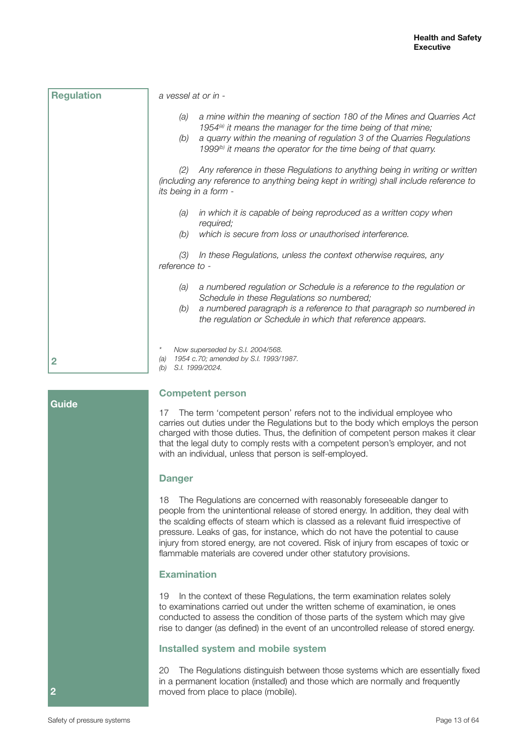| <b>Regulation</b> | a vessel at or in -                                                                                                                                                                                                                                                                                                          |
|-------------------|------------------------------------------------------------------------------------------------------------------------------------------------------------------------------------------------------------------------------------------------------------------------------------------------------------------------------|
|                   | a mine within the meaning of section 180 of the Mines and Quarries Act<br>(a)<br>1954 <sup>(a)</sup> it means the manager for the time being of that mine;<br>a quarry within the meaning of regulation 3 of the Quarries Regulations<br>(b)<br>1999 <sup>(b)</sup> it means the operator for the time being of that quarry. |
|                   | Any reference in these Regulations to anything being in writing or written<br>(2)<br>(including any reference to anything being kept in writing) shall include reference to<br>its being in a form -                                                                                                                         |
|                   | in which it is capable of being reproduced as a written copy when<br>(a)<br>required;<br>which is secure from loss or unauthorised interference.<br>(b)                                                                                                                                                                      |
|                   | In these Regulations, unless the context otherwise requires, any<br>(3)<br>reference to -                                                                                                                                                                                                                                    |
|                   | a numbered regulation or Schedule is a reference to the regulation or<br>(a)<br>Schedule in these Regulations so numbered;<br>a numbered paragraph is a reference to that paragraph so numbered in<br>(b)<br>the regulation or Schedule in which that reference appears.                                                     |
| 2                 | Now superseded by S.I. 2004/568.<br>1954 c.70; amended by S.I. 1993/1987.<br>(a)<br>S.I. 1999/2024.<br>(b)                                                                                                                                                                                                                   |

#### **Competent person**

17 The term 'competent person' refers not to the individual employee who carries out duties under the Regulations but to the body which employs the person charged with those duties. Thus, the definition of competent person makes it clear that the legal duty to comply rests with a competent person's employer, and not with an individual, unless that person is self-employed.

#### **Danger**

18 The Regulations are concerned with reasonably foreseeable danger to people from the unintentional release of stored energy. In addition, they deal with the scalding effects of steam which is classed as a relevant fluid irrespective of pressure. Leaks of gas, for instance, which do not have the potential to cause injury from stored energy, are not covered. Risk of injury from escapes of toxic or flammable materials are covered under other statutory provisions.

#### **Examination**

19 In the context of these Regulations, the term examination relates solely to examinations carried out under the written scheme of examination, ie ones conducted to assess the condition of those parts of the system which may give rise to danger (as defined) in the event of an uncontrolled release of stored energy.

#### **Installed system and mobile system**

20 The Regulations distinguish between those systems which are essentially fixed in a permanent location (installed) and those which are normally and frequently moved from place to place (mobile).

#### **Guide**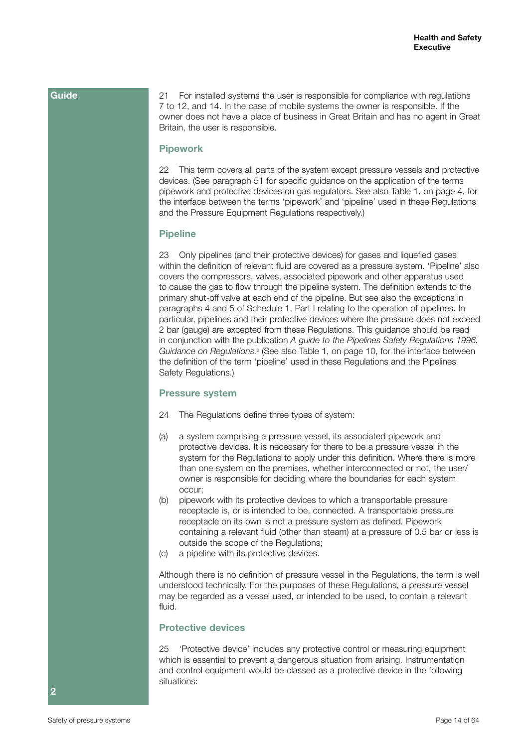#### **Guide**

21 For installed systems the user is responsible for compliance with regulations 7 to 12, and 14. In the case of mobile systems the owner is responsible. If the owner does not have a place of business in Great Britain and has no agent in Great Britain, the user is responsible.

#### **Pipework**

22 This term covers all parts of the system except pressure vessels and protective devices. (See paragraph 51 for specific guidance on the application of the terms pipework and protective devices on gas regulators. See also Table 1, on page 4, for the interface between the terms 'pipework' and 'pipeline' used in these Regulations and the Pressure Equipment Regulations respectively.)

#### **Pipeline**

23 Only pipelines (and their protective devices) for gases and liquefied gases within the definition of relevant fluid are covered as a pressure system. 'Pipeline' also covers the compressors, valves, associated pipework and other apparatus used to cause the gas to flow through the pipeline system. The definition extends to the primary shut-off valve at each end of the pipeline. But see also the exceptions in paragraphs 4 and 5 of Schedule 1, Part I relating to the operation of pipelines. In particular, pipelines and their protective devices where the pressure does not exceed 2 bar (gauge) are excepted from these Regulations. This guidance should be read in conjunction with the publication *A guide to the Pipelines Safety Regulations 1996.*  Guidance on Regulations.<sup>2</sup> (See also Table 1, on page 10, for the interface between the definition of the term 'pipeline' used in these Regulations and the Pipelines Safety Regulations.)

#### **Pressure system**

- 24 The Regulations define three types of system:
- (a) a system comprising a pressure vessel, its associated pipework and protective devices. It is necessary for there to be a pressure vessel in the system for the Regulations to apply under this definition. Where there is more than one system on the premises, whether interconnected or not, the user/ owner is responsible for deciding where the boundaries for each system occur;
- (b) pipework with its protective devices to which a transportable pressure receptacle is, or is intended to be, connected. A transportable pressure receptacle on its own is not a pressure system as defined. Pipework containing a relevant fluid (other than steam) at a pressure of 0.5 bar or less is outside the scope of the Regulations;
- (c) a pipeline with its protective devices.

Although there is no definition of pressure vessel in the Regulations, the term is well understood technically. For the purposes of these Regulations, a pressure vessel may be regarded as a vessel used, or intended to be used, to contain a relevant fluid.

#### **Protective devices**

25 'Protective device' includes any protective control or measuring equipment which is essential to prevent a dangerous situation from arising. Instrumentation and control equipment would be classed as a protective device in the following situations: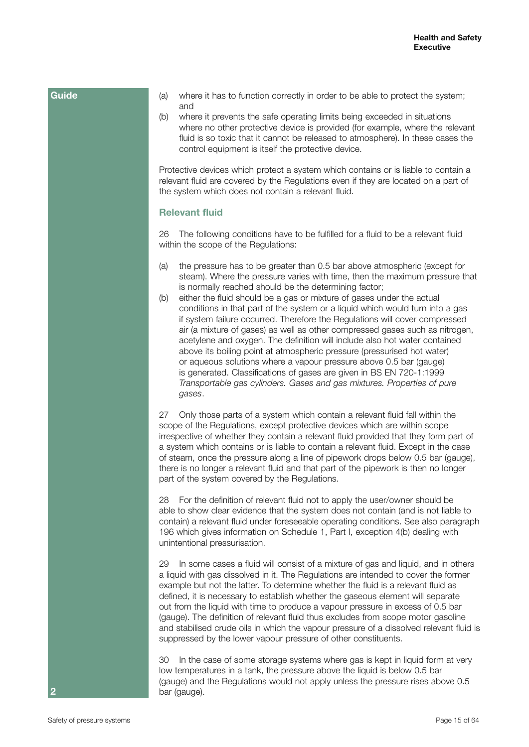(a) where it has to function correctly in order to be able to protect the system; and (b) where it prevents the safe operating limits being exceeded in situations where no other protective device is provided (for example, where the relevant fluid is so toxic that it cannot be released to atmosphere). In these cases the control equipment is itself the protective device. Protective devices which protect a system which contains or is liable to contain a relevant fluid are covered by the Regulations even if they are located on a part of the system which does not contain a relevant fluid. **Relevant fluid** 26 The following conditions have to be fulfilled for a fluid to be a relevant fluid within the scope of the Regulations: (a) the pressure has to be greater than 0.5 bar above atmospheric (except for steam). Where the pressure varies with time, then the maximum pressure that is normally reached should be the determining factor; (b) either the fluid should be a gas or mixture of gases under the actual conditions in that part of the system or a liquid which would turn into a gas if system failure occurred. Therefore the Regulations will cover compressed air (a mixture of gases) as well as other compressed gases such as nitrogen, acetylene and oxygen. The definition will include also hot water contained above its boiling point at atmospheric pressure (pressurised hot water) or aqueous solutions where a vapour pressure above 0.5 bar (gauge) is generated. Classifications of gases are given in BS EN 720-1:1999 *Transportable gas cylinders. Gases and gas mixtures. Properties of pure gases*. 27 Only those parts of a system which contain a relevant fluid fall within the scope of the Regulations, except protective devices which are within scope irrespective of whether they contain a relevant fluid provided that they form part of a system which contains or is liable to contain a relevant fluid. Except in the case of steam, once the pressure along a line of pipework drops below 0.5 bar (gauge), there is no longer a relevant fluid and that part of the pipework is then no longer part of the system covered by the Regulations. 28 For the definition of relevant fluid not to apply the user/owner should be able to show clear evidence that the system does not contain (and is not liable to contain) a relevant fluid under foreseeable operating conditions. See also paragraph 196 which gives information on Schedule 1, Part I, exception 4(b) dealing with unintentional pressurisation. 29 In some cases a fluid will consist of a mixture of gas and liquid, and in others a liquid with gas dissolved in it. The Regulations are intended to cover the former example but not the latter. To determine whether the fluid is a relevant fluid as defined, it is necessary to establish whether the gaseous element will separate out from the liquid with time to produce a vapour pressure in excess of 0.5 bar (gauge). The definition of relevant fluid thus excludes from scope motor gasoline and stabilised crude oils in which the vapour pressure of a dissolved relevant fluid is suppressed by the lower vapour pressure of other constituents. 30 In the case of some storage systems where gas is kept in liquid form at very **Guide**

low temperatures in a tank, the pressure above the liquid is below 0.5 bar (gauge) and the Regulations would not apply unless the pressure rises above 0.5 bar (gauge).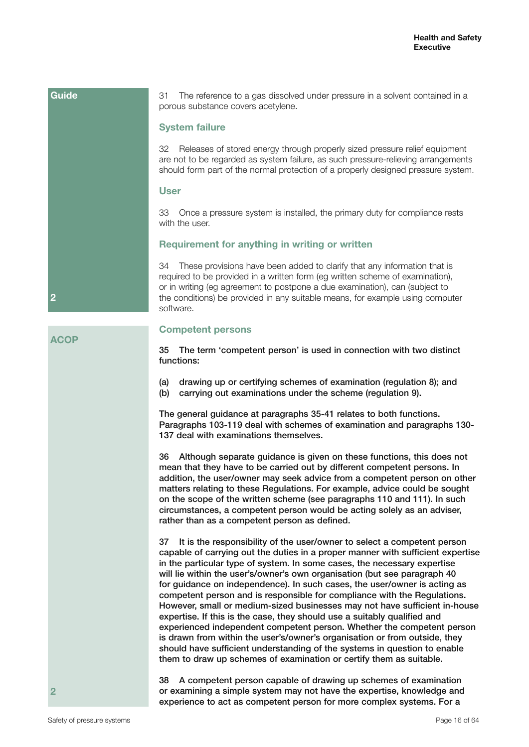**2**

**Guide**

**ACOP**

31 The reference to a gas dissolved under pressure in a solvent contained in a porous substance covers acetylene.

#### **System failure**

32 Releases of stored energy through properly sized pressure relief equipment are not to be regarded as system failure, as such pressure-relieving arrangements should form part of the normal protection of a properly designed pressure system.

#### **User**

33 Once a pressure system is installed, the primary duty for compliance rests with the user.

#### **Requirement for anything in writing or written**

34 These provisions have been added to clarify that any information that is required to be provided in a written form (eg written scheme of examination), or in writing (eg agreement to postpone a due examination), can (subject to the conditions) be provided in any suitable means, for example using computer software.

#### **Competent persons**

35 The term 'competent person' is used in connection with two distinct functions:

- (a) drawing up or certifying schemes of examination (regulation 8); and
- (b) carrying out examinations under the scheme (regulation 9).

The general guidance at paragraphs 35-41 relates to both functions. Paragraphs 103-119 deal with schemes of examination and paragraphs 130- 137 deal with examinations themselves.

36 Although separate guidance is given on these functions, this does not mean that they have to be carried out by different competent persons. In addition, the user/owner may seek advice from a competent person on other matters relating to these Regulations. For example, advice could be sought on the scope of the written scheme (see paragraphs 110 and 111). In such circumstances, a competent person would be acting solely as an adviser, rather than as a competent person as defined.

37 It is the responsibility of the user/owner to select a competent person capable of carrying out the duties in a proper manner with sufficient expertise in the particular type of system. In some cases, the necessary expertise will lie within the user's/owner's own organisation (but see paragraph 40 for guidance on independence). In such cases, the user/owner is acting as competent person and is responsible for compliance with the Regulations. However, small or medium-sized businesses may not have sufficient in-house expertise. If this is the case, they should use a suitably qualified and experienced independent competent person. Whether the competent person is drawn from within the user's/owner's organisation or from outside, they should have sufficient understanding of the systems in question to enable them to draw up schemes of examination or certify them as suitable.

38 A competent person capable of drawing up schemes of examination or examining a simple system may not have the expertise, knowledge and experience to act as competent person for more complex systems. For a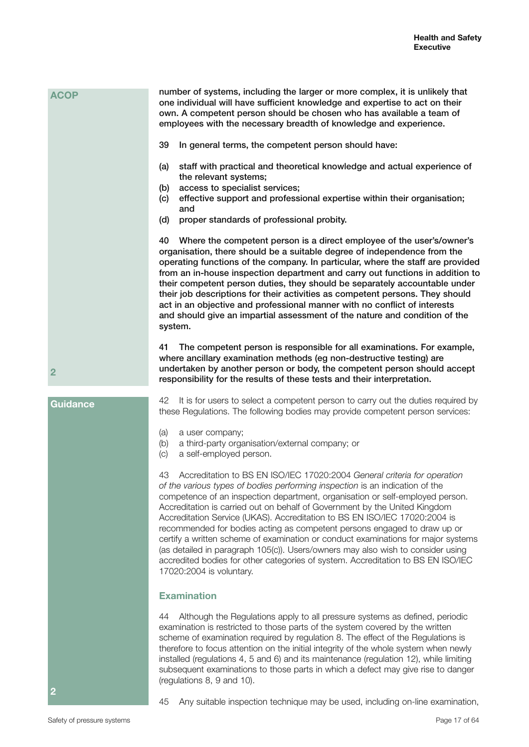| <b>ACOP</b>     | number of systems, including the larger or more complex, it is unlikely that<br>one individual will have sufficient knowledge and expertise to act on their<br>own. A competent person should be chosen who has available a team of<br>employees with the necessary breadth of knowledge and experience.                                                                                                                                                                                                                                                                                                                                                                                                                                                                        |
|-----------------|---------------------------------------------------------------------------------------------------------------------------------------------------------------------------------------------------------------------------------------------------------------------------------------------------------------------------------------------------------------------------------------------------------------------------------------------------------------------------------------------------------------------------------------------------------------------------------------------------------------------------------------------------------------------------------------------------------------------------------------------------------------------------------|
|                 | 39<br>In general terms, the competent person should have:                                                                                                                                                                                                                                                                                                                                                                                                                                                                                                                                                                                                                                                                                                                       |
|                 | staff with practical and theoretical knowledge and actual experience of<br>(a)<br>the relevant systems;<br>access to specialist services;<br>(b)<br>effective support and professional expertise within their organisation;<br>(c)<br>and                                                                                                                                                                                                                                                                                                                                                                                                                                                                                                                                       |
|                 | (d)<br>proper standards of professional probity.                                                                                                                                                                                                                                                                                                                                                                                                                                                                                                                                                                                                                                                                                                                                |
|                 | Where the competent person is a direct employee of the user's/owner's<br>40<br>organisation, there should be a suitable degree of independence from the<br>operating functions of the company. In particular, where the staff are provided<br>from an in-house inspection department and carry out functions in addition to<br>their competent person duties, they should be separately accountable under<br>their job descriptions for their activities as competent persons. They should<br>act in an objective and professional manner with no conflict of interests<br>and should give an impartial assessment of the nature and condition of the<br>system.                                                                                                                |
| $\overline{2}$  | The competent person is responsible for all examinations. For example,<br>41<br>where ancillary examination methods (eg non-destructive testing) are<br>undertaken by another person or body, the competent person should accept<br>responsibility for the results of these tests and their interpretation.                                                                                                                                                                                                                                                                                                                                                                                                                                                                     |
| <b>Guidance</b> | It is for users to select a competent person to carry out the duties required by<br>42<br>these Regulations. The following bodies may provide competent person services:                                                                                                                                                                                                                                                                                                                                                                                                                                                                                                                                                                                                        |
|                 | (a)<br>a user company;<br>(b)<br>a third-party organisation/external company; or<br>a self-employed person.<br>(C)                                                                                                                                                                                                                                                                                                                                                                                                                                                                                                                                                                                                                                                              |
|                 | Accreditation to BS EN ISO/IEC 17020:2004 General criteria for operation<br>43<br>of the various types of bodies performing inspection is an indication of the<br>competence of an inspection department, organisation or self-employed person.<br>Accreditation is carried out on behalf of Government by the United Kingdom<br>Accreditation Service (UKAS). Accreditation to BS EN ISO/IEC 17020:2004 is<br>recommended for bodies acting as competent persons engaged to draw up or<br>certify a written scheme of examination or conduct examinations for major systems<br>(as detailed in paragraph 105(c)). Users/owners may also wish to consider using<br>accredited bodies for other categories of system. Accreditation to BS EN ISO/IEC<br>17020:2004 is voluntary. |
|                 | <b>Examination</b>                                                                                                                                                                                                                                                                                                                                                                                                                                                                                                                                                                                                                                                                                                                                                              |
|                 | Although the Regulations apply to all pressure systems as defined, periodic<br>44<br>examination is restricted to those parts of the system covered by the written<br>scheme of examination required by regulation 8. The effect of the Regulations is<br>therefore to focus attention on the initial integrity of the whole system when newly<br>installed (regulations 4, 5 and 6) and its maintenance (regulation 12), while limiting<br>subsequent examinations to those parts in which a defect may give rise to danger<br>(regulations 8, 9 and 10).                                                                                                                                                                                                                      |
|                 |                                                                                                                                                                                                                                                                                                                                                                                                                                                                                                                                                                                                                                                                                                                                                                                 |

45 Any suitable inspection technique may be used, including on-line examination,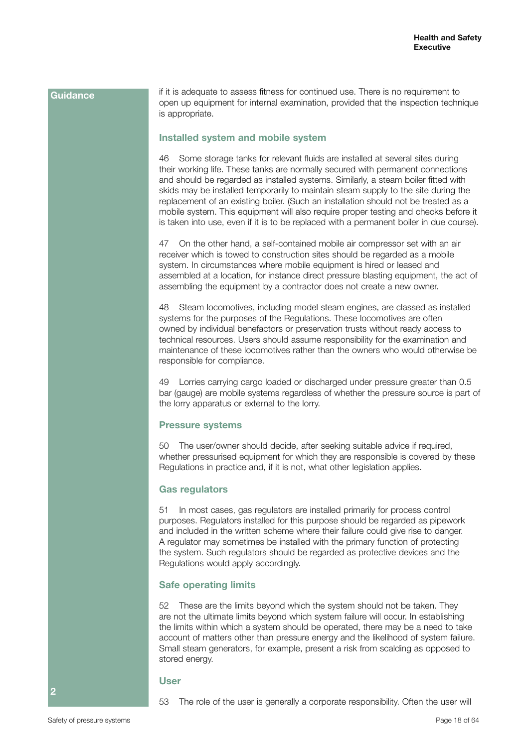#### **Guidance**

if it is adequate to assess fitness for continued use. There is no requirement to open up equipment for internal examination, provided that the inspection technique is appropriate.

#### **Installed system and mobile system**

46 Some storage tanks for relevant fluids are installed at several sites during their working life. These tanks are normally secured with permanent connections and should be regarded as installed systems. Similarly, a steam boiler fitted with skids may be installed temporarily to maintain steam supply to the site during the replacement of an existing boiler. (Such an installation should not be treated as a mobile system. This equipment will also require proper testing and checks before it is taken into use, even if it is to be replaced with a permanent boiler in due course).

47 On the other hand, a self-contained mobile air compressor set with an air receiver which is towed to construction sites should be regarded as a mobile system. In circumstances where mobile equipment is hired or leased and assembled at a location, for instance direct pressure blasting equipment, the act of assembling the equipment by a contractor does not create a new owner.

48 Steam locomotives, including model steam engines, are classed as installed systems for the purposes of the Regulations. These locomotives are often owned by individual benefactors or preservation trusts without ready access to technical resources. Users should assume responsibility for the examination and maintenance of these locomotives rather than the owners who would otherwise be responsible for compliance.

49 Lorries carrying cargo loaded or discharged under pressure greater than 0.5 bar (gauge) are mobile systems regardless of whether the pressure source is part of the lorry apparatus or external to the lorry.

#### **Pressure systems**

50 The user/owner should decide, after seeking suitable advice if required, whether pressurised equipment for which they are responsible is covered by these Regulations in practice and, if it is not, what other legislation applies.

#### **Gas regulators**

51 In most cases, gas regulators are installed primarily for process control purposes. Regulators installed for this purpose should be regarded as pipework and included in the written scheme where their failure could give rise to danger. A regulator may sometimes be installed with the primary function of protecting the system. Such regulators should be regarded as protective devices and the Regulations would apply accordingly.

#### **Safe operating limits**

52 These are the limits beyond which the system should not be taken. They are not the ultimate limits beyond which system failure will occur. In establishing the limits within which a system should be operated, there may be a need to take account of matters other than pressure energy and the likelihood of system failure. Small steam generators, for example, present a risk from scalding as opposed to stored energy.

#### **User**

53 The role of the user is generally a corporate responsibility. Often the user will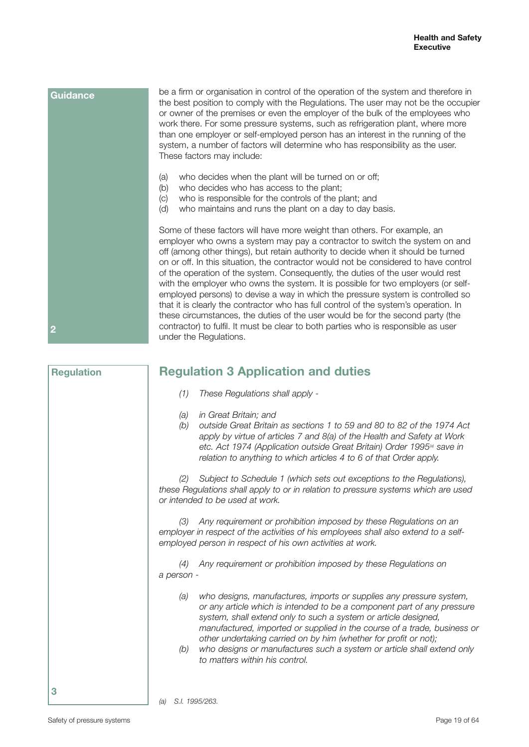#### be a firm or organisation in control of the operation of the system and therefore in the best position to comply with the Regulations. The user may not be the occupier or owner of the premises or even the employer of the bulk of the employees who work there. For some pressure systems, such as refrigeration plant, where more than one employer or self-employed person has an interest in the running of the system, a number of factors will determine who has responsibility as the user. These factors may include: (a) who decides when the plant will be turned on or off; (b) who decides who has access to the plant; (c) who is responsible for the controls of the plant; and (d) who maintains and runs the plant on a day to day basis. Some of these factors will have more weight than others. For example, an employer who owns a system may pay a contractor to switch the system on and off (among other things), but retain authority to decide when it should be turned on or off. In this situation, the contractor would not be considered to have control of the operation of the system. Consequently, the duties of the user would rest with the employer who owns the system. It is possible for two employers (or selfemployed persons) to devise a way in which the pressure system is controlled so that it is clearly the contractor who has full control of the system's operation. In these circumstances, the duties of the user would be for the second party (the contractor) to fulfil. It must be clear to both parties who is responsible as user under the Regulations. **Guidance 2**

| <b>Regulation</b> | <b>Regulation 3 Application and duties</b>                                                                                                                                                                                                                                                                                                                                                                                                                                                  |
|-------------------|---------------------------------------------------------------------------------------------------------------------------------------------------------------------------------------------------------------------------------------------------------------------------------------------------------------------------------------------------------------------------------------------------------------------------------------------------------------------------------------------|
|                   | (1)<br>These Regulations shall apply -                                                                                                                                                                                                                                                                                                                                                                                                                                                      |
|                   | in Great Britain; and<br>(a)<br>outside Great Britain as sections 1 to 59 and 80 to 82 of the 1974 Act<br>(b)<br>apply by virtue of articles 7 and 8(a) of the Health and Safety at Work<br>etc. Act 1974 (Application outside Great Britain) Order 1995 <sup>®</sup> save in<br>relation to anything to which articles 4 to 6 of that Order apply.                                                                                                                                         |
|                   | Subject to Schedule 1 (which sets out exceptions to the Regulations),<br>(2)<br>these Regulations shall apply to or in relation to pressure systems which are used<br>or intended to be used at work.                                                                                                                                                                                                                                                                                       |
|                   | Any requirement or prohibition imposed by these Regulations on an<br>(3)<br>employer in respect of the activities of his employees shall also extend to a self-<br>employed person in respect of his own activities at work.                                                                                                                                                                                                                                                                |
|                   | Any requirement or prohibition imposed by these Regulations on<br>(4)<br>a person -                                                                                                                                                                                                                                                                                                                                                                                                         |
|                   | who designs, manufactures, imports or supplies any pressure system,<br>(a)<br>or any article which is intended to be a component part of any pressure<br>system, shall extend only to such a system or article designed,<br>manufactured, imported or supplied in the course of a trade, business or<br>other undertaking carried on by him (whether for profit or not);<br>who designs or manufactures such a system or article shall extend only<br>(b)<br>to matters within his control. |
| 3                 | S.I. 1995/263.<br>(a)                                                                                                                                                                                                                                                                                                                                                                                                                                                                       |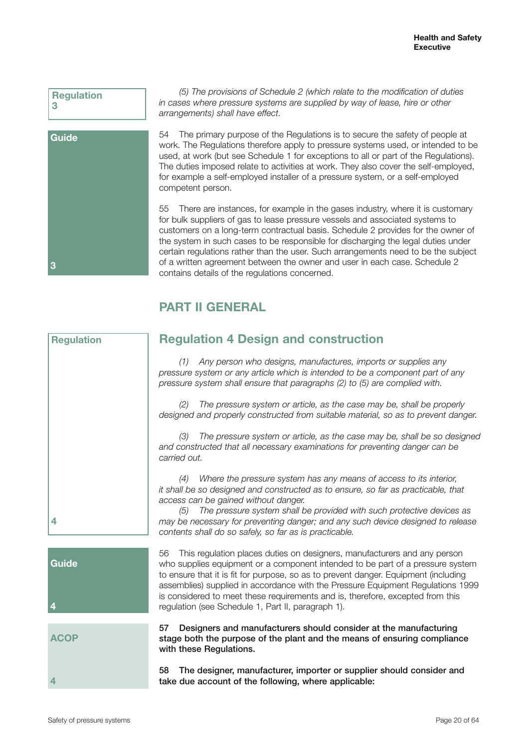#### **Regulation 3**

**Guide 3**

**Regulation**

*(5) The provisions of Schedule 2 (which relate to the modification of duties in cases where pressure systems are supplied by way of lease, hire or other arrangements) shall have effect.*

54 The primary purpose of the Regulations is to secure the safety of people at work. The Regulations therefore apply to pressure systems used, or intended to be used, at work (but see Schedule 1 for exceptions to all or part of the Regulations). The duties imposed relate to activities at work. They also cover the self-employed, for example a self-employed installer of a pressure system, or a self-employed competent person.

55 There are instances, for example in the gases industry, where it is customary for bulk suppliers of gas to lease pressure vessels and associated systems to customers on a long-term contractual basis. Schedule 2 provides for the owner of the system in such cases to be responsible for discharging the legal duties under certain regulations rather than the user. Such arrangements need to be the subject of a written agreement between the owner and user in each case. Schedule 2 contains details of the regulations concerned.

# **PART II GENERAL**

## **Regulation 4 Design and construction**

*(1) Any person who designs, manufactures, imports or supplies any pressure system or any article which is intended to be a component part of any pressure system shall ensure that paragraphs (2) to (5) are complied with.*

*(2) The pressure system or article, as the case may be, shall be properly designed and properly constructed from suitable material, so as to prevent danger.*

*(3) The pressure system or article, as the case may be, shall be so designed and constructed that all necessary examinations for preventing danger can be carried out.*

*(4) Where the pressure system has any means of access to its interior, it shall be so designed and constructed as to ensure, so far as practicable, that access can be gained without danger.*

56 This regulation places duties on designers, manufacturers and any person

*(5) The pressure system shall be provided with such protective devices as may be necessary for preventing danger; and any such device designed to release contents shall do so safely, so far as is practicable.*

| <b>Guide</b> |  |  |
|--------------|--|--|
| 4            |  |  |
|              |  |  |
| <b>ACOP</b>  |  |  |

**4**

**4**

who supplies equipment or a component intended to be part of a pressure system to ensure that it is fit for purpose, so as to prevent danger. Equipment (including assemblies) supplied in accordance with the Pressure Equipment Regulations 1999 is considered to meet these requirements and is, therefore, excepted from this regulation (see Schedule 1, Part II, paragraph 1).

57 Designers and manufacturers should consider at the manufacturing stage both the purpose of the plant and the means of ensuring compliance with these Regulations.

58 The designer, manufacturer, importer or supplier should consider and take due account of the following, where applicable: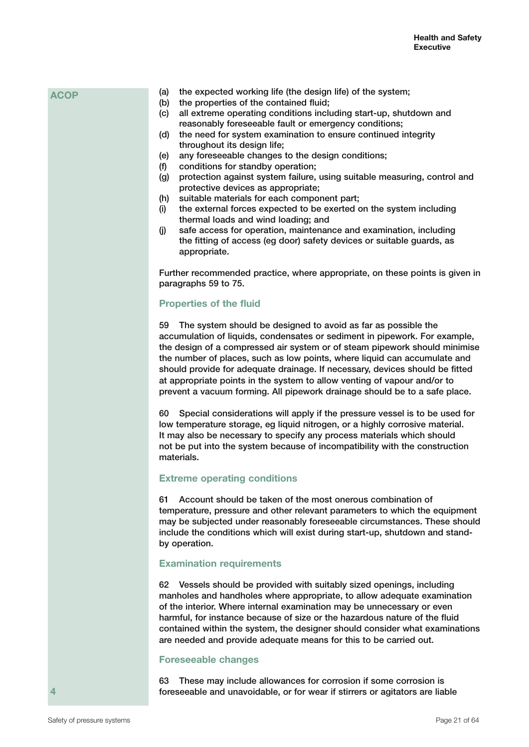- (a) the expected working life (the design life) of the system;
- (b) the properties of the contained fluid;
- (c) all extreme operating conditions including start-up, shutdown and reasonably foreseeable fault or emergency conditions;
- (d) the need for system examination to ensure continued integrity throughout its design life;
- (e) any foreseeable changes to the design conditions;
- (f) conditions for standby operation;
- (g) protection against system failure, using suitable measuring, control and protective devices as appropriate;
- (h) suitable materials for each component part;
- (i) the external forces expected to be exerted on the system including thermal loads and wind loading; and
- (j) safe access for operation, maintenance and examination, including the fitting of access (eg door) safety devices or suitable guards, as appropriate.

Further recommended practice, where appropriate, on these points is given in paragraphs 59 to 75.

#### **Properties of the fluid**

59 The system should be designed to avoid as far as possible the accumulation of liquids, condensates or sediment in pipework. For example, the design of a compressed air system or of steam pipework should minimise the number of places, such as low points, where liquid can accumulate and should provide for adequate drainage. If necessary, devices should be fitted at appropriate points in the system to allow venting of vapour and/or to prevent a vacuum forming. All pipework drainage should be to a safe place.

60 Special considerations will apply if the pressure vessel is to be used for low temperature storage, eg liquid nitrogen, or a highly corrosive material. It may also be necessary to specify any process materials which should not be put into the system because of incompatibility with the construction materials.

#### **Extreme operating conditions**

61 Account should be taken of the most onerous combination of temperature, pressure and other relevant parameters to which the equipment may be subjected under reasonably foreseeable circumstances. These should include the conditions which will exist during start-up, shutdown and standby operation.

#### **Examination requirements**

62 Vessels should be provided with suitably sized openings, including manholes and handholes where appropriate, to allow adequate examination of the interior. Where internal examination may be unnecessary or even harmful, for instance because of size or the hazardous nature of the fluid contained within the system, the designer should consider what examinations are needed and provide adequate means for this to be carried out.

#### **Foreseeable changes**

63 These may include allowances for corrosion if some corrosion is foreseeable and unavoidable, or for wear if stirrers or agitators are liable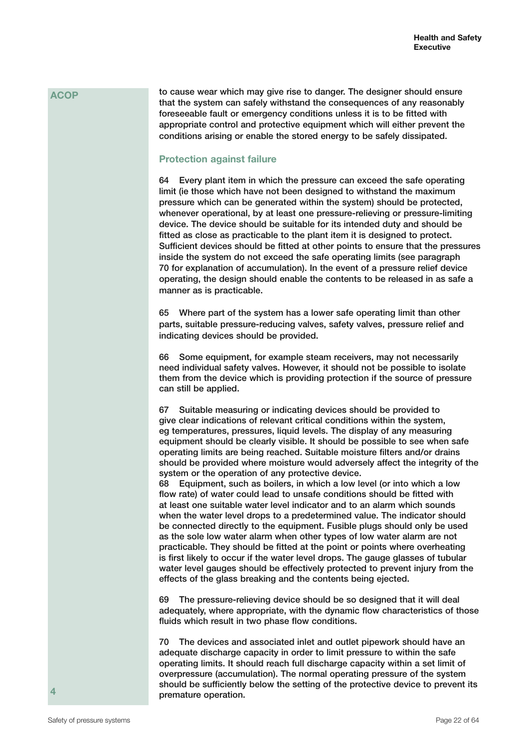to cause wear which may give rise to danger. The designer should ensure that the system can safely withstand the consequences of any reasonably foreseeable fault or emergency conditions unless it is to be fitted with appropriate control and protective equipment which will either prevent the conditions arising or enable the stored energy to be safely dissipated.

#### **Protection against failure**

64 Every plant item in which the pressure can exceed the safe operating limit (ie those which have not been designed to withstand the maximum pressure which can be generated within the system) should be protected, whenever operational, by at least one pressure-relieving or pressure-limiting device. The device should be suitable for its intended duty and should be fitted as close as practicable to the plant item it is designed to protect. Sufficient devices should be fitted at other points to ensure that the pressures inside the system do not exceed the safe operating limits (see paragraph 70 for explanation of accumulation). In the event of a pressure relief device operating, the design should enable the contents to be released in as safe a manner as is practicable.

65 Where part of the system has a lower safe operating limit than other parts, suitable pressure-reducing valves, safety valves, pressure relief and indicating devices should be provided.

66 Some equipment, for example steam receivers, may not necessarily need individual safety valves. However, it should not be possible to isolate them from the device which is providing protection if the source of pressure can still be applied.

67 Suitable measuring or indicating devices should be provided to give clear indications of relevant critical conditions within the system, eg temperatures, pressures, liquid levels. The display of any measuring equipment should be clearly visible. It should be possible to see when safe operating limits are being reached. Suitable moisture filters and/or drains should be provided where moisture would adversely affect the integrity of the system or the operation of any protective device.

68 Equipment, such as boilers, in which a low level (or into which a low flow rate) of water could lead to unsafe conditions should be fitted with at least one suitable water level indicator and to an alarm which sounds when the water level drops to a predetermined value. The indicator should be connected directly to the equipment. Fusible plugs should only be used as the sole low water alarm when other types of low water alarm are not practicable. They should be fitted at the point or points where overheating is first likely to occur if the water level drops. The gauge glasses of tubular water level gauges should be effectively protected to prevent injury from the effects of the glass breaking and the contents being ejected.

69 The pressure-relieving device should be so designed that it will deal adequately, where appropriate, with the dynamic flow characteristics of those fluids which result in two phase flow conditions.

70 The devices and associated inlet and outlet pipework should have an adequate discharge capacity in order to limit pressure to within the safe operating limits. It should reach full discharge capacity within a set limit of overpressure (accumulation). The normal operating pressure of the system should be sufficiently below the setting of the protective device to prevent its premature operation.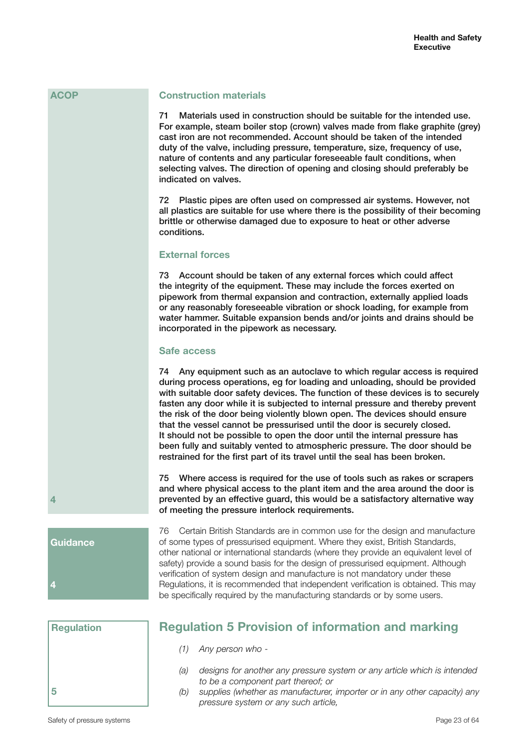#### **Construction materials**

71 Materials used in construction should be suitable for the intended use. For example, steam boiler stop (crown) valves made from flake graphite (grey) cast iron are not recommended. Account should be taken of the intended duty of the valve, including pressure, temperature, size, frequency of use, nature of contents and any particular foreseeable fault conditions, when selecting valves. The direction of opening and closing should preferably be indicated on valves.

72 Plastic pipes are often used on compressed air systems. However, not all plastics are suitable for use where there is the possibility of their becoming brittle or otherwise damaged due to exposure to heat or other adverse conditions.

#### **External forces**

73 Account should be taken of any external forces which could affect the integrity of the equipment. These may include the forces exerted on pipework from thermal expansion and contraction, externally applied loads or any reasonably foreseeable vibration or shock loading, for example from water hammer. Suitable expansion bends and/or joints and drains should be incorporated in the pipework as necessary.

#### **Safe access**

74 Any equipment such as an autoclave to which regular access is required during process operations, eg for loading and unloading, should be provided with suitable door safety devices. The function of these devices is to securely fasten any door while it is subjected to internal pressure and thereby prevent the risk of the door being violently blown open. The devices should ensure that the vessel cannot be pressurised until the door is securely closed. It should not be possible to open the door until the internal pressure has been fully and suitably vented to atmospheric pressure. The door should be restrained for the first part of its travel until the seal has been broken.

75 Where access is required for the use of tools such as rakes or scrapers and where physical access to the plant item and the area around the door is prevented by an effective guard, this would be a satisfactory alternative way of meeting the pressure interlock requirements.

76 Certain British Standards are in common use for the design and manufacture of some types of pressurised equipment. Where they exist, British Standards, other national or international standards (where they provide an equivalent level of safety) provide a sound basis for the design of pressurised equipment. Although verification of system design and manufacture is not mandatory under these Regulations, it is recommended that independent verification is obtained. This may be specifically required by the manufacturing standards or by some users.

| <b>Regulation</b> |  |
|-------------------|--|
|                   |  |
|                   |  |
| 5                 |  |

**4**

**4**

**Guidance**

**ACOP**

### **Regulation 5 Provision of information and marking**

- *(1) Any person who*
- *(a) designs for another any pressure system or any article which is intended to be a component part thereof; or*
- *(b) supplies (whether as manufacturer, importer or in any other capacity) any pressure system or any such article,*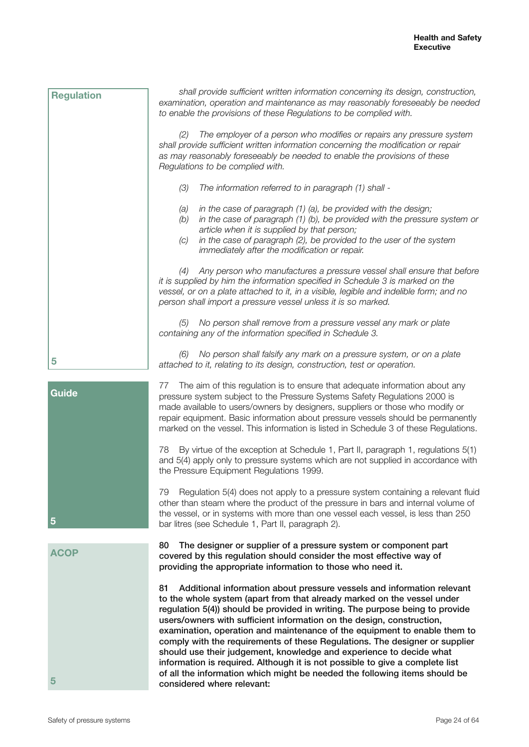| <b>Regulation</b> | shall provide sufficient written information concerning its design, construction,<br>examination, operation and maintenance as may reasonably foreseeably be needed<br>to enable the provisions of these Regulations to be complied with.                                                                                                                                                                                                                                                                                                                                                                                                                                                                                                       |
|-------------------|-------------------------------------------------------------------------------------------------------------------------------------------------------------------------------------------------------------------------------------------------------------------------------------------------------------------------------------------------------------------------------------------------------------------------------------------------------------------------------------------------------------------------------------------------------------------------------------------------------------------------------------------------------------------------------------------------------------------------------------------------|
|                   | The employer of a person who modifies or repairs any pressure system<br>(2)<br>shall provide sufficient written information concerning the modification or repair<br>as may reasonably foreseeably be needed to enable the provisions of these<br>Regulations to be complied with.                                                                                                                                                                                                                                                                                                                                                                                                                                                              |
|                   | (3)<br>The information referred to in paragraph (1) shall -                                                                                                                                                                                                                                                                                                                                                                                                                                                                                                                                                                                                                                                                                     |
|                   | in the case of paragraph (1) (a), be provided with the design;<br>(a)<br>in the case of paragraph (1) (b), be provided with the pressure system or<br>(b)<br>article when it is supplied by that person;<br>in the case of paragraph (2), be provided to the user of the system<br>(C)<br>immediately after the modification or repair.                                                                                                                                                                                                                                                                                                                                                                                                         |
|                   | Any person who manufactures a pressure vessel shall ensure that before<br>(4)<br>it is supplied by him the information specified in Schedule 3 is marked on the<br>vessel, or on a plate attached to it, in a visible, legible and indelible form; and no<br>person shall import a pressure vessel unless it is so marked.                                                                                                                                                                                                                                                                                                                                                                                                                      |
|                   | No person shall remove from a pressure vessel any mark or plate<br>(5)<br>containing any of the information specified in Schedule 3.                                                                                                                                                                                                                                                                                                                                                                                                                                                                                                                                                                                                            |
| 5                 | No person shall falsify any mark on a pressure system, or on a plate<br>(6)<br>attached to it, relating to its design, construction, test or operation.                                                                                                                                                                                                                                                                                                                                                                                                                                                                                                                                                                                         |
| Guide             | The aim of this regulation is to ensure that adequate information about any<br>77<br>pressure system subject to the Pressure Systems Safety Regulations 2000 is<br>made available to users/owners by designers, suppliers or those who modify or<br>repair equipment. Basic information about pressure vessels should be permanently<br>marked on the vessel. This information is listed in Schedule 3 of these Regulations.                                                                                                                                                                                                                                                                                                                    |
|                   | By virtue of the exception at Schedule 1, Part II, paragraph 1, regulations 5(1)<br>78<br>and 5(4) apply only to pressure systems which are not supplied in accordance with<br>the Pressure Equipment Regulations 1999.                                                                                                                                                                                                                                                                                                                                                                                                                                                                                                                         |
| $\overline{5}$    | Regulation 5(4) does not apply to a pressure system containing a relevant fluid<br>79<br>other than steam where the product of the pressure in bars and internal volume of<br>the vessel, or in systems with more than one vessel each vessel, is less than 250<br>bar litres (see Schedule 1, Part II, paragraph 2).                                                                                                                                                                                                                                                                                                                                                                                                                           |
| <b>ACOP</b>       | The designer or supplier of a pressure system or component part<br>80<br>covered by this regulation should consider the most effective way of<br>providing the appropriate information to those who need it.                                                                                                                                                                                                                                                                                                                                                                                                                                                                                                                                    |
| $\overline{5}$    | Additional information about pressure vessels and information relevant<br>81<br>to the whole system (apart from that already marked on the vessel under<br>regulation 5(4)) should be provided in writing. The purpose being to provide<br>users/owners with sufficient information on the design, construction,<br>examination, operation and maintenance of the equipment to enable them to<br>comply with the requirements of these Regulations. The designer or supplier<br>should use their judgement, knowledge and experience to decide what<br>information is required. Although it is not possible to give a complete list<br>of all the information which might be needed the following items should be<br>considered where relevant: |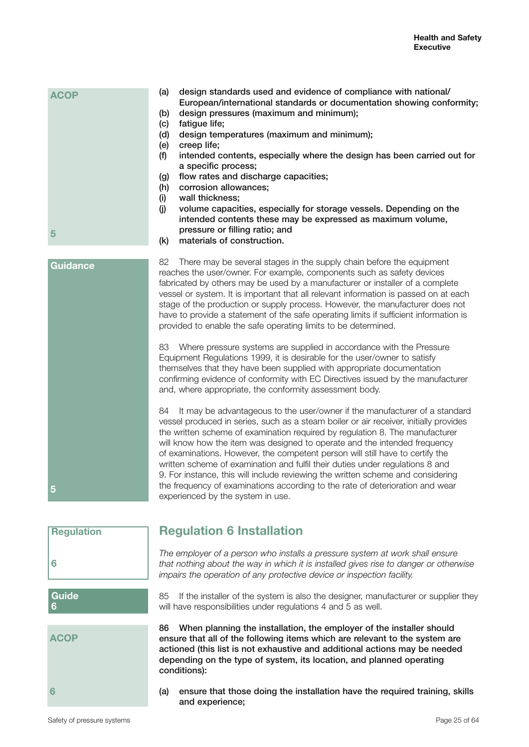| <b>ACOP</b>     | design standards used and evidence of compliance with national/<br>(a)<br>European/international standards or documentation showing conformity;<br>design pressures (maximum and minimum);<br>(b)<br>(c)<br>fatigue life;<br>design temperatures (maximum and minimum);<br>(d)<br>creep life;<br>(e)<br>intended contents, especially where the design has been carried out for<br>(f)<br>a specific process;<br>flow rates and discharge capacities;<br>(g)<br>(h)<br>corrosion allowances;<br>(i)<br>wall thickness;<br>(i)<br>volume capacities, especially for storage vessels. Depending on the<br>intended contents these may be expressed as maximum volume, |
|-----------------|---------------------------------------------------------------------------------------------------------------------------------------------------------------------------------------------------------------------------------------------------------------------------------------------------------------------------------------------------------------------------------------------------------------------------------------------------------------------------------------------------------------------------------------------------------------------------------------------------------------------------------------------------------------------|
| 5               | pressure or filling ratio; and<br>materials of construction.<br>(k)                                                                                                                                                                                                                                                                                                                                                                                                                                                                                                                                                                                                 |
| <b>Guidance</b> | There may be several stages in the supply chain before the equipment<br>82<br>reaches the user/owner. For example, components such as safety devices<br>fabricated by others may be used by a manufacturer or installer of a complete<br>vessel or system. It is important that all relevant information is passed on at each<br>stage of the production or supply process. However, the manufacturer does not<br>have to provide a statement of the safe operating limits if sufficient information is<br>provided to enable the safe operating limits to be determined.<br>83<br>Where pressure systems are supplied in accordance with the Pressure              |

Equipment Regulations 1999, it is desirable for the user/owner to satisfy themselves that they have been supplied with appropriate documentation confirming evidence of conformity with EC Directives issued by the manufacturer and, where appropriate, the conformity assessment body.

84 It may be advantageous to the user/owner if the manufacturer of a standard vessel produced in series, such as a steam boiler or air receiver, initially provides the written scheme of examination required by regulation 8. The manufacturer will know how the item was designed to operate and the intended frequency of examinations. However, the competent person will still have to certify the written scheme of examination and fulfil their duties under regulations 8 and 9. For instance, this will include reviewing the written scheme and considering the frequency of examinations according to the rate of deterioration and wear experienced by the system in use.

| <b>Regulation</b> |  |
|-------------------|--|
|                   |  |
|                   |  |
|                   |  |
|                   |  |
| $6\phantom{1}$    |  |
|                   |  |
|                   |  |

### **Guide 6**

**5**



# **Regulation 6 Installation**

*The employer of a person who installs a pressure system at work shall ensure that nothing about the way in which it is installed gives rise to danger or otherwise impairs the operation of any protective device or inspection facility.*

85 If the installer of the system is also the designer, manufacturer or supplier they will have responsibilities under regulations 4 and 5 as well.

86 When planning the installation, the employer of the installer should ensure that all of the following items which are relevant to the system are actioned (this list is not exhaustive and additional actions may be needed depending on the type of system, its location, and planned operating conditions):

(a) ensure that those doing the installation have the required training, skills and experience;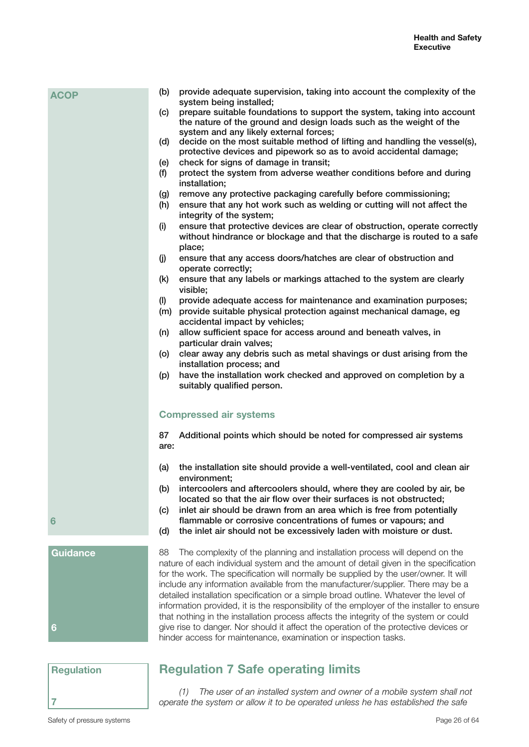| <b>ACOP</b>     | provide adequate supervision, taking into account the complexity of the<br>(b)<br>system being installed;<br>prepare suitable foundations to support the system, taking into account<br>(c)<br>the nature of the ground and design loads such as the weight of the<br>system and any likely external forces;<br>decide on the most suitable method of lifting and handling the vessel(s),<br>(d)<br>protective devices and pipework so as to avoid accidental damage;<br>check for signs of damage in transit;<br>(e)<br>protect the system from adverse weather conditions before and during<br>(f)<br>installation;<br>(g)<br>remove any protective packaging carefully before commissioning;<br>ensure that any hot work such as welding or cutting will not affect the<br>(h)<br>integrity of the system;<br>ensure that protective devices are clear of obstruction, operate correctly<br>(i)<br>without hindrance or blockage and that the discharge is routed to a safe |
|-----------------|--------------------------------------------------------------------------------------------------------------------------------------------------------------------------------------------------------------------------------------------------------------------------------------------------------------------------------------------------------------------------------------------------------------------------------------------------------------------------------------------------------------------------------------------------------------------------------------------------------------------------------------------------------------------------------------------------------------------------------------------------------------------------------------------------------------------------------------------------------------------------------------------------------------------------------------------------------------------------------|
|                 | place;<br>ensure that any access doors/hatches are clear of obstruction and<br>(j)<br>operate correctly;<br>ensure that any labels or markings attached to the system are clearly<br>(k)                                                                                                                                                                                                                                                                                                                                                                                                                                                                                                                                                                                                                                                                                                                                                                                       |
|                 | visible;<br>provide adequate access for maintenance and examination purposes;<br>(1)<br>provide suitable physical protection against mechanical damage, eg<br>(m)<br>accidental impact by vehicles;                                                                                                                                                                                                                                                                                                                                                                                                                                                                                                                                                                                                                                                                                                                                                                            |
|                 | allow sufficient space for access around and beneath valves, in<br>(n)                                                                                                                                                                                                                                                                                                                                                                                                                                                                                                                                                                                                                                                                                                                                                                                                                                                                                                         |
|                 | particular drain valves;<br>clear away any debris such as metal shavings or dust arising from the<br>(o)                                                                                                                                                                                                                                                                                                                                                                                                                                                                                                                                                                                                                                                                                                                                                                                                                                                                       |
|                 | installation process; and<br>have the installation work checked and approved on completion by a<br>(p)<br>suitably qualified person.                                                                                                                                                                                                                                                                                                                                                                                                                                                                                                                                                                                                                                                                                                                                                                                                                                           |
|                 | <b>Compressed air systems</b>                                                                                                                                                                                                                                                                                                                                                                                                                                                                                                                                                                                                                                                                                                                                                                                                                                                                                                                                                  |
|                 | 87<br>Additional points which should be noted for compressed air systems<br>are:                                                                                                                                                                                                                                                                                                                                                                                                                                                                                                                                                                                                                                                                                                                                                                                                                                                                                               |
|                 | the installation site should provide a well-ventilated, cool and clean air<br>(a)                                                                                                                                                                                                                                                                                                                                                                                                                                                                                                                                                                                                                                                                                                                                                                                                                                                                                              |
|                 | environment;<br>intercoolers and aftercoolers should, where they are cooled by air, be<br>(b)                                                                                                                                                                                                                                                                                                                                                                                                                                                                                                                                                                                                                                                                                                                                                                                                                                                                                  |
|                 | located so that the air flow over their surfaces is not obstructed;<br>inlet air should be drawn from an area which is free from potentially<br>(c)                                                                                                                                                                                                                                                                                                                                                                                                                                                                                                                                                                                                                                                                                                                                                                                                                            |
| 6               | flammable or corrosive concentrations of fumes or vapours; and<br>(d)<br>the inlet air should not be excessively laden with moisture or dust.                                                                                                                                                                                                                                                                                                                                                                                                                                                                                                                                                                                                                                                                                                                                                                                                                                  |
|                 |                                                                                                                                                                                                                                                                                                                                                                                                                                                                                                                                                                                                                                                                                                                                                                                                                                                                                                                                                                                |
| <b>Guidance</b> | 88<br>The complexity of the planning and installation process will depend on the<br>nature of each individual system and the amount of detail given in the specification<br>for the work. The specification will normally be supplied by the user/owner. It will<br>include any information available from the manufacturer/supplier. There may be a<br>detailed installation specification or a simple broad outline. Whatever the level of<br>information provided, it is the responsibility of the employer of the installer to ensure<br>that nothing in the installation process affects the integrity of the system or could                                                                                                                                                                                                                                                                                                                                             |
| 6               | give rise to danger. Nor should it affect the operation of the protective devices or<br>hinder access for maintenance, examination or inspection tasks.                                                                                                                                                                                                                                                                                                                                                                                                                                                                                                                                                                                                                                                                                                                                                                                                                        |

**Regulation**

**7**

# **Regulation 7 Safe operating limits**

*(1) The user of an installed system and owner of a mobile system shall not operate the system or allow it to be operated unless he has established the safe*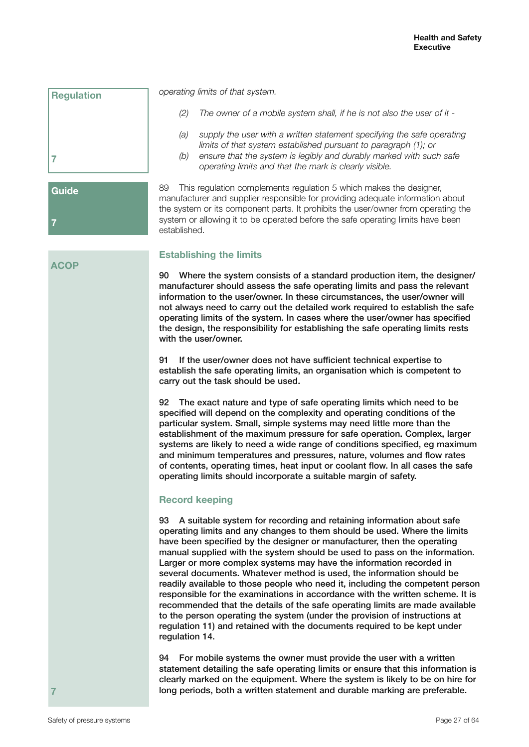**Regulation**

*operating limits of that system.*

- *(2) The owner of a mobile system shall, if he is not also the user of it -*
- *(a) supply the user with a written statement specifying the safe operating limits of that system established pursuant to paragraph (1); or*
- *(b) ensure that the system is legibly and durably marked with such safe operating limits and that the mark is clearly visible.*

#### 89 This regulation complements regulation 5 which makes the designer, manufacturer and supplier responsible for providing adequate information about the system or its component parts. It prohibits the user/owner from operating the system or allowing it to be operated before the safe operating limits have been established.

#### **Establishing the limits**

90 Where the system consists of a standard production item, the designer/ manufacturer should assess the safe operating limits and pass the relevant information to the user/owner. In these circumstances, the user/owner will not always need to carry out the detailed work required to establish the safe operating limits of the system. In cases where the user/owner has specified the design, the responsibility for establishing the safe operating limits rests with the user/owner.

91 If the user/owner does not have sufficient technical expertise to establish the safe operating limits, an organisation which is competent to carry out the task should be used.

92 The exact nature and type of safe operating limits which need to be specified will depend on the complexity and operating conditions of the particular system. Small, simple systems may need little more than the establishment of the maximum pressure for safe operation. Complex, larger systems are likely to need a wide range of conditions specified, eg maximum and minimum temperatures and pressures, nature, volumes and flow rates of contents, operating times, heat input or coolant flow. In all cases the safe operating limits should incorporate a suitable margin of safety.

#### **Record keeping**

A suitable system for recording and retaining information about safe operating limits and any changes to them should be used. Where the limits have been specified by the designer or manufacturer, then the operating manual supplied with the system should be used to pass on the information. Larger or more complex systems may have the information recorded in several documents. Whatever method is used, the information should be readily available to those people who need it, including the competent person responsible for the examinations in accordance with the written scheme. It is recommended that the details of the safe operating limits are made available to the person operating the system (under the provision of instructions at regulation 11) and retained with the documents required to be kept under regulation 14.

94 For mobile systems the owner must provide the user with a written statement detailing the safe operating limits or ensure that this information is clearly marked on the equipment. Where the system is likely to be on hire for long periods, both a written statement and durable marking are preferable.

#### **ACOP**

 **Guide**

 **7**

**7**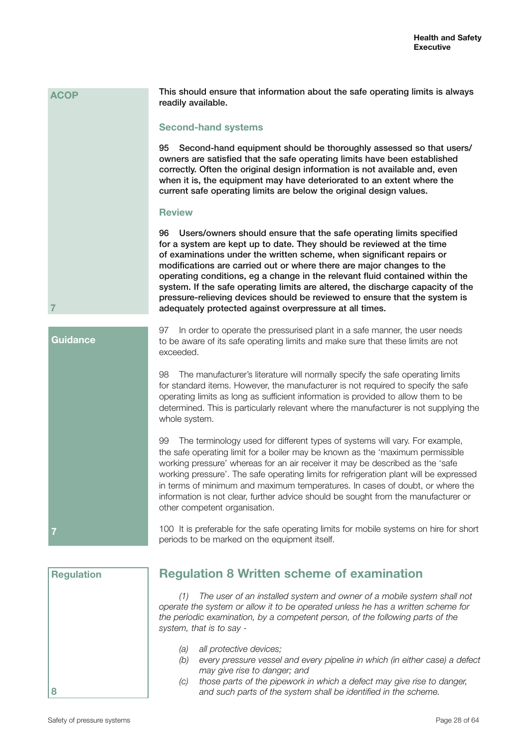This should ensure that information about the safe operating limits is always readily available.

#### **Second-hand systems**

95 Second-hand equipment should be thoroughly assessed so that users/ owners are satisfied that the safe operating limits have been established correctly. Often the original design information is not available and, even when it is, the equipment may have deteriorated to an extent where the current safe operating limits are below the original design values.

#### **Review**

96 Users/owners should ensure that the safe operating limits specified for a system are kept up to date. They should be reviewed at the time of examinations under the written scheme, when significant repairs or modifications are carried out or where there are major changes to the operating conditions, eg a change in the relevant fluid contained within the system. If the safe operating limits are altered, the discharge capacity of the pressure-relieving devices should be reviewed to ensure that the system is adequately protected against overpressure at all times.

 **Guidance**

**7**

97 In order to operate the pressurised plant in a safe manner, the user needs to be aware of its safe operating limits and make sure that these limits are not exceeded.

98 The manufacturer's literature will normally specify the safe operating limits for standard items. However, the manufacturer is not required to specify the safe operating limits as long as sufficient information is provided to allow them to be determined. This is particularly relevant where the manufacturer is not supplying the whole system.

99 The terminology used for different types of systems will vary. For example, the safe operating limit for a boiler may be known as the 'maximum permissible working pressure' whereas for an air receiver it may be described as the 'safe working pressure'. The safe operating limits for refrigeration plant will be expressed in terms of minimum and maximum temperatures. In cases of doubt, or where the information is not clear, further advice should be sought from the manufacturer or other competent organisation.

100 It is preferable for the safe operating limits for mobile systems on hire for short periods to be marked on the equipment itself.

**Regulation**

 **7**

**8**

### **Regulation 8 Written scheme of examination**

*(1) The user of an installed system and owner of a mobile system shall not operate the system or allow it to be operated unless he has a written scheme for the periodic examination, by a competent person, of the following parts of the system, that is to say -*

- *(a) all protective devices;*
- *(b) every pressure vessel and every pipeline in which (in either case) a defect may give rise to danger; and*
- *(c) those parts of the pipework in which a defect may give rise to danger, and such parts of the system shall be identified in the scheme.*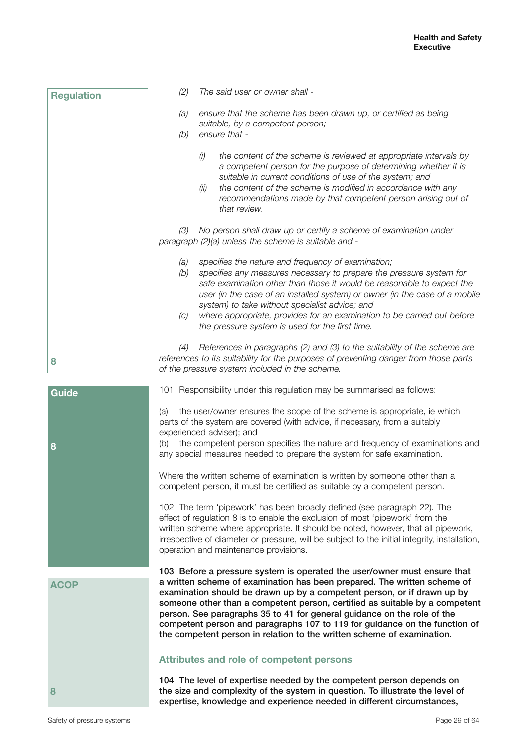| <b>Regulation</b> | (2)<br>The said user or owner shall -                                                                                                                                                                                                                                                                                                                                                                                                                                 |
|-------------------|-----------------------------------------------------------------------------------------------------------------------------------------------------------------------------------------------------------------------------------------------------------------------------------------------------------------------------------------------------------------------------------------------------------------------------------------------------------------------|
|                   | ensure that the scheme has been drawn up, or certified as being<br>(a)                                                                                                                                                                                                                                                                                                                                                                                                |
|                   | suitable, by a competent person;<br>ensure that -<br>(b)                                                                                                                                                                                                                                                                                                                                                                                                              |
|                   | (i)<br>the content of the scheme is reviewed at appropriate intervals by<br>a competent person for the purpose of determining whether it is<br>suitable in current conditions of use of the system; and<br>the content of the scheme is modified in accordance with any<br>(ii)<br>recommendations made by that competent person arising out of<br>that review.                                                                                                       |
|                   | No person shall draw up or certify a scheme of examination under<br>(3)<br>paragraph (2)(a) unless the scheme is suitable and -                                                                                                                                                                                                                                                                                                                                       |
|                   | specifies the nature and frequency of examination;<br>(a)                                                                                                                                                                                                                                                                                                                                                                                                             |
|                   | specifies any measures necessary to prepare the pressure system for<br>(b)<br>safe examination other than those it would be reasonable to expect the<br>user (in the case of an installed system) or owner (in the case of a mobile<br>system) to take without specialist advice; and                                                                                                                                                                                 |
|                   | where appropriate, provides for an examination to be carried out before<br>(C)<br>the pressure system is used for the first time.                                                                                                                                                                                                                                                                                                                                     |
| 8                 | References in paragraphs (2) and (3) to the suitability of the scheme are<br>(4)<br>references to its suitability for the purposes of preventing danger from those parts<br>of the pressure system included in the scheme.                                                                                                                                                                                                                                            |
| <b>Guide</b>      | 101 Responsibility under this regulation may be summarised as follows:                                                                                                                                                                                                                                                                                                                                                                                                |
|                   | the user/owner ensures the scope of the scheme is appropriate, ie which<br>(a)<br>parts of the system are covered (with advice, if necessary, from a suitably<br>experienced adviser); and                                                                                                                                                                                                                                                                            |
| 8                 | the competent person specifies the nature and frequency of examinations and<br>(b)<br>any special measures needed to prepare the system for safe examination.                                                                                                                                                                                                                                                                                                         |
|                   | Where the written scheme of examination is written by someone other than a<br>competent person, it must be certified as suitable by a competent person.                                                                                                                                                                                                                                                                                                               |
|                   | 102 The term 'pipework' has been broadly defined (see paragraph 22). The<br>effect of regulation 8 is to enable the exclusion of most 'pipework' from the<br>written scheme where appropriate. It should be noted, however, that all pipework,<br>irrespective of diameter or pressure, will be subject to the initial integrity, installation,<br>operation and maintenance provisions.                                                                              |
|                   | 103 Before a pressure system is operated the user/owner must ensure that                                                                                                                                                                                                                                                                                                                                                                                              |
| <b>ACOP</b>       | a written scheme of examination has been prepared. The written scheme of<br>examination should be drawn up by a competent person, or if drawn up by<br>someone other than a competent person, certified as suitable by a competent<br>person. See paragraphs 35 to 41 for general guidance on the role of the<br>competent person and paragraphs 107 to 119 for guidance on the function of<br>the competent person in relation to the written scheme of examination. |
|                   | <b>Attributes and role of competent persons</b>                                                                                                                                                                                                                                                                                                                                                                                                                       |
| 8                 | 104 The level of expertise needed by the competent person depends on<br>the size and complexity of the system in question. To illustrate the level of<br>expertise, knowledge and experience needed in different circumstances,                                                                                                                                                                                                                                       |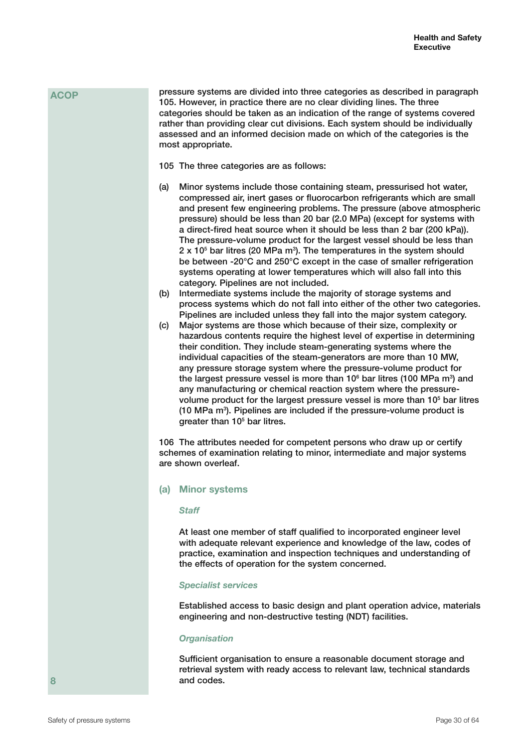| <b>ACOP</b> | pressure systems are divided into three categories as described in paragraph<br>105. However, in practice there are no clear dividing lines. The three<br>categories should be taken as an indication of the range of systems covered<br>rather than providing clear cut divisions. Each system should be individually<br>assessed and an informed decision made on which of the categories is the<br>most appropriate.                                                                                                                                                                                                                                                                                                                                                                                                                     |
|-------------|---------------------------------------------------------------------------------------------------------------------------------------------------------------------------------------------------------------------------------------------------------------------------------------------------------------------------------------------------------------------------------------------------------------------------------------------------------------------------------------------------------------------------------------------------------------------------------------------------------------------------------------------------------------------------------------------------------------------------------------------------------------------------------------------------------------------------------------------|
|             | 105 The three categories are as follows:                                                                                                                                                                                                                                                                                                                                                                                                                                                                                                                                                                                                                                                                                                                                                                                                    |
|             | Minor systems include those containing steam, pressurised hot water,<br>(a)<br>compressed air, inert gases or fluorocarbon refrigerants which are small<br>and present few engineering problems. The pressure (above atmospheric<br>pressure) should be less than 20 bar (2.0 MPa) (except for systems with<br>a direct-fired heat source when it should be less than 2 bar (200 kPa)).<br>The pressure-volume product for the largest vessel should be less than<br>$2 \times 10^5$ bar litres (20 MPa m <sup>3</sup> ). The temperatures in the system should<br>be between -20°C and 250°C except in the case of smaller refrigeration<br>systems operating at lower temperatures which will also fall into this<br>category. Pipelines are not included.                                                                                |
|             | Intermediate systems include the majority of storage systems and<br>(b)<br>process systems which do not fall into either of the other two categories.                                                                                                                                                                                                                                                                                                                                                                                                                                                                                                                                                                                                                                                                                       |
|             | Pipelines are included unless they fall into the major system category.<br>Major systems are those which because of their size, complexity or<br>(c)<br>hazardous contents require the highest level of expertise in determining<br>their condition. They include steam-generating systems where the<br>individual capacities of the steam-generators are more than 10 MW,<br>any pressure storage system where the pressure-volume product for<br>the largest pressure vessel is more than $106$ bar litres (100 MPa m <sup>3</sup> ) and<br>any manufacturing or chemical reaction system where the pressure-<br>volume product for the largest pressure vessel is more than 10 <sup>5</sup> bar litres<br>(10 MPa m <sup>3</sup> ). Pipelines are included if the pressure-volume product is<br>greater than 10 <sup>5</sup> bar litres. |
|             | 106 The attributes needed for competent persons who draw up or certify<br>schemes of examination relating to minor, intermediate and major systems<br>are shown overleaf.                                                                                                                                                                                                                                                                                                                                                                                                                                                                                                                                                                                                                                                                   |
|             | (a)<br><b>Minor systems</b>                                                                                                                                                                                                                                                                                                                                                                                                                                                                                                                                                                                                                                                                                                                                                                                                                 |
|             | <b>Staff</b>                                                                                                                                                                                                                                                                                                                                                                                                                                                                                                                                                                                                                                                                                                                                                                                                                                |
|             | At least one member of staff qualified to incorporated engineer level<br>with adequate relevant experience and knowledge of the law, codes of<br>practice, examination and inspection techniques and understanding of<br>the effects of operation for the system concerned.                                                                                                                                                                                                                                                                                                                                                                                                                                                                                                                                                                 |
|             | <b>Specialist services</b>                                                                                                                                                                                                                                                                                                                                                                                                                                                                                                                                                                                                                                                                                                                                                                                                                  |
|             | Established access to basic design and plant operation advice, materials<br>engineering and non-destructive testing (NDT) facilities.                                                                                                                                                                                                                                                                                                                                                                                                                                                                                                                                                                                                                                                                                                       |
|             | <b>Organisation</b>                                                                                                                                                                                                                                                                                                                                                                                                                                                                                                                                                                                                                                                                                                                                                                                                                         |
|             | Sufficient organisation to ensure a reasonable document storage and<br>retrieval system with ready access to relevant law, technical standards                                                                                                                                                                                                                                                                                                                                                                                                                                                                                                                                                                                                                                                                                              |

and codes.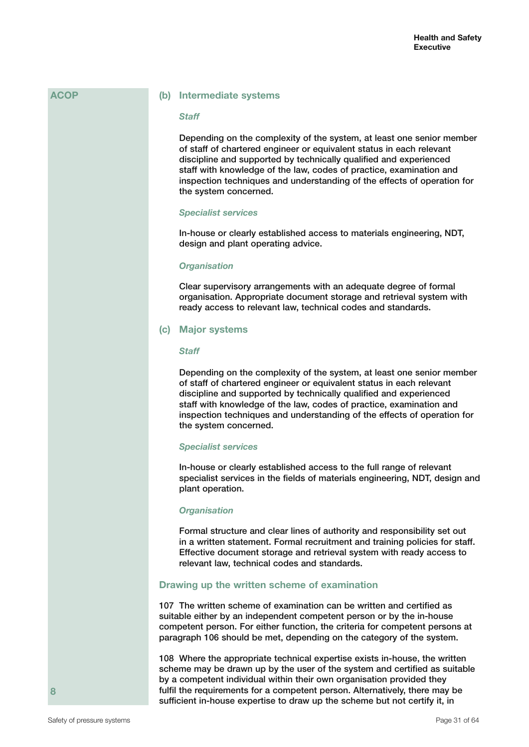#### **(b) Intermediate systems**

#### *Staff*

Depending on the complexity of the system, at least one senior member of staff of chartered engineer or equivalent status in each relevant discipline and supported by technically qualified and experienced staff with knowledge of the law, codes of practice, examination and inspection techniques and understanding of the effects of operation for the system concerned.

#### *Specialist services*

In-house or clearly established access to materials engineering, NDT, design and plant operating advice.

#### *Organisation*

Clear supervisory arrangements with an adequate degree of formal organisation. Appropriate document storage and retrieval system with ready access to relevant law, technical codes and standards.

#### **(c) Major systems**

#### *Staff*

Depending on the complexity of the system, at least one senior member of staff of chartered engineer or equivalent status in each relevant discipline and supported by technically qualified and experienced staff with knowledge of the law, codes of practice, examination and inspection techniques and understanding of the effects of operation for the system concerned.

#### *Specialist services*

In-house or clearly established access to the full range of relevant specialist services in the fields of materials engineering, NDT, design and plant operation.

#### *Organisation*

Formal structure and clear lines of authority and responsibility set out in a written statement. Formal recruitment and training policies for staff. Effective document storage and retrieval system with ready access to relevant law, technical codes and standards.

#### **Drawing up the written scheme of examination**

107 The written scheme of examination can be written and certified as suitable either by an independent competent person or by the in-house competent person. For either function, the criteria for competent persons at paragraph 106 should be met, depending on the category of the system.

108 Where the appropriate technical expertise exists in-house, the written scheme may be drawn up by the user of the system and certified as suitable by a competent individual within their own organisation provided they fulfil the requirements for a competent person. Alternatively, there may be sufficient in-house expertise to draw up the scheme but not certify it, in

**ACOP**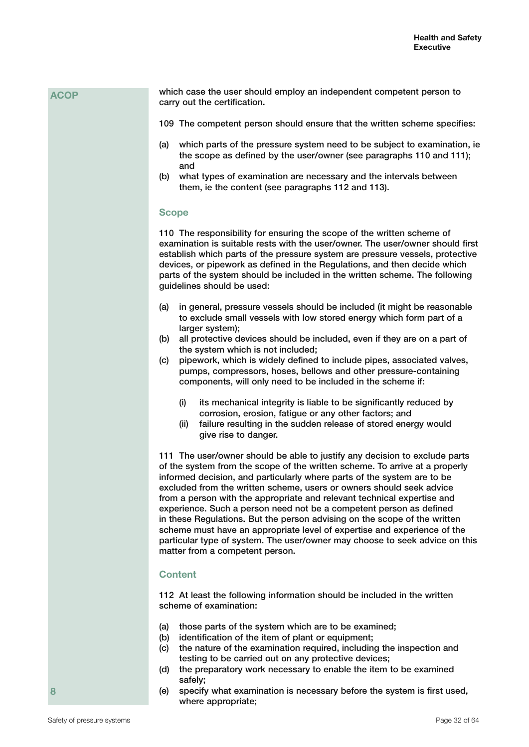which case the user should employ an independent competent person to carry out the certification.

109 The competent person should ensure that the written scheme specifies:

- (a) which parts of the pressure system need to be subject to examination, ie the scope as defined by the user/owner (see paragraphs 110 and 111); and
- (b) what types of examination are necessary and the intervals between them, ie the content (see paragraphs 112 and 113).

#### **Scope**

110 The responsibility for ensuring the scope of the written scheme of examination is suitable rests with the user/owner. The user/owner should first establish which parts of the pressure system are pressure vessels, protective devices, or pipework as defined in the Regulations, and then decide which parts of the system should be included in the written scheme. The following guidelines should be used:

- (a) in general, pressure vessels should be included (it might be reasonable to exclude small vessels with low stored energy which form part of a larger system);
- (b) all protective devices should be included, even if they are on a part of the system which is not included;
- (c) pipework, which is widely defined to include pipes, associated valves, pumps, compressors, hoses, bellows and other pressure-containing components, will only need to be included in the scheme if:
	- (i) its mechanical integrity is liable to be significantly reduced by corrosion, erosion, fatigue or any other factors; and
	- (ii) failure resulting in the sudden release of stored energy would give rise to danger.

111 The user/owner should be able to justify any decision to exclude parts of the system from the scope of the written scheme. To arrive at a properly informed decision, and particularly where parts of the system are to be excluded from the written scheme, users or owners should seek advice from a person with the appropriate and relevant technical expertise and experience. Such a person need not be a competent person as defined in these Regulations. But the person advising on the scope of the written scheme must have an appropriate level of expertise and experience of the particular type of system. The user/owner may choose to seek advice on this matter from a competent person.

#### **Content**

112 At least the following information should be included in the written scheme of examination:

- (a) those parts of the system which are to be examined;
- (b) identification of the item of plant or equipment;
- (c) the nature of the examination required, including the inspection and testing to be carried out on any protective devices;
- (d) the preparatory work necessary to enable the item to be examined safely;
- (e) specify what examination is necessary before the system is first used, where appropriate;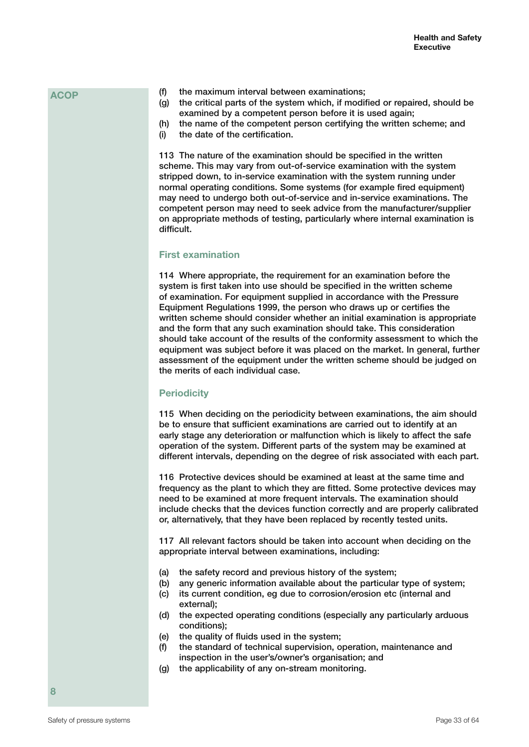- (f) the maximum interval between examinations;
- (g) the critical parts of the system which, if modified or repaired, should be examined by a competent person before it is used again;
- (h) the name of the competent person certifying the written scheme; and
- (i) the date of the certification.

113 The nature of the examination should be specified in the written scheme. This may vary from out-of-service examination with the system stripped down, to in-service examination with the system running under normal operating conditions. Some systems (for example fired equipment) may need to undergo both out-of-service and in-service examinations. The competent person may need to seek advice from the manufacturer/supplier on appropriate methods of testing, particularly where internal examination is difficult.

#### **First examination**

114 Where appropriate, the requirement for an examination before the system is first taken into use should be specified in the written scheme of examination. For equipment supplied in accordance with the Pressure Equipment Regulations 1999, the person who draws up or certifies the written scheme should consider whether an initial examination is appropriate and the form that any such examination should take. This consideration should take account of the results of the conformity assessment to which the equipment was subject before it was placed on the market. In general, further assessment of the equipment under the written scheme should be judged on the merits of each individual case.

#### **Periodicity**

115 When deciding on the periodicity between examinations, the aim should be to ensure that sufficient examinations are carried out to identify at an early stage any deterioration or malfunction which is likely to affect the safe operation of the system. Different parts of the system may be examined at different intervals, depending on the degree of risk associated with each part.

116 Protective devices should be examined at least at the same time and frequency as the plant to which they are fitted. Some protective devices may need to be examined at more frequent intervals. The examination should include checks that the devices function correctly and are properly calibrated or, alternatively, that they have been replaced by recently tested units.

117 All relevant factors should be taken into account when deciding on the appropriate interval between examinations, including:

- (a) the safety record and previous history of the system;
- (b) any generic information available about the particular type of system;
- (c) its current condition, eg due to corrosion/erosion etc (internal and external);
- (d) the expected operating conditions (especially any particularly arduous conditions);
- (e) the quality of fluids used in the system;
- (f) the standard of technical supervision, operation, maintenance and inspection in the user's/owner's organisation; and
- (g) the applicability of any on-stream monitoring.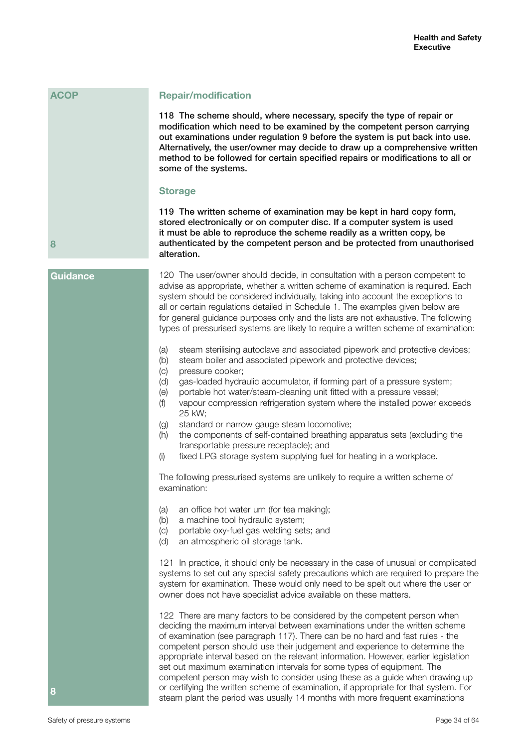#### **Repair/modification**

118 The scheme should, where necessary, specify the type of repair or modification which need to be examined by the competent person carrying out examinations under regulation 9 before the system is put back into use. Alternatively, the user/owner may decide to draw up a comprehensive written method to be followed for certain specified repairs or modifications to all or some of the systems.

#### **Storage**

119 The written scheme of examination may be kept in hard copy form, stored electronically or on computer disc. If a computer system is used it must be able to reproduce the scheme readily as a written copy, be authenticated by the competent person and be protected from unauthorised alteration.

#### **Guidance**

**8**

120 The user/owner should decide, in consultation with a person competent to advise as appropriate, whether a written scheme of examination is required. Each system should be considered individually, taking into account the exceptions to all or certain regulations detailed in Schedule 1. The examples given below are for general guidance purposes only and the lists are not exhaustive. The following types of pressurised systems are likely to require a written scheme of examination:

- (a) steam sterilising autoclave and associated pipework and protective devices;
- (b) steam boiler and associated pipework and protective devices;
- (c) pressure cooker;
- (d) gas-loaded hydraulic accumulator, if forming part of a pressure system;
- (e) portable hot water/steam-cleaning unit fitted with a pressure vessel;
- (f) vapour compression refrigeration system where the installed power exceeds 25 kW;
- (g) standard or narrow gauge steam locomotive;
- (h) the components of self-contained breathing apparatus sets (excluding the transportable pressure receptacle); and
- (i) fixed LPG storage system supplying fuel for heating in a workplace.

The following pressurised systems are unlikely to require a written scheme of examination:

- (a) an office hot water urn (for tea making);
- (b) a machine tool hydraulic system;
- (c) portable oxy-fuel gas welding sets; and
- (d) an atmospheric oil storage tank.

121 In practice, it should only be necessary in the case of unusual or complicated systems to set out any special safety precautions which are required to prepare the system for examination. These would only need to be spelt out where the user or owner does not have specialist advice available on these matters.

122 There are many factors to be considered by the competent person when deciding the maximum interval between examinations under the written scheme of examination (see paragraph 117). There can be no hard and fast rules - the competent person should use their judgement and experience to determine the appropriate interval based on the relevant information. However, earlier legislation set out maximum examination intervals for some types of equipment. The competent person may wish to consider using these as a guide when drawing up or certifying the written scheme of examination, if appropriate for that system. For steam plant the period was usually 14 months with more frequent examinations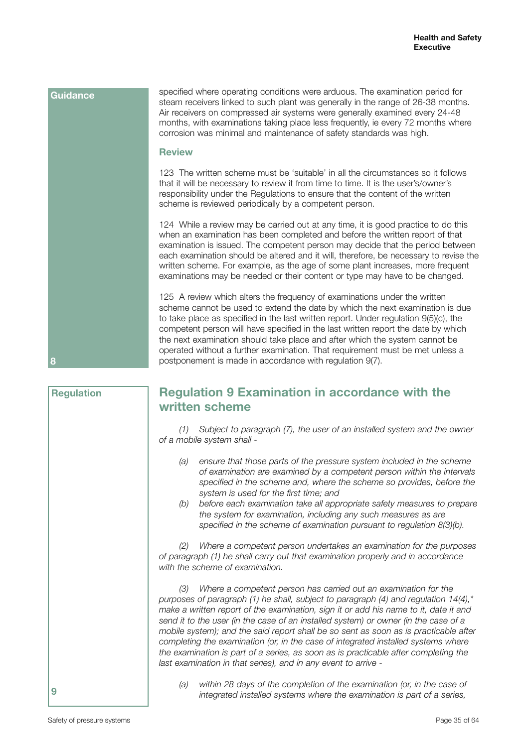#### **Guidance**

specified where operating conditions were arduous. The examination period for steam receivers linked to such plant was generally in the range of 26-38 months. Air receivers on compressed air systems were generally examined every 24-48 months, with examinations taking place less frequently, ie every 72 months where corrosion was minimal and maintenance of safety standards was high.

#### **Review**

123 The written scheme must be 'suitable' in all the circumstances so it follows that it will be necessary to review it from time to time. It is the user's/owner's responsibility under the Regulations to ensure that the content of the written scheme is reviewed periodically by a competent person.

124 While a review may be carried out at any time, it is good practice to do this when an examination has been completed and before the written report of that examination is issued. The competent person may decide that the period between each examination should be altered and it will, therefore, be necessary to revise the written scheme. For example, as the age of some plant increases, more frequent examinations may be needed or their content or type may have to be changed.

125 A review which alters the frequency of examinations under the written scheme cannot be used to extend the date by which the next examination is due to take place as specified in the last written report. Under regulation 9(5)(c), the competent person will have specified in the last written report the date by which the next examination should take place and after which the system cannot be operated without a further examination. That requirement must be met unless a postponement is made in accordance with regulation 9(7).

**Regulation**

**8**

### **Regulation 9 Examination in accordance with the written scheme**

*(1) Subject to paragraph (7), the user of an installed system and the owner of a mobile system shall -* 

- *(a) ensure that those parts of the pressure system included in the scheme of examination are examined by a competent person within the intervals specified in the scheme and, where the scheme so provides, before the system is used for the first time; and*
- *(b) before each examination take all appropriate safety measures to prepare the system for examination, including any such measures as are specified in the scheme of examination pursuant to regulation 8(3)(b).*

*(2) Where a competent person undertakes an examination for the purposes of paragraph (1) he shall carry out that examination properly and in accordance with the scheme of examination.*

*(3) Where a competent person has carried out an examination for the purposes of paragraph (1) he shall, subject to paragraph (4) and regulation 14(4),\* make a written report of the examination, sign it or add his name to it, date it and send it to the user (in the case of an installed system) or owner (in the case of a mobile system); and the said report shall be so sent as soon as is practicable after completing the examination (or, in the case of integrated installed systems where the examination is part of a series, as soon as is practicable after completing the last examination in that series), and in any event to arrive -*

*(a) within 28 days of the completion of the examination (or, in the case of integrated installed systems where the examination is part of a series,*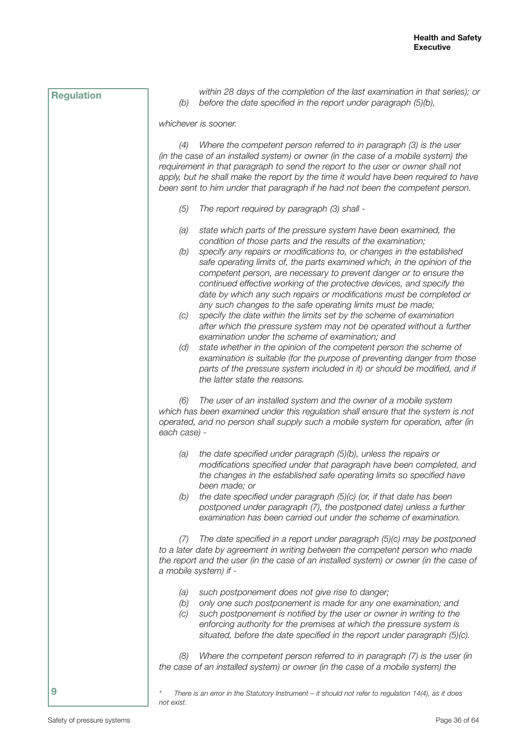| <b>Regulation</b> | within 28 days of the completion of the last examination in that series); or<br>before the date specified in the report under paragraph (5)(b),<br>(b)                                                                                                                                                                                                                                                                                                                                                                                                                                                                                                                                                                                                                                                                                                                                                                                                                                                                                                                          |
|-------------------|---------------------------------------------------------------------------------------------------------------------------------------------------------------------------------------------------------------------------------------------------------------------------------------------------------------------------------------------------------------------------------------------------------------------------------------------------------------------------------------------------------------------------------------------------------------------------------------------------------------------------------------------------------------------------------------------------------------------------------------------------------------------------------------------------------------------------------------------------------------------------------------------------------------------------------------------------------------------------------------------------------------------------------------------------------------------------------|
|                   | whichever is sooner.                                                                                                                                                                                                                                                                                                                                                                                                                                                                                                                                                                                                                                                                                                                                                                                                                                                                                                                                                                                                                                                            |
|                   | (4) Where the competent person referred to in paragraph (3) is the user<br>(in the case of an installed system) or owner (in the case of a mobile system) the<br>requirement in that paragraph to send the report to the user or owner shall not<br>apply, but he shall make the report by the time it would have been required to have<br>been sent to him under that paragraph if he had not been the competent person.                                                                                                                                                                                                                                                                                                                                                                                                                                                                                                                                                                                                                                                       |
|                   | (5)<br>The report required by paragraph (3) shall -                                                                                                                                                                                                                                                                                                                                                                                                                                                                                                                                                                                                                                                                                                                                                                                                                                                                                                                                                                                                                             |
|                   | state which parts of the pressure system have been examined, the<br>(a)<br>condition of those parts and the results of the examination;<br>specify any repairs or modifications to, or changes in the established<br>(b)<br>safe operating limits of, the parts examined which, in the opinion of the<br>competent person, are necessary to prevent danger or to ensure the<br>continued effective working of the protective devices, and specify the<br>date by which any such repairs or modifications must be completed or<br>any such changes to the safe operating limits must be made;<br>specify the date within the limits set by the scheme of examination<br>(C)<br>after which the pressure system may not be operated without a further<br>examination under the scheme of examination; and<br>state whether in the opinion of the competent person the scheme of<br>(d)<br>examination is suitable (for the purpose of preventing danger from those<br>parts of the pressure system included in it) or should be modified, and if<br>the latter state the reasons. |
|                   | The user of an installed system and the owner of a mobile system<br>(6)<br>which has been examined under this regulation shall ensure that the system is not<br>operated, and no person shall supply such a mobile system for operation, after (in<br>each case) -                                                                                                                                                                                                                                                                                                                                                                                                                                                                                                                                                                                                                                                                                                                                                                                                              |
|                   | the date specified under paragraph (5)(b), unless the repairs or<br>(a)<br>modifications specified under that paragraph have been completed, and<br>the changes in the established safe operating limits so specified have<br>been made; or<br>(b)<br>the date specified under paragraph $(5)(c)$ (or, if that date has been<br>postponed under paragraph (7), the postponed date) unless a further<br>examination has been carried out under the scheme of examination.                                                                                                                                                                                                                                                                                                                                                                                                                                                                                                                                                                                                        |
|                   | The date specified in a report under paragraph (5)(c) may be postponed<br>(7)<br>to a later date by agreement in writing between the competent person who made<br>the report and the user (in the case of an installed system) or owner (in the case of<br>a mobile system) if -                                                                                                                                                                                                                                                                                                                                                                                                                                                                                                                                                                                                                                                                                                                                                                                                |
|                   | such postponement does not give rise to danger;<br>(a)<br>only one such postponement is made for any one examination; and<br>(b)<br>such postponement is notified by the user or owner in writing to the<br>(C)<br>enforcing authority for the premises at which the pressure system is<br>situated, before the date specified in the report under paragraph (5)(c).                                                                                                                                                                                                                                                                                                                                                                                                                                                                                                                                                                                                                                                                                                            |
|                   | Where the competent person referred to in paragraph (7) is the user (in<br>(8)<br>the case of an installed system) or owner (in the case of a mobile system) the                                                                                                                                                                                                                                                                                                                                                                                                                                                                                                                                                                                                                                                                                                                                                                                                                                                                                                                |
|                   | There is an error in the Statutory Instrument - it should not refer to regulation 14(4), as it does                                                                                                                                                                                                                                                                                                                                                                                                                                                                                                                                                                                                                                                                                                                                                                                                                                                                                                                                                                             |

*not exist.*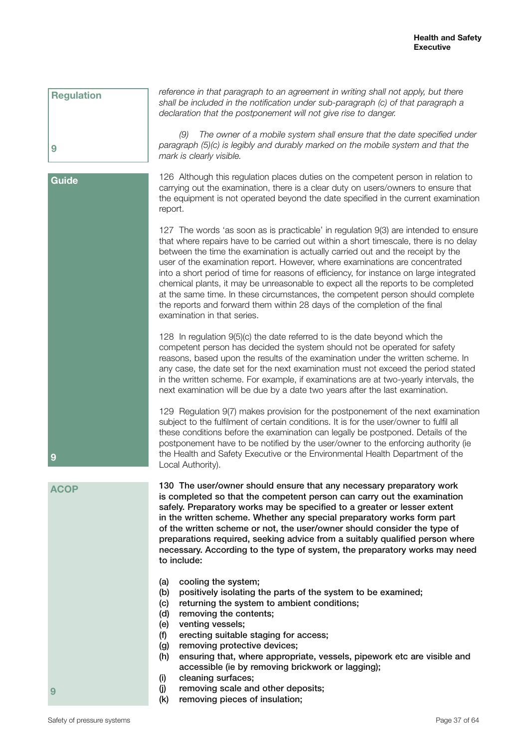| <b>Regulation</b> | reference in that paragraph to an agreement in writing shall not apply, but there<br>shall be included in the notification under sub-paragraph (c) of that paragraph a<br>declaration that the postponement will not give rise to danger.                                                                                                                                                                                                                                                                                                                                                                                                                                                                                      |
|-------------------|--------------------------------------------------------------------------------------------------------------------------------------------------------------------------------------------------------------------------------------------------------------------------------------------------------------------------------------------------------------------------------------------------------------------------------------------------------------------------------------------------------------------------------------------------------------------------------------------------------------------------------------------------------------------------------------------------------------------------------|
| 9                 | The owner of a mobile system shall ensure that the date specified under<br>(9)<br>paragraph (5)(c) is legibly and durably marked on the mobile system and that the<br>mark is clearly visible.                                                                                                                                                                                                                                                                                                                                                                                                                                                                                                                                 |
| Guide             | 126 Although this regulation places duties on the competent person in relation to<br>carrying out the examination, there is a clear duty on users/owners to ensure that<br>the equipment is not operated beyond the date specified in the current examination<br>report.                                                                                                                                                                                                                                                                                                                                                                                                                                                       |
|                   | 127 The words 'as soon as is practicable' in regulation 9(3) are intended to ensure<br>that where repairs have to be carried out within a short timescale, there is no delay<br>between the time the examination is actually carried out and the receipt by the<br>user of the examination report. However, where examinations are concentrated<br>into a short period of time for reasons of efficiency, for instance on large integrated<br>chemical plants, it may be unreasonable to expect all the reports to be completed<br>at the same time. In these circumstances, the competent person should complete<br>the reports and forward them within 28 days of the completion of the final<br>examination in that series. |
|                   | 128 In regulation 9(5)(c) the date referred to is the date beyond which the<br>competent person has decided the system should not be operated for safety<br>reasons, based upon the results of the examination under the written scheme. In<br>any case, the date set for the next examination must not exceed the period stated<br>in the written scheme. For example, if examinations are at two-yearly intervals, the<br>next examination will be due by a date two years after the last examination.                                                                                                                                                                                                                       |
| $\overline{9}$    | 129 Regulation 9(7) makes provision for the postponement of the next examination<br>subject to the fulfilment of certain conditions. It is for the user/owner to fulfil all<br>these conditions before the examination can legally be postponed. Details of the<br>postponement have to be notified by the user/owner to the enforcing authority (ie<br>the Health and Safety Executive or the Environmental Health Department of the<br>Local Authority).                                                                                                                                                                                                                                                                     |
| <b>ACOP</b>       | 130 The user/owner should ensure that any necessary preparatory work<br>is completed so that the competent person can carry out the examination<br>safely. Preparatory works may be specified to a greater or lesser extent<br>in the written scheme. Whether any special preparatory works form part<br>of the written scheme or not, the user/owner should consider the type of<br>preparations required, seeking advice from a suitably qualified person where<br>necessary. According to the type of system, the preparatory works may need<br>to include:                                                                                                                                                                 |
|                   | cooling the system;<br>(a)<br>positively isolating the parts of the system to be examined;<br>(b)<br>returning the system to ambient conditions;<br>(c)<br>(d)<br>removing the contents;<br>(e)<br>venting vessels;<br>erecting suitable staging for access;<br>(f)<br>(g)<br>removing protective devices;<br>ensuring that, where appropriate, vessels, pipework etc are visible and<br>(h)<br>accessible (ie by removing brickwork or lagging);                                                                                                                                                                                                                                                                              |
| 9                 | cleaning surfaces;<br>(i)<br>removing scale and other deposits;<br>(j)<br>removing pieces of insulation;<br>(k)                                                                                                                                                                                                                                                                                                                                                                                                                                                                                                                                                                                                                |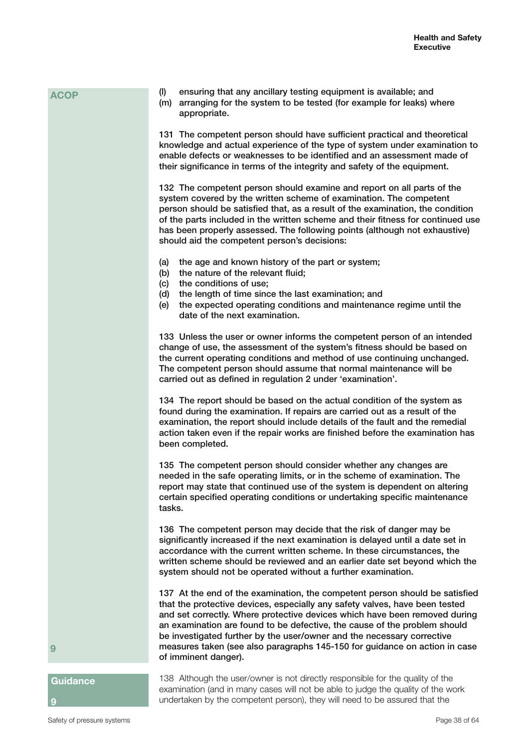| <b>ACOP</b> | ensuring that any ancillary testing equipment is available; and<br>(1)<br>(m) arranging for the system to be tested (for example for leaks) where<br>appropriate.                                                                                                                                                                                                                                                                                                                                     |
|-------------|-------------------------------------------------------------------------------------------------------------------------------------------------------------------------------------------------------------------------------------------------------------------------------------------------------------------------------------------------------------------------------------------------------------------------------------------------------------------------------------------------------|
|             | 131 The competent person should have sufficient practical and theoretical<br>knowledge and actual experience of the type of system under examination to<br>enable defects or weaknesses to be identified and an assessment made of<br>their significance in terms of the integrity and safety of the equipment.                                                                                                                                                                                       |
|             | 132 The competent person should examine and report on all parts of the<br>system covered by the written scheme of examination. The competent<br>person should be satisfied that, as a result of the examination, the condition<br>of the parts included in the written scheme and their fitness for continued use<br>has been properly assessed. The following points (although not exhaustive)<br>should aid the competent person's decisions:                                                       |
|             | the age and known history of the part or system;<br>(a)<br>the nature of the relevant fluid;<br>(b)<br>the conditions of use;<br>(c)                                                                                                                                                                                                                                                                                                                                                                  |
|             | the length of time since the last examination; and<br>(d)<br>the expected operating conditions and maintenance regime until the<br>(e)<br>date of the next examination.                                                                                                                                                                                                                                                                                                                               |
|             | 133 Unless the user or owner informs the competent person of an intended<br>change of use, the assessment of the system's fitness should be based on<br>the current operating conditions and method of use continuing unchanged.<br>The competent person should assume that normal maintenance will be<br>carried out as defined in regulation 2 under 'examination'.                                                                                                                                 |
|             | 134 The report should be based on the actual condition of the system as<br>found during the examination. If repairs are carried out as a result of the<br>examination, the report should include details of the fault and the remedial<br>action taken even if the repair works are finished before the examination has<br>been completed.                                                                                                                                                            |
|             | 135 The competent person should consider whether any changes are<br>needed in the safe operating limits, or in the scheme of examination. The<br>report may state that continued use of the system is dependent on altering<br>certain specified operating conditions or undertaking specific maintenance<br>tasks.                                                                                                                                                                                   |
|             | 136 The competent person may decide that the risk of danger may be<br>significantly increased if the next examination is delayed until a date set in<br>accordance with the current written scheme. In these circumstances, the<br>written scheme should be reviewed and an earlier date set beyond which the<br>system should not be operated without a further examination.                                                                                                                         |
| 9           | 137 At the end of the examination, the competent person should be satisfied<br>that the protective devices, especially any safety valves, have been tested<br>and set correctly. Where protective devices which have been removed during<br>an examination are found to be defective, the cause of the problem should<br>be investigated further by the user/owner and the necessary corrective<br>measures taken (see also paragraphs 145-150 for guidance on action in case<br>of imminent danger). |
| Guidance    | 138 Although the user/owner is not directly responsible for the quality of the<br>examination (and in many cases will not be able to judge the quality of the work                                                                                                                                                                                                                                                                                                                                    |

undertaken by the competent person), they will need to be assured that the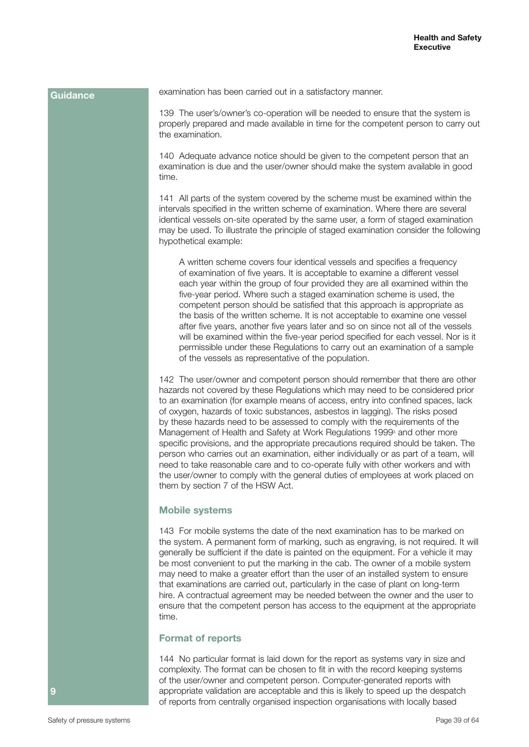#### **Guidance**

examination has been carried out in a satisfactory manner.

139 The user's/owner's co-operation will be needed to ensure that the system is properly prepared and made available in time for the competent person to carry out the examination.

140 Adequate advance notice should be given to the competent person that an examination is due and the user/owner should make the system available in good time.

141 All parts of the system covered by the scheme must be examined within the intervals specified in the written scheme of examination. Where there are several identical vessels on-site operated by the same user, a form of staged examination may be used. To illustrate the principle of staged examination consider the following hypothetical example:

A written scheme covers four identical vessels and specifies a frequency of examination of five years. It is acceptable to examine a different vessel each year within the group of four provided they are all examined within the five-year period. Where such a staged examination scheme is used, the competent person should be satisfied that this approach is appropriate as the basis of the written scheme. It is not acceptable to examine one vessel after five years, another five years later and so on since not all of the vessels will be examined within the five-year period specified for each vessel. Nor is it permissible under these Regulations to carry out an examination of a sample of the vessels as representative of the population.

142 The user/owner and competent person should remember that there are other hazards not covered by these Regulations which may need to be considered prior to an examination (for example means of access, entry into confined spaces, lack of oxygen, hazards of toxic substances, asbestos in lagging). The risks posed by these hazards need to be assessed to comply with the requirements of the Management of Health and Safety at Work Regulations 1999<sup>3</sup> and other more specific provisions, and the appropriate precautions required should be taken. The person who carries out an examination, either individually or as part of a team, will need to take reasonable care and to co-operate fully with other workers and with the user/owner to comply with the general duties of employees at work placed on them by section 7 of the HSW Act.

#### **Mobile systems**

143 For mobile systems the date of the next examination has to be marked on the system. A permanent form of marking, such as engraving, is not required. It will generally be sufficient if the date is painted on the equipment. For a vehicle it may be most convenient to put the marking in the cab. The owner of a mobile system may need to make a greater effort than the user of an installed system to ensure that examinations are carried out, particularly in the case of plant on long-term hire. A contractual agreement may be needed between the owner and the user to ensure that the competent person has access to the equipment at the appropriate time.

#### **Format of reports**

144 No particular format is laid down for the report as systems vary in size and complexity. The format can be chosen to fit in with the record keeping systems of the user/owner and competent person. Computer-generated reports with appropriate validation are acceptable and this is likely to speed up the despatch of reports from centrally organised inspection organisations with locally based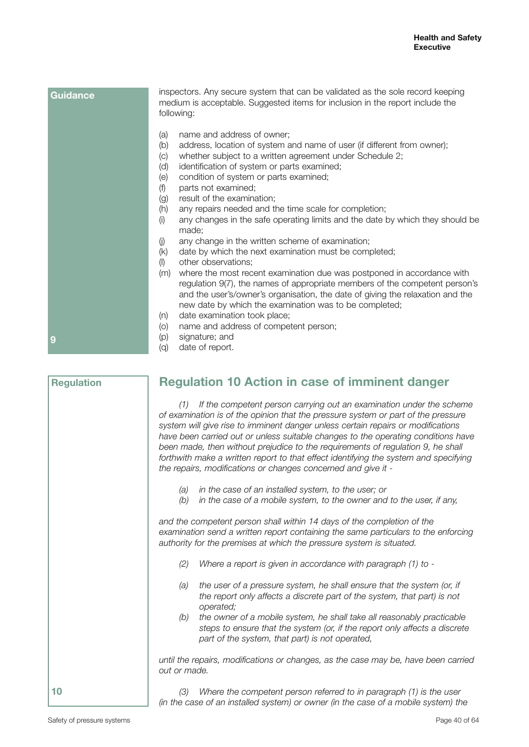| <b>Guidance</b>   | inspectors. Any secure system that can be validated as the sole record keeping<br>medium is acceptable. Suggested items for inclusion in the report include the<br>following:                                                                                                                                                                                                                                                                                                                                                                                                                                                                                |
|-------------------|--------------------------------------------------------------------------------------------------------------------------------------------------------------------------------------------------------------------------------------------------------------------------------------------------------------------------------------------------------------------------------------------------------------------------------------------------------------------------------------------------------------------------------------------------------------------------------------------------------------------------------------------------------------|
|                   | name and address of owner:<br>(a)<br>address, location of system and name of user (if different from owner);<br>(b)<br>whether subject to a written agreement under Schedule 2;<br>(c)<br>(d)<br>identification of system or parts examined;<br>condition of system or parts examined;<br>(e)<br>(f)<br>parts not examined;<br>result of the examination;<br>(g)<br>(h)<br>any repairs needed and the time scale for completion;<br>any changes in the safe operating limits and the date by which they should be<br>(i)<br>made;<br>any change in the written scheme of examination;<br>(i)<br>date by which the next examination must be completed;<br>(k) |
| 9                 | other observations;<br>(1)<br>where the most recent examination due was postponed in accordance with<br>(m)<br>regulation 9(7), the names of appropriate members of the competent person's<br>and the user's/owner's organisation, the date of giving the relaxation and the<br>new date by which the examination was to be completed;<br>date examination took place;<br>(n)<br>name and address of competent person;<br>(0)<br>signature; and<br>(p)<br>date of report.<br>(q)                                                                                                                                                                             |
| <b>Regulation</b> | <b>Regulation 10 Action in case of imminent danger</b><br>If the competent person carrying out an examination under the scheme<br>(1)                                                                                                                                                                                                                                                                                                                                                                                                                                                                                                                        |

*of examination is of the opinion that the pressure system or part of the pressure system will give rise to imminent danger unless certain repairs or modifications have been carried out or unless suitable changes to the operating conditions have been made, then without prejudice to the requirements of regulation 9, he shall*  forthwith make a written report to that effect identifying the system and specifying *the repairs, modifications or changes concerned and give it -* 

- *(a) in the case of an installed system, to the user; or*
- *(b) in the case of a mobile system, to the owner and to the user, if any,*

*and the competent person shall within 14 days of the completion of the examination send a written report containing the same particulars to the enforcing authority for the premises at which the pressure system is situated.*

- *(2) Where a report is given in accordance with paragraph (1) to*
- *(a) the user of a pressure system, he shall ensure that the system (or, if the report only affects a discrete part of the system, that part) is not operated;*
- *(b) the owner of a mobile system, he shall take all reasonably practicable steps to ensure that the system (or, if the report only affects a discrete part of the system, that part) is not operated,*

*until the repairs, modifications or changes, as the case may be, have been carried out or made.*

*(3) Where the competent person referred to in paragraph (1) is the user (in the case of an installed system) or owner (in the case of a mobile system) the*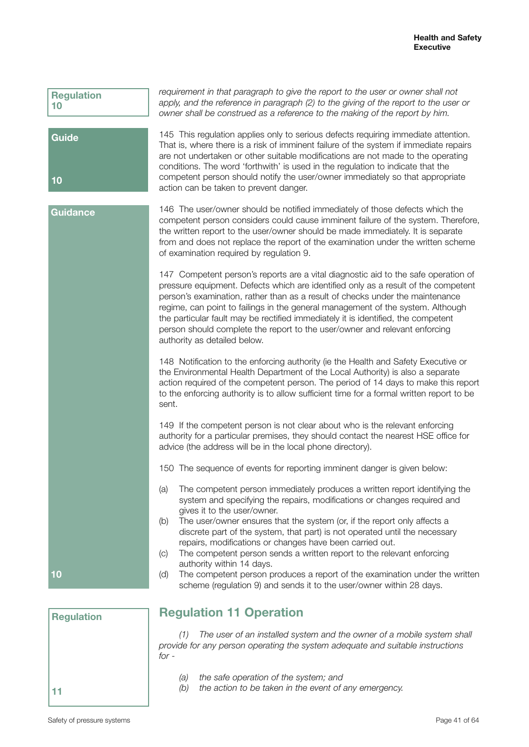| <b>Regulation</b><br>10 | requirement in that paragraph to give the report to the user or owner shall not<br>apply, and the reference in paragraph (2) to the giving of the report to the user or<br>owner shall be construed as a reference to the making of the report by him.                                                                                                                                                                                                                                                                                          |
|-------------------------|-------------------------------------------------------------------------------------------------------------------------------------------------------------------------------------------------------------------------------------------------------------------------------------------------------------------------------------------------------------------------------------------------------------------------------------------------------------------------------------------------------------------------------------------------|
| <b>Guide</b><br>10      | 145 This regulation applies only to serious defects requiring immediate attention.<br>That is, where there is a risk of imminent failure of the system if immediate repairs<br>are not undertaken or other suitable modifications are not made to the operating<br>conditions. The word 'forthwith' is used in the regulation to indicate that the<br>competent person should notify the user/owner immediately so that appropriate<br>action can be taken to prevent danger.                                                                   |
| Guidance                | 146 The user/owner should be notified immediately of those defects which the<br>competent person considers could cause imminent failure of the system. Therefore,<br>the written report to the user/owner should be made immediately. It is separate<br>from and does not replace the report of the examination under the written scheme<br>of examination required by regulation 9.                                                                                                                                                            |
|                         | 147 Competent person's reports are a vital diagnostic aid to the safe operation of<br>pressure equipment. Defects which are identified only as a result of the competent<br>person's examination, rather than as a result of checks under the maintenance<br>regime, can point to failings in the general management of the system. Although<br>the particular fault may be rectified immediately it is identified, the competent<br>person should complete the report to the user/owner and relevant enforcing<br>authority as detailed below. |
|                         | 148 Notification to the enforcing authority (ie the Health and Safety Executive or<br>the Environmental Health Department of the Local Authority) is also a separate<br>action required of the competent person. The period of 14 days to make this report<br>to the enforcing authority is to allow sufficient time for a formal written report to be<br>sent.                                                                                                                                                                                 |
|                         | 149 If the competent person is not clear about who is the relevant enforcing<br>authority for a particular premises, they should contact the nearest HSE office for<br>advice (the address will be in the local phone directory).                                                                                                                                                                                                                                                                                                               |
|                         | 150 The sequence of events for reporting imminent danger is given below:                                                                                                                                                                                                                                                                                                                                                                                                                                                                        |
|                         | The competent person immediately produces a written report identifying the<br>(a)<br>system and specifying the repairs, modifications or changes required and<br>gives it to the user/owner.                                                                                                                                                                                                                                                                                                                                                    |
|                         | The user/owner ensures that the system (or, if the report only affects a<br>(b)<br>discrete part of the system, that part) is not operated until the necessary<br>repairs, modifications or changes have been carried out.                                                                                                                                                                                                                                                                                                                      |
|                         | The competent person sends a written report to the relevant enforcing<br>(C)<br>authority within 14 days.                                                                                                                                                                                                                                                                                                                                                                                                                                       |
| 10                      | The competent person produces a report of the examination under the written<br>(d)<br>scheme (regulation 9) and sends it to the user/owner within 28 days.                                                                                                                                                                                                                                                                                                                                                                                      |
|                         | <b>Regulation 11 Operation</b>                                                                                                                                                                                                                                                                                                                                                                                                                                                                                                                  |
| <b>Regulation</b>       | The user of an installed system and the owner of a mobile system shall<br>(1)                                                                                                                                                                                                                                                                                                                                                                                                                                                                   |

*provide for any person operating the system adequate and suitable instructions for -*

- *(a) the safe operation of the system; and*
- *(b) the action to be taken in the event of any emergency.*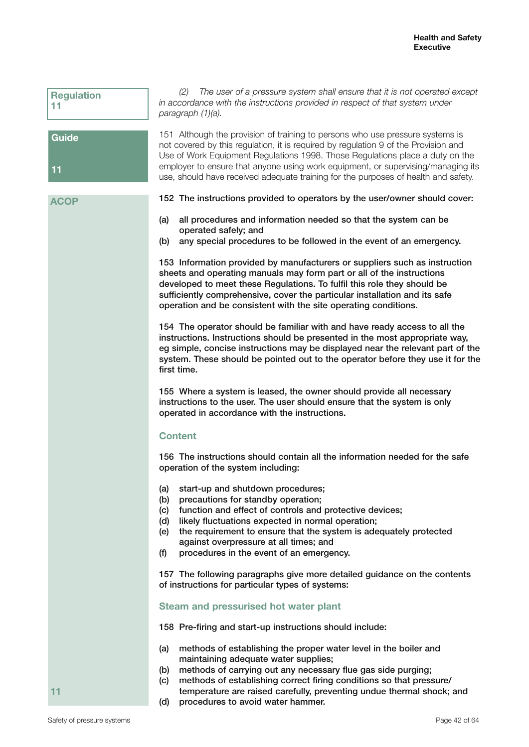#### **Regulation 11**

*(2) The user of a pressure system shall ensure that it is not operated except in accordance with the instructions provided in respect of that system under paragraph (1)(a).*

151 Although the provision of training to persons who use pressure systems is not covered by this regulation, it is required by regulation 9 of the Provision and Use of Work Equipment Regulations 1998. Those Regulations place a duty on the employer to ensure that anyone using work equipment, or supervising/managing its use, should have received adequate training for the purposes of health and safety.

**ACOP**

 **11**

 **Guide**

152 The instructions provided to operators by the user/owner should cover:

- (a) all procedures and information needed so that the system can be operated safely; and
- (b) any special procedures to be followed in the event of an emergency.

153 Information provided by manufacturers or suppliers such as instruction sheets and operating manuals may form part or all of the instructions developed to meet these Regulations. To fulfil this role they should be sufficiently comprehensive, cover the particular installation and its safe operation and be consistent with the site operating conditions.

154 The operator should be familiar with and have ready access to all the instructions. Instructions should be presented in the most appropriate way, eg simple, concise instructions may be displayed near the relevant part of the system. These should be pointed out to the operator before they use it for the first time.

155 Where a system is leased, the owner should provide all necessary instructions to the user. The user should ensure that the system is only operated in accordance with the instructions.

#### **Content**

156 The instructions should contain all the information needed for the safe operation of the system including:

- (a) start-up and shutdown procedures;
- (b) precautions for standby operation;
- (c) function and effect of controls and protective devices;
- (d) likely fluctuations expected in normal operation;
- (e) the requirement to ensure that the system is adequately protected against overpressure at all times; and
- (f) procedures in the event of an emergency.

157 The following paragraphs give more detailed guidance on the contents of instructions for particular types of systems:

#### **Steam and pressurised hot water plant**

158 Pre-firing and start-up instructions should include:

- (a) methods of establishing the proper water level in the boiler and maintaining adequate water supplies;
- (b) methods of carrying out any necessary flue gas side purging;
- (c) methods of establishing correct firing conditions so that pressure/ temperature are raised carefully, preventing undue thermal shock; and
- (d) procedures to avoid water hammer.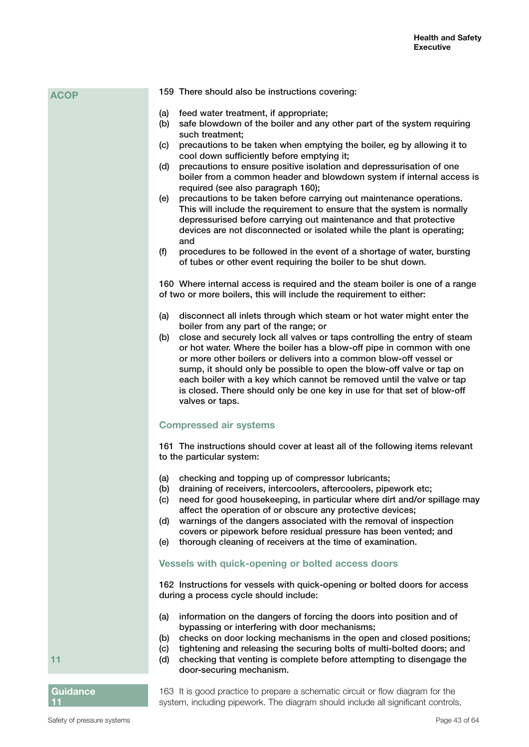| <b>ACOP</b> | 159 There should also be instructions covering:                                                                                                                                                                                                                                                                                                                                                                                                                                 |
|-------------|---------------------------------------------------------------------------------------------------------------------------------------------------------------------------------------------------------------------------------------------------------------------------------------------------------------------------------------------------------------------------------------------------------------------------------------------------------------------------------|
|             | feed water treatment, if appropriate;<br>(a)<br>safe blowdown of the boiler and any other part of the system requiring<br>(b)                                                                                                                                                                                                                                                                                                                                                   |
|             | such treatment;<br>precautions to be taken when emptying the boiler, eg by allowing it to<br>(c)<br>cool down sufficiently before emptying it;                                                                                                                                                                                                                                                                                                                                  |
|             | precautions to ensure positive isolation and depressurisation of one<br>(d)<br>boiler from a common header and blowdown system if internal access is<br>required (see also paragraph 160);                                                                                                                                                                                                                                                                                      |
|             | precautions to be taken before carrying out maintenance operations.<br>(e)<br>This will include the requirement to ensure that the system is normally<br>depressurised before carrying out maintenance and that protective<br>devices are not disconnected or isolated while the plant is operating;<br>and                                                                                                                                                                     |
|             | (f)<br>procedures to be followed in the event of a shortage of water, bursting<br>of tubes or other event requiring the boiler to be shut down.                                                                                                                                                                                                                                                                                                                                 |
|             | 160 Where internal access is required and the steam boiler is one of a range<br>of two or more boilers, this will include the requirement to either:                                                                                                                                                                                                                                                                                                                            |
|             | disconnect all inlets through which steam or hot water might enter the<br>(a)<br>boiler from any part of the range; or                                                                                                                                                                                                                                                                                                                                                          |
|             | close and securely lock all valves or taps controlling the entry of steam<br>(b)<br>or hot water. Where the boiler has a blow-off pipe in common with one<br>or more other boilers or delivers into a common blow-off vessel or<br>sump, it should only be possible to open the blow-off valve or tap on<br>each boiler with a key which cannot be removed until the valve or tap<br>is closed. There should only be one key in use for that set of blow-off<br>valves or taps. |
|             | <b>Compressed air systems</b>                                                                                                                                                                                                                                                                                                                                                                                                                                                   |
|             | 161 The instructions should cover at least all of the following items relevant<br>to the particular system:                                                                                                                                                                                                                                                                                                                                                                     |
|             | (a) checking and topping up of compressor lubricants;<br>draining of receivers, intercoolers, aftercoolers, pipework etc;<br>(b)<br>need for good housekeeping, in particular where dirt and/or spillage may<br>(c)<br>affect the operation of or obscure any protective devices;                                                                                                                                                                                               |
|             | warnings of the dangers associated with the removal of inspection<br>(d)<br>covers or pipework before residual pressure has been vented; and                                                                                                                                                                                                                                                                                                                                    |
|             | thorough cleaning of receivers at the time of examination.<br>(e)                                                                                                                                                                                                                                                                                                                                                                                                               |
|             | Vessels with quick-opening or bolted access doors                                                                                                                                                                                                                                                                                                                                                                                                                               |
|             | 162 Instructions for vessels with quick-opening or bolted doors for access<br>during a process cycle should include:                                                                                                                                                                                                                                                                                                                                                            |
|             | information on the dangers of forcing the doors into position and of<br>(a)<br>bypassing or interfering with door mechanisms;<br>checks on door locking mechanisms in the open and closed positions;<br>(b)<br>tightening and releasing the securing bolts of multi-bolted doors; and<br>(c)                                                                                                                                                                                    |

(d) checking that venting is complete before attempting to disengage the door-securing mechanism.

163 It is good practice to prepare a schematic circuit or flow diagram for the system, including pipework. The diagram should include all significant controls,

**11**

 **11**

 **Guidance**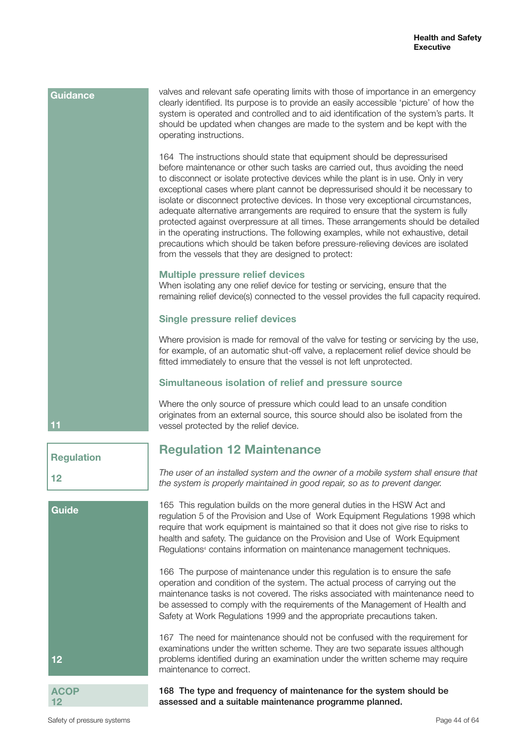#### **Guidance**

valves and relevant safe operating limits with those of importance in an emergency clearly identified. Its purpose is to provide an easily accessible 'picture' of how the system is operated and controlled and to aid identification of the system's parts. It should be updated when changes are made to the system and be kept with the operating instructions.

164 The instructions should state that equipment should be depressurised before maintenance or other such tasks are carried out, thus avoiding the need to disconnect or isolate protective devices while the plant is in use. Only in very exceptional cases where plant cannot be depressurised should it be necessary to isolate or disconnect protective devices. In those very exceptional circumstances, adequate alternative arrangements are required to ensure that the system is fully protected against overpressure at all times. These arrangements should be detailed in the operating instructions. The following examples, while not exhaustive, detail precautions which should be taken before pressure-relieving devices are isolated from the vessels that they are designed to protect:

#### **Multiple pressure relief devices**

When isolating any one relief device for testing or servicing, ensure that the remaining relief device(s) connected to the vessel provides the full capacity required.

#### **Single pressure relief devices**

Where provision is made for removal of the valve for testing or servicing by the use, for example, of an automatic shut-off valve, a replacement relief device should be fitted immediately to ensure that the vessel is not left unprotected.

#### **Simultaneous isolation of relief and pressure source**

Where the only source of pressure which could lead to an unsafe condition originates from an external source, this source should also be isolated from the vessel protected by the relief device.

| <b>Regulation</b> |  |
|-------------------|--|
| 12                |  |

**11**

### **Regulation 12 Maintenance**

*The user of an installed system and the owner of a mobile system shall ensure that the system is properly maintained in good repair, so as to prevent danger.*

# **Guide**

165 This regulation builds on the more general duties in the HSW Act and regulation 5 of the Provision and Use of Work Equipment Regulations 1998 which require that work equipment is maintained so that it does not give rise to risks to health and safety. The guidance on the Provision and Use of Work Equipment Regulations<sup>4</sup> contains information on maintenance management techniques.

166 The purpose of maintenance under this regulation is to ensure the safe operation and condition of the system. The actual process of carrying out the maintenance tasks is not covered. The risks associated with maintenance need to be assessed to comply with the requirements of the Management of Health and Safety at Work Regulations 1999 and the appropriate precautions taken.

167 The need for maintenance should not be confused with the requirement for examinations under the written scheme. They are two separate issues although problems identified during an examination under the written scheme may require maintenance to correct.

 **ACOP 12**

 **12**

168 The type and frequency of maintenance for the system should be assessed and a suitable maintenance programme planned.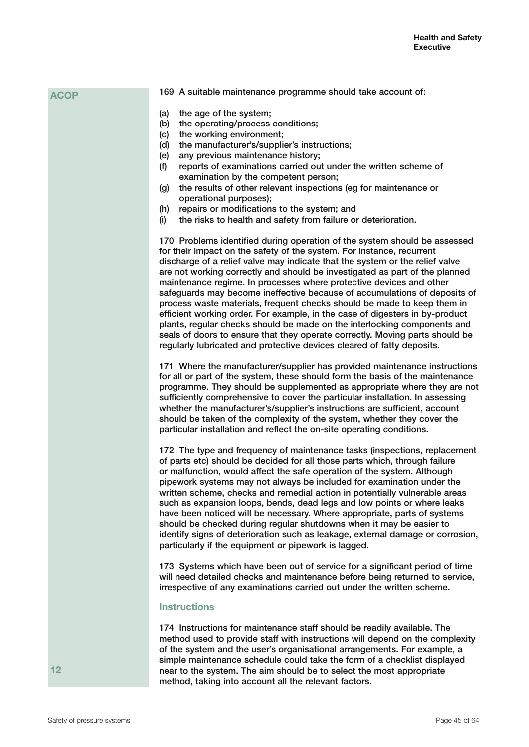| <b>ACOP</b> | 169 A suitable maintenance programme should take account of:                                                                                                                                                                                                                                                                                                                                                                                                                                                                                                                                                                                                                                                                                                                                                                                                           |
|-------------|------------------------------------------------------------------------------------------------------------------------------------------------------------------------------------------------------------------------------------------------------------------------------------------------------------------------------------------------------------------------------------------------------------------------------------------------------------------------------------------------------------------------------------------------------------------------------------------------------------------------------------------------------------------------------------------------------------------------------------------------------------------------------------------------------------------------------------------------------------------------|
|             | the age of the system;<br>(a)<br>the operating/process conditions;<br>(b)<br>the working environment;<br>(c)<br>the manufacturer's/supplier's instructions;<br>(d)<br>any previous maintenance history;<br>(e)<br>reports of examinations carried out under the written scheme of<br>(f)<br>examination by the competent person;<br>the results of other relevant inspections (eg for maintenance or<br>(g)<br>operational purposes);<br>repairs or modifications to the system; and<br>(h)<br>the risks to health and safety from failure or deterioration.<br>(i)                                                                                                                                                                                                                                                                                                    |
|             | 170 Problems identified during operation of the system should be assessed<br>for their impact on the safety of the system. For instance, recurrent<br>discharge of a relief valve may indicate that the system or the relief valve<br>are not working correctly and should be investigated as part of the planned<br>maintenance regime. In processes where protective devices and other<br>safeguards may become ineffective because of accumulations of deposits of<br>process waste materials, frequent checks should be made to keep them in<br>efficient working order. For example, in the case of digesters in by-product<br>plants, regular checks should be made on the interlocking components and<br>seals of doors to ensure that they operate correctly. Moving parts should be<br>regularly lubricated and protective devices cleared of fatty deposits. |
|             | 171 Where the manufacturer/supplier has provided maintenance instructions<br>for all or part of the system, these should form the basis of the maintenance<br>programme. They should be supplemented as appropriate where they are not<br>sufficiently comprehensive to cover the particular installation. In assessing<br>whether the manufacturer's/supplier's instructions are sufficient, account<br>should be taken of the complexity of the system, whether they cover the<br>particular installation and reflect the on-site operating conditions.                                                                                                                                                                                                                                                                                                              |
|             | 172 The type and frequency of maintenance tasks (inspections, replacement<br>of parts etc) should be decided for all those parts which, through failure<br>or malfunction, would affect the safe operation of the system. Although<br>pipework systems may not always be included for examination under the<br>written scheme, checks and remedial action in potentially vulnerable areas<br>such as expansion loops, bends, dead legs and low points or where leaks<br>have been noticed will be necessary. Where appropriate, parts of systems<br>should be checked during regular shutdowns when it may be easier to<br>identify signs of deterioration such as leakage, external damage or corrosion,<br>particularly if the equipment or pipework is lagged.                                                                                                      |
|             | 173 Systems which have been out of service for a significant period of time<br>will need detailed checks and maintenance before being returned to service,<br>irrespective of any examinations carried out under the written scheme.                                                                                                                                                                                                                                                                                                                                                                                                                                                                                                                                                                                                                                   |
|             | <b>Instructions</b>                                                                                                                                                                                                                                                                                                                                                                                                                                                                                                                                                                                                                                                                                                                                                                                                                                                    |
| 12          | 174 Instructions for maintenance staff should be readily available. The<br>method used to provide staff with instructions will depend on the complexity<br>of the system and the user's organisational arrangements. For example, a<br>simple maintenance schedule could take the form of a checklist displayed<br>near to the system. The aim should be to select the most appropriate                                                                                                                                                                                                                                                                                                                                                                                                                                                                                |

method, taking into account all the relevant factors.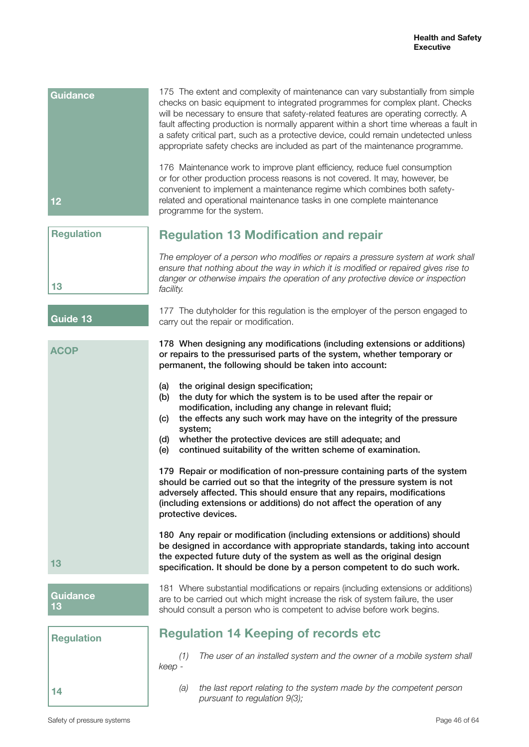| <b>Guidance</b>   | 175 The extent and complexity of maintenance can vary substantially from simple<br>checks on basic equipment to integrated programmes for complex plant. Checks<br>will be necessary to ensure that safety-related features are operating correctly. A<br>fault affecting production is normally apparent within a short time whereas a fault in<br>a safety critical part, such as a protective device, could remain undetected unless<br>appropriate safety checks are included as part of the maintenance programme. |
|-------------------|-------------------------------------------------------------------------------------------------------------------------------------------------------------------------------------------------------------------------------------------------------------------------------------------------------------------------------------------------------------------------------------------------------------------------------------------------------------------------------------------------------------------------|
| 12 <sub>2</sub>   | 176 Maintenance work to improve plant efficiency, reduce fuel consumption<br>or for other production process reasons is not covered. It may, however, be<br>convenient to implement a maintenance regime which combines both safety-<br>related and operational maintenance tasks in one complete maintenance<br>programme for the system.                                                                                                                                                                              |
| <b>Regulation</b> | <b>Regulation 13 Modification and repair</b><br>The employer of a person who modifies or repairs a pressure system at work shall                                                                                                                                                                                                                                                                                                                                                                                        |

*ensure that nothing about the way in which it is modified or repaired gives rise to danger or otherwise impairs the operation of any protective device or inspection facility.*

 **Guide 13**

177 The dutyholder for this regulation is the employer of the person engaged to carry out the repair or modification.

**ACOP**

**13**

178 When designing any modifications (including extensions or additions) or repairs to the pressurised parts of the system, whether temporary or permanent, the following should be taken into account:

- (a) the original design specification:
- (b) the duty for which the system is to be used after the repair or modification, including any change in relevant fluid;
- (c) the effects any such work may have on the integrity of the pressure system;
- (d) whether the protective devices are still adequate; and
- (e) continued suitability of the written scheme of examination.

179 Repair or modification of non-pressure containing parts of the system should be carried out so that the integrity of the pressure system is not adversely affected. This should ensure that any repairs, modifications (including extensions or additions) do not affect the operation of any protective devices.

180 Any repair or modification (including extensions or additions) should be designed in accordance with appropriate standards, taking into account the expected future duty of the system as well as the original design specification. It should be done by a person competent to do such work.

 **Guidance 13**

**Regulation**

**13**

**14**

181 Where substantial modifications or repairs (including extensions or additions) are to be carried out which might increase the risk of system failure, the user should consult a person who is competent to advise before work begins.

# **Regulation 14 Keeping of records etc**

*(1) The user of an installed system and the owner of a mobile system shall keep -*

*(a) the last report relating to the system made by the competent person pursuant to regulation 9(3);*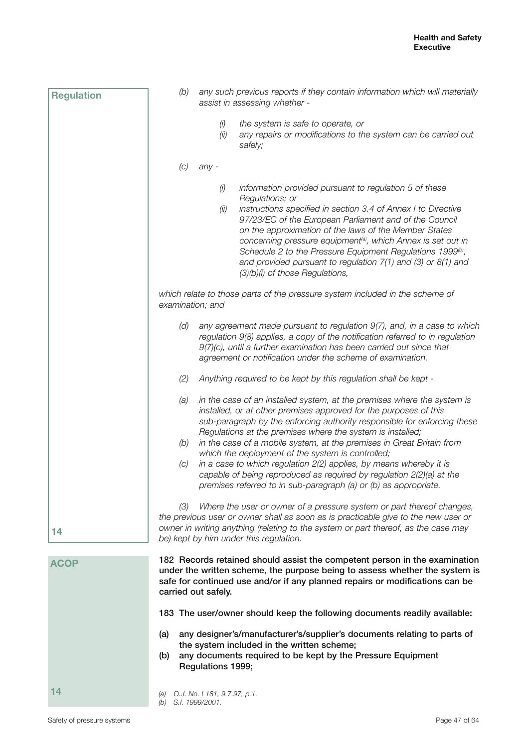| <b>Regulation</b> | any such previous reports if they contain information which will materially<br>(b)<br>assist in assessing whether -                                                                                                                                                                                                                                                                                                                                                                                                                                                                                                                                         |
|-------------------|-------------------------------------------------------------------------------------------------------------------------------------------------------------------------------------------------------------------------------------------------------------------------------------------------------------------------------------------------------------------------------------------------------------------------------------------------------------------------------------------------------------------------------------------------------------------------------------------------------------------------------------------------------------|
|                   | (i)<br>the system is safe to operate, or<br>(ii)<br>any repairs or modifications to the system can be carried out<br>safely;                                                                                                                                                                                                                                                                                                                                                                                                                                                                                                                                |
|                   | (C)<br>any -                                                                                                                                                                                                                                                                                                                                                                                                                                                                                                                                                                                                                                                |
|                   | information provided pursuant to regulation 5 of these<br>(i)<br>Regulations; or<br>(ii)<br>instructions specified in section 3.4 of Annex I to Directive<br>97/23/EC of the European Parliament and of the Council<br>on the approximation of the laws of the Member States<br>concerning pressure equipment <sup>(a)</sup> , which Annex is set out in<br>Schedule 2 to the Pressure Equipment Regulations 1999 <sup>(b)</sup> ,<br>and provided pursuant to regulation $7(1)$ and (3) or $8(1)$ and<br>(3)(b)(i) of those Regulations,                                                                                                                   |
|                   | which relate to those parts of the pressure system included in the scheme of<br>examination; and                                                                                                                                                                                                                                                                                                                                                                                                                                                                                                                                                            |
|                   | any agreement made pursuant to regulation 9(7), and, in a case to which<br>(d)<br>regulation 9(8) applies, a copy of the notification referred to in regulation<br>9(7)(c), until a further examination has been carried out since that<br>agreement or notification under the scheme of examination.                                                                                                                                                                                                                                                                                                                                                       |
|                   | (2)<br>Anything required to be kept by this regulation shall be kept -                                                                                                                                                                                                                                                                                                                                                                                                                                                                                                                                                                                      |
|                   | in the case of an installed system, at the premises where the system is<br>(a)<br>installed, or at other premises approved for the purposes of this<br>sub-paragraph by the enforcing authority responsible for enforcing these<br>Regulations at the premises where the system is installed;<br>in the case of a mobile system, at the premises in Great Britain from<br>(b)<br>which the deployment of the system is controlled;<br>in a case to which regulation 2(2) applies, by means whereby it is<br>(C)<br>capable of being reproduced as required by regulation 2(2)(a) at the<br>premises referred to in sub-paragraph (a) or (b) as appropriate. |
| 14                | Where the user or owner of a pressure system or part thereof changes,<br>(3)<br>the previous user or owner shall as soon as is practicable give to the new user or<br>owner in writing anything (relating to the system or part thereof, as the case may<br>be) kept by him under this regulation.                                                                                                                                                                                                                                                                                                                                                          |
| <b>ACOP</b>       | 182 Records retained should assist the competent person in the examination<br>under the written scheme, the purpose being to assess whether the system is<br>safe for continued use and/or if any planned repairs or modifications can be<br>carried out safely.                                                                                                                                                                                                                                                                                                                                                                                            |
|                   | 183 The user/owner should keep the following documents readily available:                                                                                                                                                                                                                                                                                                                                                                                                                                                                                                                                                                                   |
|                   | any designer's/manufacturer's/supplier's documents relating to parts of<br>(a)<br>the system included in the written scheme;<br>any documents required to be kept by the Pressure Equipment<br>(b)<br>Regulations 1999;                                                                                                                                                                                                                                                                                                                                                                                                                                     |
| 14                | O.J. No. L181, 9.7.97, p.1.<br>(a)<br>(b) S.I. 1999/2001.                                                                                                                                                                                                                                                                                                                                                                                                                                                                                                                                                                                                   |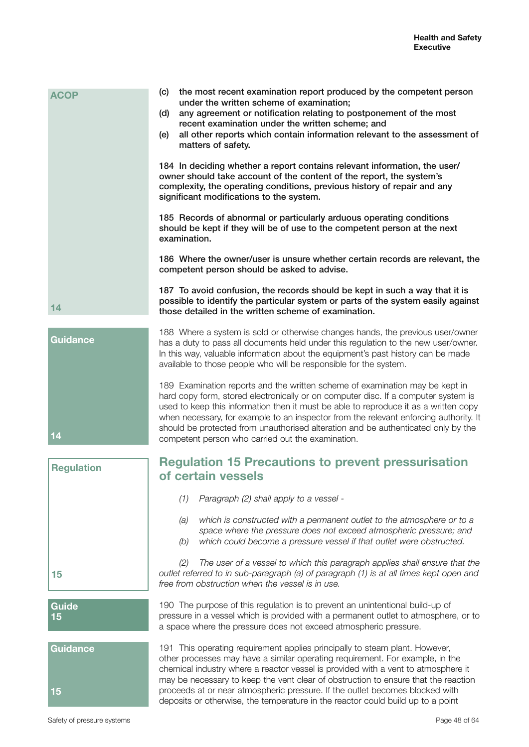| <b>ACOP</b>        | the most recent examination report produced by the competent person<br>(c)<br>under the written scheme of examination;<br>any agreement or notification relating to postponement of the most<br>(d)<br>recent examination under the written scheme; and<br>all other reports which contain information relevant to the assessment of<br>(e)<br>matters of safety.<br>184 In deciding whether a report contains relevant information, the user/<br>owner should take account of the content of the report, the system's<br>complexity, the operating conditions, previous history of repair and any<br>significant modifications to the system.<br>185 Records of abnormal or particularly arduous operating conditions<br>should be kept if they will be of use to the competent person at the next<br>examination.<br>186 Where the owner/user is unsure whether certain records are relevant, the |
|--------------------|-----------------------------------------------------------------------------------------------------------------------------------------------------------------------------------------------------------------------------------------------------------------------------------------------------------------------------------------------------------------------------------------------------------------------------------------------------------------------------------------------------------------------------------------------------------------------------------------------------------------------------------------------------------------------------------------------------------------------------------------------------------------------------------------------------------------------------------------------------------------------------------------------------|
|                    | competent person should be asked to advise.                                                                                                                                                                                                                                                                                                                                                                                                                                                                                                                                                                                                                                                                                                                                                                                                                                                         |
| 14                 | 187 To avoid confusion, the records should be kept in such a way that it is<br>possible to identify the particular system or parts of the system easily against<br>those detailed in the written scheme of examination.                                                                                                                                                                                                                                                                                                                                                                                                                                                                                                                                                                                                                                                                             |
| Guidance           | 188 Where a system is sold or otherwise changes hands, the previous user/owner<br>has a duty to pass all documents held under this regulation to the new user/owner.<br>In this way, valuable information about the equipment's past history can be made<br>available to those people who will be responsible for the system.                                                                                                                                                                                                                                                                                                                                                                                                                                                                                                                                                                       |
| 14                 | 189 Examination reports and the written scheme of examination may be kept in<br>hard copy form, stored electronically or on computer disc. If a computer system is<br>used to keep this information then it must be able to reproduce it as a written copy<br>when necessary, for example to an inspector from the relevant enforcing authority. It<br>should be protected from unauthorised alteration and be authenticated only by the<br>competent person who carried out the examination.                                                                                                                                                                                                                                                                                                                                                                                                       |
| <b>Regulation</b>  | <b>Regulation 15 Precautions to prevent pressurisation</b><br>of certain vessels                                                                                                                                                                                                                                                                                                                                                                                                                                                                                                                                                                                                                                                                                                                                                                                                                    |
|                    | Paragraph (2) shall apply to a vessel -<br>(1)                                                                                                                                                                                                                                                                                                                                                                                                                                                                                                                                                                                                                                                                                                                                                                                                                                                      |
|                    | which is constructed with a permanent outlet to the atmosphere or to a<br>(a)<br>space where the pressure does not exceed atmospheric pressure; and<br>which could become a pressure vessel if that outlet were obstructed.<br>(b)                                                                                                                                                                                                                                                                                                                                                                                                                                                                                                                                                                                                                                                                  |
| 15                 | The user of a vessel to which this paragraph applies shall ensure that the<br>(2)<br>outlet referred to in sub-paragraph (a) of paragraph (1) is at all times kept open and<br>free from obstruction when the vessel is in use.                                                                                                                                                                                                                                                                                                                                                                                                                                                                                                                                                                                                                                                                     |
| <b>Guide</b><br>15 | 190 The purpose of this regulation is to prevent an unintentional build-up of<br>pressure in a vessel which is provided with a permanent outlet to atmosphere, or to<br>a space where the pressure does not exceed atmospheric pressure.                                                                                                                                                                                                                                                                                                                                                                                                                                                                                                                                                                                                                                                            |
| <b>Guidance</b>    | 191 This operating requirement applies principally to steam plant. However,<br>other processes may have a similar operating requirement. For example, in the                                                                                                                                                                                                                                                                                                                                                                                                                                                                                                                                                                                                                                                                                                                                        |

other processes may have a similar operating requirement. For example, in the chemical industry where a reactor vessel is provided with a vent to atmosphere it may be necessary to keep the vent clear of obstruction to ensure that the reaction proceeds at or near atmospheric pressure. If the outlet becomes blocked with deposits or otherwise, the temperature in the reactor could build up to a point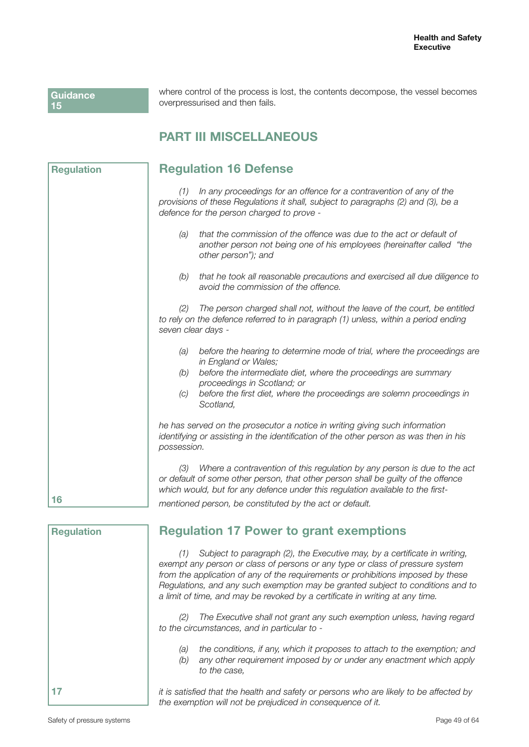#### **Guidance 15**

where control of the process is lost, the contents decompose, the vessel becomes overpressurised and then fails.

# **PART III MISCELLANEOUS**

| <b>Regulation</b> | <b>Regulation 16 Defense</b>                                                                                                                                                                                                                                                                                   |
|-------------------|----------------------------------------------------------------------------------------------------------------------------------------------------------------------------------------------------------------------------------------------------------------------------------------------------------------|
|                   | In any proceedings for an offence for a contravention of any of the<br>(1)<br>provisions of these Regulations it shall, subject to paragraphs (2) and (3), be a<br>defence for the person charged to prove -                                                                                                   |
|                   | that the commission of the offence was due to the act or default of<br>(a)<br>another person not being one of his employees (hereinafter called "the<br>other person"); and                                                                                                                                    |
|                   | that he took all reasonable precautions and exercised all due diligence to<br>(b)<br>avoid the commission of the offence.                                                                                                                                                                                      |
|                   | The person charged shall not, without the leave of the court, be entitled<br>(2)<br>to rely on the defence referred to in paragraph (1) unless, within a period ending<br>seven clear days -                                                                                                                   |
|                   | before the hearing to determine mode of trial, where the proceedings are<br>(a)<br>in England or Wales;<br>before the intermediate diet, where the proceedings are summary<br>(b)<br>proceedings in Scotland; or<br>before the first diet, where the proceedings are solemn proceedings in<br>(C)<br>Scotland, |
|                   | he has served on the prosecutor a notice in writing giving such information<br>identifying or assisting in the identification of the other person as was then in his<br>possession.                                                                                                                            |
|                   | Where a contravention of this regulation by any person is due to the act<br>(3)<br>or default of some other person, that other person shall be guilty of the offence<br>which would, but for any defence under this regulation available to the first-                                                         |
| 16                | mentioned person, be constituted by the act or default.                                                                                                                                                                                                                                                        |
| <b>Regulation</b> | <b>Regulation 17 Power to grant exemptions</b>                                                                                                                                                                                                                                                                 |
|                   |                                                                                                                                                                                                                                                                                                                |

*(1) Subject to paragraph (2), the Executive may, by a certificate in writing, exempt any person or class of persons or any type or class of pressure system from the application of any of the requirements or prohibitions imposed by these Regulations, and any such exemption may be granted subject to conditions and to a limit of time, and may be revoked by a certificate in writing at any time.*

*(2) The Executive shall not grant any such exemption unless, having regard to the circumstances, and in particular to -* 

- *(a) the conditions, if any, which it proposes to attach to the exemption; and*
- *(b) any other requirement imposed by or under any enactment which apply to the case,*

*it is satisfied that the health and safety or persons who are likely to be affected by the exemption will not be prejudiced in consequence of it.*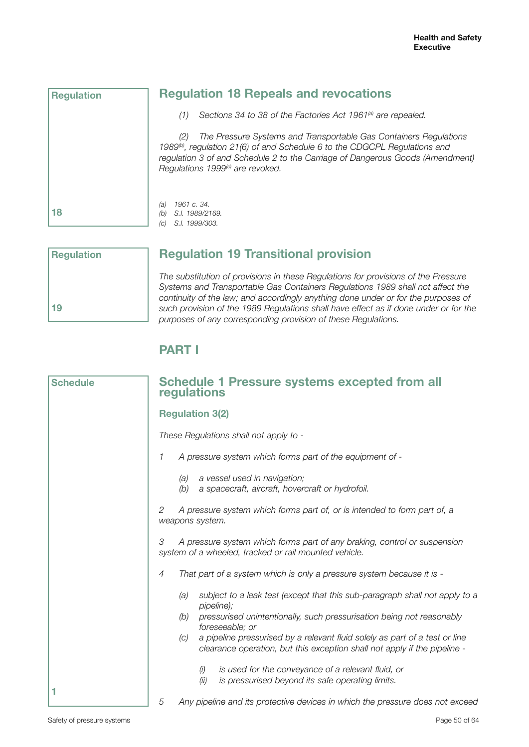**Regulation**

**18**

## **Regulation 18 Repeals and revocations**

*(1) Sections 34 to 38 of the Factories Act 1961(a) are repealed.*

*(2) The Pressure Systems and Transportable Gas Containers Regulations 1989(b), regulation 21(6) of and Schedule 6 to the CDGCPL Regulations and regulation 3 of and Schedule 2 to the Carriage of Dangerous Goods (Amendment) Regulations 1999(c) are revoked.*

| (a)               | 1961 с. 34. |
|-------------------|-------------|
| $\prime$ $\prime$ | 10000<br>⌒  |

- *(b) S.I. 1989/2169.*
- *(c) S.I. 1999/303.*

| <b>Regulation</b> |  |
|-------------------|--|
|                   |  |
|                   |  |
| 19                |  |

# **Regulation 19 Transitional provision**

*The substitution of provisions in these Regulations for provisions of the Pressure Systems and Transportable Gas Containers Regulations 1989 shall not affect the continuity of the law; and accordingly anything done under or for the purposes of such provision of the 1989 Regulations shall have effect as if done under or for the purposes of any corresponding provision of these Regulations.*

# **PART I**

| <b>Schedule</b> | <b>Schedule 1 Pressure systems excepted from all</b><br>regulations                                                                                                                                 |
|-----------------|-----------------------------------------------------------------------------------------------------------------------------------------------------------------------------------------------------|
|                 | <b>Regulation 3(2)</b>                                                                                                                                                                              |
|                 | These Regulations shall not apply to -                                                                                                                                                              |
|                 | $\mathcal I$<br>A pressure system which forms part of the equipment of -                                                                                                                            |
|                 | a vessel used in navigation;<br>(a)<br>(b)<br>a spacecraft, aircraft, hovercraft or hydrofoil.                                                                                                      |
|                 | 2<br>A pressure system which forms part of, or is intended to form part of, a<br>weapons system.                                                                                                    |
|                 | 3<br>A pressure system which forms part of any braking, control or suspension<br>system of a wheeled, tracked or rail mounted vehicle.                                                              |
|                 | That part of a system which is only a pressure system because it is -<br>$\overline{4}$                                                                                                             |
|                 | subject to a leak test (except that this sub-paragraph shall not apply to a<br>(a)<br>pipeline);<br>(b)<br>pressurised unintentionally, such pressurisation being not reasonably<br>foreseeable; or |
|                 | a pipeline pressurised by a relevant fluid solely as part of a test or line<br>(C)<br>clearance operation, but this exception shall not apply if the pipeline -                                     |
|                 | is used for the conveyance of a relevant fluid, or<br>(i)<br>is pressurised beyond its safe operating limits.<br>(ii)                                                                               |
|                 | 5<br>Any pipeline and its protective devices in which the pressure does not exceed                                                                                                                  |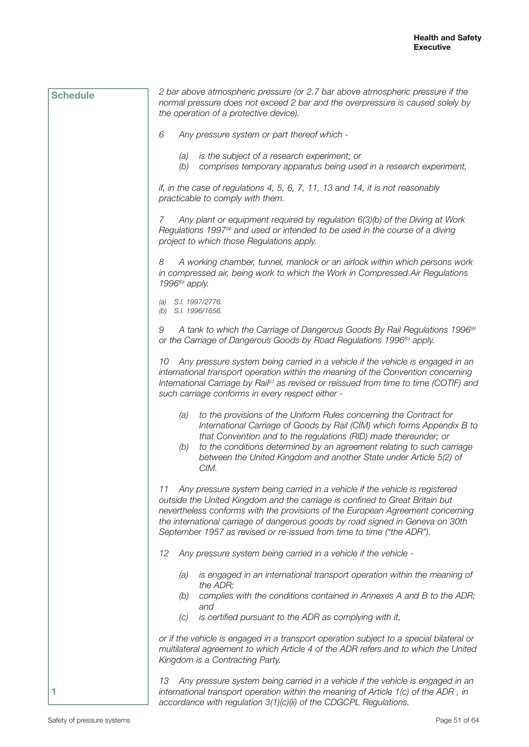| <b>Schedule</b> | 2 bar above atmospheric pressure (or 2.7 bar above atmospheric pressure if the<br>normal pressure does not exceed 2 bar and the overpressure is caused solely by<br>the operation of a protective device).                                                                                                                                                                                                     |
|-----------------|----------------------------------------------------------------------------------------------------------------------------------------------------------------------------------------------------------------------------------------------------------------------------------------------------------------------------------------------------------------------------------------------------------------|
|                 | 6<br>Any pressure system or part thereof which -                                                                                                                                                                                                                                                                                                                                                               |
|                 | is the subject of a research experiment; or<br>(a)<br>comprises temporary apparatus being used in a research experiment,<br>(b)                                                                                                                                                                                                                                                                                |
|                 | if, in the case of regulations 4, 5, 6, 7, 11, 13 and 14, it is not reasonably<br>practicable to comply with them.                                                                                                                                                                                                                                                                                             |
|                 | Any plant or equipment required by regulation 6(3)(b) of the Diving at Work<br>7<br>Regulations 1997 <sup>(a)</sup> and used or intended to be used in the course of a diving<br>project to which those Regulations apply.                                                                                                                                                                                     |
|                 | A working chamber, tunnel, manlock or an airlock within which persons work<br>8<br>in compressed air, being work to which the Work in Compressed Air Regulations<br>$1996(b)$ apply.                                                                                                                                                                                                                           |
|                 | S.I. 1997/2776.<br>(a)<br>S.I. 1996/1656.<br>(b)                                                                                                                                                                                                                                                                                                                                                               |
|                 | A tank to which the Carriage of Dangerous Goods By Rail Regulations 1996 <sup>(a)</sup><br>9<br>or the Carriage of Dangerous Goods by Road Regulations 1996 <sup>(b)</sup> apply.                                                                                                                                                                                                                              |
|                 | Any pressure system being carried in a vehicle if the vehicle is engaged in an<br>10<br>international transport operation within the meaning of the Convention concerning<br>International Carriage by Rail <sup>(c)</sup> as revised or reissued from time to time (COTIF) and<br>such carriage conforms in every respect either -                                                                            |
|                 | to the provisions of the Uniform Rules concerning the Contract for<br>(a)<br>International Carriage of Goods by Rail (CIM) which forms Appendix B to<br>that Convention and to the regulations (RID) made thereunder; or<br>to the conditions determined by an agreement relating to such carriage<br>(b)<br>between the United Kingdom and another State under Article 5(2) of<br>CIM.                        |
|                 | Any pressure system being carried in a vehicle if the vehicle is registered<br>11<br>outside the United Kingdom and the carriage is confined to Great Britain but<br>nevertheless conforms with the provisions of the European Agreement concerning<br>the international carriage of dangerous goods by road signed in Geneva on 30th<br>September 1957 as revised or re-issued from time to time ("the ADR"). |
|                 | 12<br>Any pressure system being carried in a vehicle if the vehicle -                                                                                                                                                                                                                                                                                                                                          |
|                 | is engaged in an international transport operation within the meaning of<br>(a)<br>the ADR;                                                                                                                                                                                                                                                                                                                    |
|                 | complies with the conditions contained in Annexes A and B to the ADR;<br>(b)<br>and                                                                                                                                                                                                                                                                                                                            |
|                 | is certified pursuant to the ADR as complying with it,<br>(C)                                                                                                                                                                                                                                                                                                                                                  |
|                 | or if the vehicle is engaged in a transport operation subject to a special bilateral or<br>multilateral agreement to which Article 4 of the ADR refers and to which the United<br>Kingdom is a Contracting Party.                                                                                                                                                                                              |
|                 | Any pressure system being carried in a vehicle if the vehicle is engaged in an<br>13<br>international transport operation within the meaning of Article 1(c) of the ADR, in                                                                                                                                                                                                                                    |

*accordance with regulation 3(1)(c)(ii) of the CDGCPL Regulations.*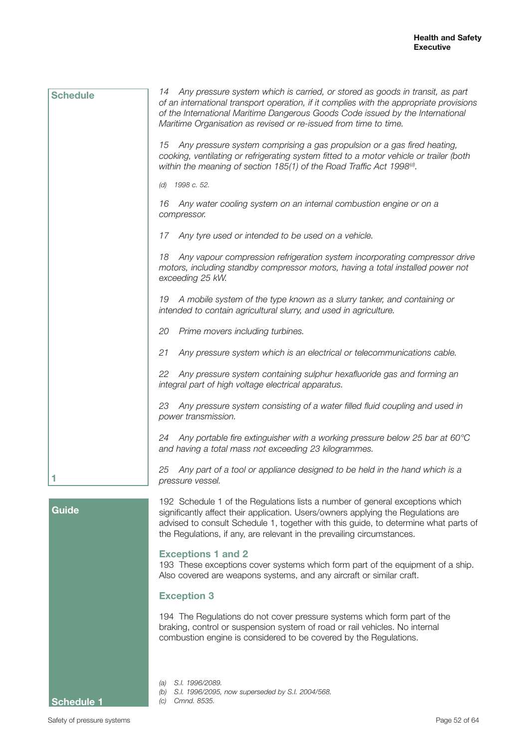| <b>Schedule</b> | 14 Any pressure system which is carried, or stored as goods in transit, as part<br>of an international transport operation, if it complies with the appropriate provisions<br>of the International Maritime Dangerous Goods Code issued by the International<br>Maritime Organisation as revised or re-issued from time to time.   |
|-----------------|------------------------------------------------------------------------------------------------------------------------------------------------------------------------------------------------------------------------------------------------------------------------------------------------------------------------------------|
|                 | Any pressure system comprising a gas propulsion or a gas fired heating,<br>15<br>cooking, ventilating or refrigerating system fitted to a motor vehicle or trailer (both<br>within the meaning of section 185(1) of the Road Traffic Act 1998 <sup>(d)</sup> .                                                                     |
|                 | 1998 с. 52.<br>(d)                                                                                                                                                                                                                                                                                                                 |
|                 | Any water cooling system on an internal combustion engine or on a<br>16<br>compressor.                                                                                                                                                                                                                                             |
|                 | Any tyre used or intended to be used on a vehicle.<br>17                                                                                                                                                                                                                                                                           |
|                 | Any vapour compression refrigeration system incorporating compressor drive<br>18<br>motors, including standby compressor motors, having a total installed power not<br>exceeding 25 kW.                                                                                                                                            |
|                 | A mobile system of the type known as a slurry tanker, and containing or<br>19<br>intended to contain agricultural slurry, and used in agriculture.                                                                                                                                                                                 |
|                 | 20<br>Prime movers including turbines.                                                                                                                                                                                                                                                                                             |
|                 | 21<br>Any pressure system which is an electrical or telecommunications cable.                                                                                                                                                                                                                                                      |
|                 | 22<br>Any pressure system containing sulphur hexafluoride gas and forming an<br>integral part of high voltage electrical apparatus.                                                                                                                                                                                                |
|                 | Any pressure system consisting of a water filled fluid coupling and used in<br>23<br>power transmission.                                                                                                                                                                                                                           |
|                 | Any portable fire extinguisher with a working pressure below 25 bar at 60 $\degree$ C<br>24<br>and having a total mass not exceeding 23 kilogrammes.                                                                                                                                                                               |
|                 | Any part of a tool or appliance designed to be held in the hand which is a<br>25<br>pressure vessel.                                                                                                                                                                                                                               |
| Guide           | 192 Schedule 1 of the Regulations lists a number of general exceptions which<br>significantly affect their application. Users/owners applying the Regulations are<br>advised to consult Schedule 1, together with this guide, to determine what parts of<br>the Regulations, if any, are relevant in the prevailing circumstances. |
|                 | <b>Exceptions 1 and 2</b><br>193 These exceptions cover systems which form part of the equipment of a ship.<br>Also covered are weapons systems, and any aircraft or similar craft.                                                                                                                                                |
|                 | <b>Exception 3</b>                                                                                                                                                                                                                                                                                                                 |
|                 | 194 The Regulations do not cover pressure systems which form part of the<br>braking, control or suspension system of road or rail vehicles. No internal<br>combustion engine is considered to be covered by the Regulations.                                                                                                       |
|                 |                                                                                                                                                                                                                                                                                                                                    |

*(a) S.I. 1996/2089.*

*(b) S.I. 1996/2095, now superseded by S.I. 2004/568.*

*(c) Cmnd. 8535.*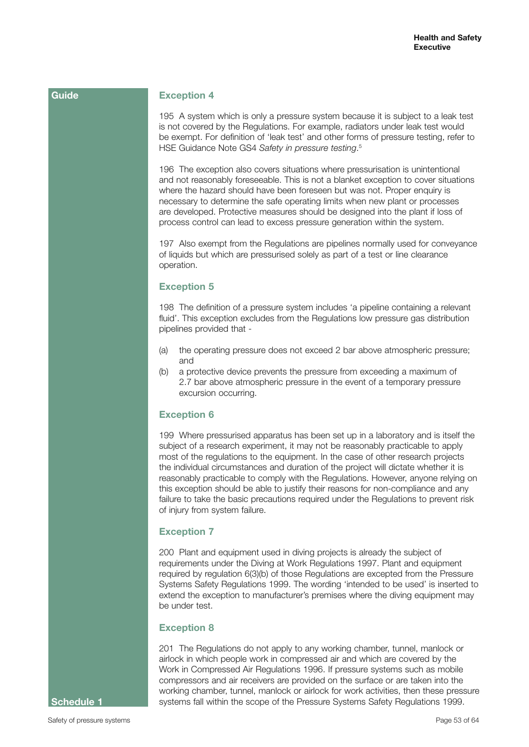#### **Exception 4**

195 A system which is only a pressure system because it is subject to a leak test is not covered by the Regulations. For example, radiators under leak test would be exempt. For definition of 'leak test' and other forms of pressure testing, refer to HSE Guidance Note GS4 *Safety in pressure testing*. 5

196 The exception also covers situations where pressurisation is unintentional and not reasonably foreseeable. This is not a blanket exception to cover situations where the hazard should have been foreseen but was not. Proper enquiry is necessary to determine the safe operating limits when new plant or processes are developed. Protective measures should be designed into the plant if loss of process control can lead to excess pressure generation within the system.

197 Also exempt from the Regulations are pipelines normally used for conveyance of liquids but which are pressurised solely as part of a test or line clearance operation.

#### **Exception 5**

198 The definition of a pressure system includes 'a pipeline containing a relevant fluid'. This exception excludes from the Regulations low pressure gas distribution pipelines provided that -

- (a) the operating pressure does not exceed 2 bar above atmospheric pressure; and
- (b) a protective device prevents the pressure from exceeding a maximum of 2.7 bar above atmospheric pressure in the event of a temporary pressure excursion occurring.

#### **Exception 6**

199 Where pressurised apparatus has been set up in a laboratory and is itself the subject of a research experiment, it may not be reasonably practicable to apply most of the regulations to the equipment. In the case of other research projects the individual circumstances and duration of the project will dictate whether it is reasonably practicable to comply with the Regulations. However, anyone relying on this exception should be able to justify their reasons for non-compliance and any failure to take the basic precautions required under the Regulations to prevent risk of injury from system failure.

#### **Exception 7**

200 Plant and equipment used in diving projects is already the subject of requirements under the Diving at Work Regulations 1997. Plant and equipment required by regulation 6(3)(b) of those Regulations are excepted from the Pressure Systems Safety Regulations 1999. The wording 'intended to be used' is inserted to extend the exception to manufacturer's premises where the diving equipment may be under test.

#### **Exception 8**

201 The Regulations do not apply to any working chamber, tunnel, manlock or airlock in which people work in compressed air and which are covered by the Work in Compressed Air Regulations 1996. If pressure systems such as mobile compressors and air receivers are provided on the surface or are taken into the working chamber, tunnel, manlock or airlock for work activities, then these pressure systems fall within the scope of the Pressure Systems Safety Regulations 1999.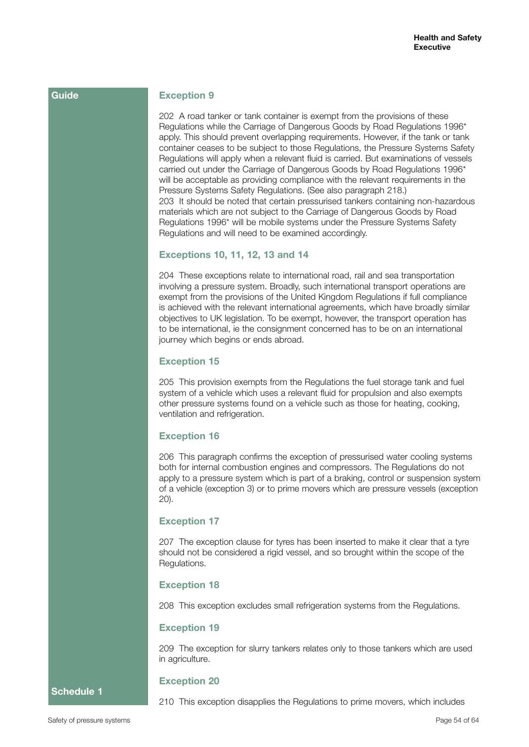#### **Exception 9**

202 A road tanker or tank container is exempt from the provisions of these Regulations while the Carriage of Dangerous Goods by Road Regulations 1996\* apply. This should prevent overlapping requirements. However, if the tank or tank container ceases to be subject to those Regulations, the Pressure Systems Safety Regulations will apply when a relevant fluid is carried. But examinations of vessels carried out under the Carriage of Dangerous Goods by Road Regulations 1996\* will be acceptable as providing compliance with the relevant requirements in the Pressure Systems Safety Regulations. (See also paragraph 218.) 203 It should be noted that certain pressurised tankers containing non-hazardous materials which are not subject to the Carriage of Dangerous Goods by Road Regulations 1996\* will be mobile systems under the Pressure Systems Safety Regulations and will need to be examined accordingly.

#### **Exceptions 10, 11, 12, 13 and 14**

204 These exceptions relate to international road, rail and sea transportation involving a pressure system. Broadly, such international transport operations are exempt from the provisions of the United Kingdom Regulations if full compliance is achieved with the relevant international agreements, which have broadly similar objectives to UK legislation. To be exempt, however, the transport operation has to be international, ie the consignment concerned has to be on an international journey which begins or ends abroad.

#### **Exception 15**

205 This provision exempts from the Regulations the fuel storage tank and fuel system of a vehicle which uses a relevant fluid for propulsion and also exempts other pressure systems found on a vehicle such as those for heating, cooking, ventilation and refrigeration.

#### **Exception 16**

206 This paragraph confirms the exception of pressurised water cooling systems both for internal combustion engines and compressors. The Regulations do not apply to a pressure system which is part of a braking, control or suspension system of a vehicle (exception 3) or to prime movers which are pressure vessels (exception 20).

#### **Exception 17**

207 The exception clause for tyres has been inserted to make it clear that a tyre should not be considered a rigid vessel, and so brought within the scope of the Regulations.

#### **Exception 18**

208 This exception excludes small refrigeration systems from the Regulations.

#### **Exception 19**

209 The exception for slurry tankers relates only to those tankers which are used in agriculture.

#### **Exception 20**

210 This exception disapplies the Regulations to prime movers, which includes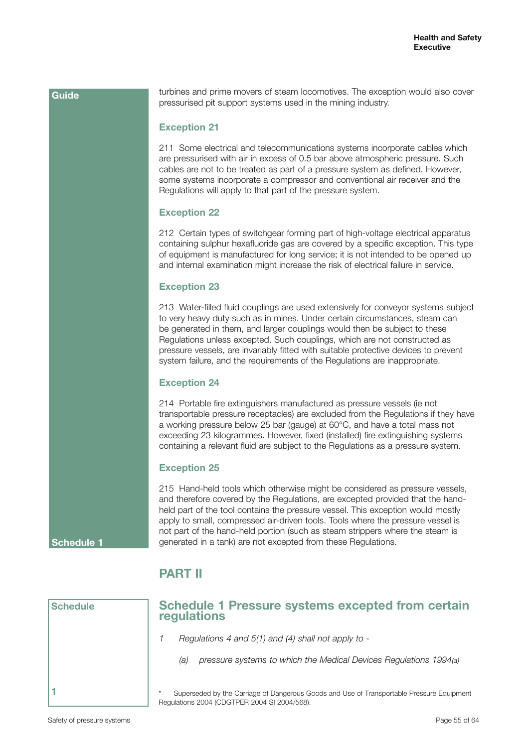#### **Guide**

turbines and prime movers of steam locomotives. The exception would also cover pressurised pit support systems used in the mining industry.

#### **Exception 21**

211 Some electrical and telecommunications systems incorporate cables which are pressurised with air in excess of 0.5 bar above atmospheric pressure. Such cables are not to be treated as part of a pressure system as defined. However, some systems incorporate a compressor and conventional air receiver and the Regulations will apply to that part of the pressure system.

#### **Exception 22**

212 Certain types of switchgear forming part of high-voltage electrical apparatus containing sulphur hexafluoride gas are covered by a specific exception. This type of equipment is manufactured for long service; it is not intended to be opened up and internal examination might increase the risk of electrical failure in service.

#### **Exception 23**

213 Water-filled fluid couplings are used extensively for conveyor systems subject to very heavy duty such as in mines. Under certain circumstances, steam can be generated in them, and larger couplings would then be subject to these Regulations unless excepted. Such couplings, which are not constructed as pressure vessels, are invariably fitted with suitable protective devices to prevent system failure, and the requirements of the Regulations are inappropriate.

#### **Exception 24**

214 Portable fire extinguishers manufactured as pressure vessels (ie not transportable pressure receptacles) are excluded from the Regulations if they have a working pressure below 25 bar (gauge) at 60°C, and have a total mass not exceeding 23 kilogrammes. However, fixed (installed) fire extinguishing systems containing a relevant fluid are subject to the Regulations as a pressure system.

#### **Exception 25**

**PART II**

215 Hand-held tools which otherwise might be considered as pressure vessels, and therefore covered by the Regulations, are excepted provided that the handheld part of the tool contains the pressure vessel. This exception would mostly apply to small, compressed air-driven tools. Tools where the pressure vessel is not part of the hand-held portion (such as steam strippers where the steam is generated in a tank) are not excepted from these Regulations.

| <b>Schedule</b> | <b>Schedule 1 Pressure systems excepted from certain</b><br>regulations                                                                              |
|-----------------|------------------------------------------------------------------------------------------------------------------------------------------------------|
|                 | Regulations 4 and $5(1)$ and (4) shall not apply to -                                                                                                |
|                 | pressure systems to which the Medical Devices Regulations 1994(a)<br>(a)                                                                             |
|                 | Superseded by the Carriage of Dangerous Goods and Use of Transportable Pressure Equipment<br>$\star$<br>Regulations 2004 (CDGTPER 2004 SI 2004/568). |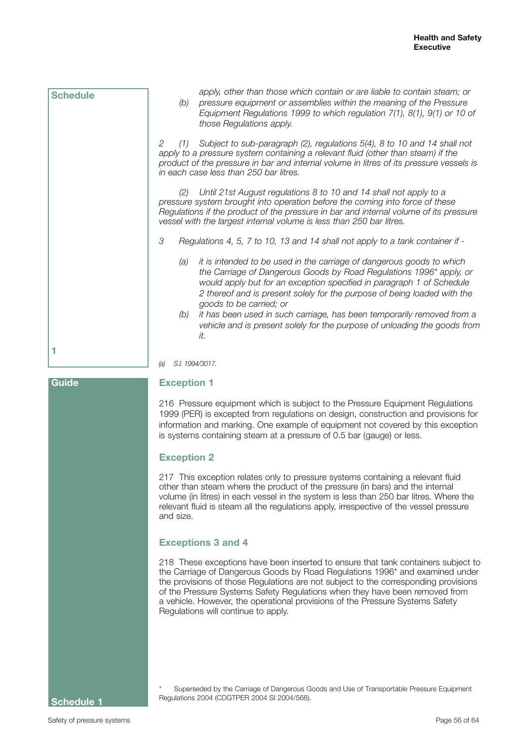| <b>Schedule</b> |                                                                          |
|-----------------|--------------------------------------------------------------------------|
|                 | $\mathfrak{2}% \left( \mathfrak{2}\right) ^{2}$<br>appl<br>proc<br>in ea |
|                 | pres<br>Regi<br>vess                                                     |
|                 | 3                                                                        |

*apply, other than those which contain or are liable to contain steam; or*

*(b) pressure equipment or assemblies within the meaning of the Pressure Equipment Regulations 1999 to which regulation 7(1), 8(1), 9(1) or 10 of those Regulations apply.*

*2 (1) Subject to sub-paragraph (2), regulations 5(4), 8 to 10 and 14 shall not ly to a pressure system containing a relevant fluid (other than steam) if the product of the pressure in bar and internal volume in litres of its pressure vessels is in each case less than 250 bar litres.*

*(2) Until 21st August regulations 8 to 10 and 14 shall not apply to a*  **pressure system brought into operation before the coming into force of these** *Regulations if the product of the pressure in bar and internal volume of its pressure vel with the largest internal volume is less than 250 bar litres.* 

- *3 Regulations 4, 5, 7 to 10, 13 and 14 shall not apply to a tank container if* 
	- *(a) it is intended to be used in the carriage of dangerous goods to which the Carriage of Dangerous Goods by Road Regulations 1996\* apply, or would apply but for an exception specified in paragraph 1 of Schedule 2 thereof and is present solely for the purpose of being loaded with the goods to be carried; or*
	- *(b) it has been used in such carriage, has been temporarily removed from a vehicle and is present solely for the purpose of unloading the goods from it.*

*(a) S.I. 1994/3017.*

#### **Exception 1**

216 Pressure equipment which is subject to the Pressure Equipment Regulations 1999 (PER) is excepted from regulations on design, construction and provisions for information and marking. One example of equipment not covered by this exception is systems containing steam at a pressure of 0.5 bar (gauge) or less.

### **Exception 2**

217 This exception relates only to pressure systems containing a relevant fluid other than steam where the product of the pressure (in bars) and the internal volume (in litres) in each vessel in the system is less than 250 bar litres. Where the relevant fluid is steam all the regulations apply, irrespective of the vessel pressure and size.

#### **Exceptions 3 and 4**

218 These exceptions have been inserted to ensure that tank containers subject to the Carriage of Dangerous Goods by Road Regulations 1996\* and examined under the provisions of those Regulations are not subject to the corresponding provisions of the Pressure Systems Safety Regulations when they have been removed from a vehicle. However, the operational provisions of the Pressure Systems Safety Regulations will continue to apply.

Superseded by the Carriage of Dangerous Goods and Use of Transportable Pressure Equipment Regulations 2004 (CDGTPER 2004 SI 2004/568).

 **Guide**

**1**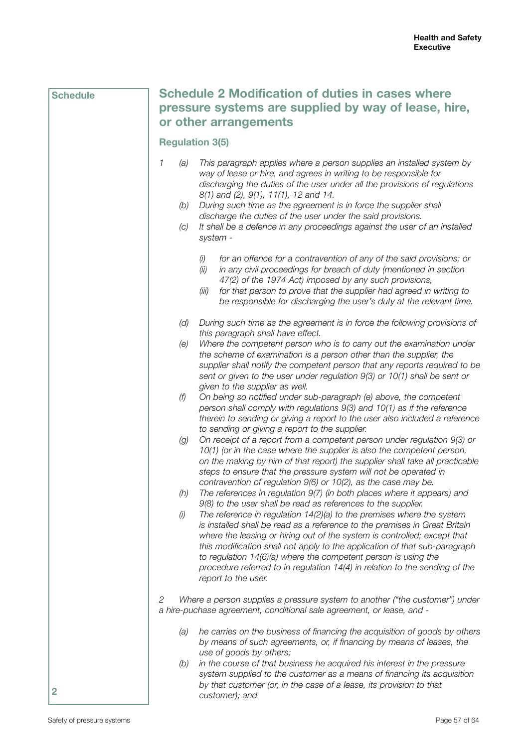#### **Schedule**

# **Schedule 2 Modification of duties in cases where pressure systems are supplied by way of lease, hire, or other arrangements**

### **Regulation 3(5)**

|   |                   | <b>Regulation 5(5)</b>                                                                                                                                                                                                                                                                                                                                                                                                                                                                        |
|---|-------------------|-----------------------------------------------------------------------------------------------------------------------------------------------------------------------------------------------------------------------------------------------------------------------------------------------------------------------------------------------------------------------------------------------------------------------------------------------------------------------------------------------|
| 1 | (a)<br>(b)<br>(C) | This paragraph applies where a person supplies an installed system by<br>way of lease or hire, and agrees in writing to be responsible for<br>discharging the duties of the user under all the provisions of regulations<br>8(1) and (2), 9(1), 11(1), 12 and 14.<br>During such time as the agreement is in force the supplier shall<br>discharge the duties of the user under the said provisions.<br>It shall be a defence in any proceedings against the user of an installed<br>system - |
|   |                   | for an offence for a contravention of any of the said provisions; or<br>(i)<br>in any civil proceedings for breach of duty (mentioned in section<br>(ii)<br>47(2) of the 1974 Act) imposed by any such provisions,<br>for that person to prove that the supplier had agreed in writing to<br>(iii)<br>be responsible for discharging the user's duty at the relevant time.                                                                                                                    |
|   | (d)               | During such time as the agreement is in force the following provisions of                                                                                                                                                                                                                                                                                                                                                                                                                     |
|   | (e)               | this paragraph shall have effect.<br>Where the competent person who is to carry out the examination under<br>the scheme of examination is a person other than the supplier, the<br>supplier shall notify the competent person that any reports required to be<br>sent or given to the user under regulation 9(3) or 10(1) shall be sent or<br>given to the supplier as well.                                                                                                                  |
|   | (f)               | On being so notified under sub-paragraph (e) above, the competent<br>person shall comply with regulations 9(3) and 10(1) as if the reference<br>therein to sending or giving a report to the user also included a reference<br>to sending or giving a report to the supplier.                                                                                                                                                                                                                 |
|   | (g)               | On receipt of a report from a competent person under regulation 9(3) or<br>10(1) (or in the case where the supplier is also the competent person,<br>on the making by him of that report) the supplier shall take all practicable<br>steps to ensure that the pressure system will not be operated in<br>contravention of regulation 9(6) or 10(2), as the case may be.                                                                                                                       |
|   | (h)               | The references in regulation 9(7) (in both places where it appears) and<br>9(8) to the user shall be read as references to the supplier.                                                                                                                                                                                                                                                                                                                                                      |
|   | (i)               | The reference in regulation $14(2)(a)$ to the premises where the system<br>is installed shall be read as a reference to the premises in Great Britain<br>where the leasing or hiring out of the system is controlled; except that<br>this modification shall not apply to the application of that sub-paragraph<br>to regulation 14(6)(a) where the competent person is using the<br>procedure referred to in regulation 14(4) in relation to the sending of the<br>report to the user.       |
| 2 |                   | Where a person supplies a pressure system to another ("the customer") under<br>a hire-puchase agreement, conditional sale agreement, or lease, and -                                                                                                                                                                                                                                                                                                                                          |
|   | (a)               | he carries on the business of financing the acquisition of goods by others<br>by means of such agreements, or, if financing by means of leases, the<br>use of goods by others;                                                                                                                                                                                                                                                                                                                |
|   | (b)               | in the course of that business he acquired his interest in the pressure<br>system supplied to the customer as a means of financing its acquisition<br>by that customer (or, in the case of a lease, its provision to that                                                                                                                                                                                                                                                                     |

*customer); and*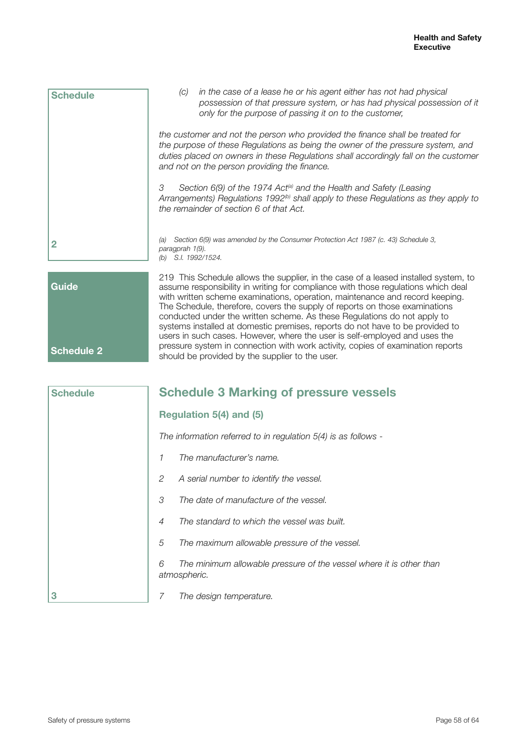| <b>Schedule</b> | in the case of a lease he or his agent either has not had physical<br>(C)<br>possession of that pressure system, or has had physical possession of it<br>only for the purpose of passing it on to the customer,                                                                                         |
|-----------------|---------------------------------------------------------------------------------------------------------------------------------------------------------------------------------------------------------------------------------------------------------------------------------------------------------|
|                 | the customer and not the person who provided the finance shall be treated for<br>the purpose of these Regulations as being the owner of the pressure system, and<br>duties placed on owners in these Regulations shall accordingly fall on the customer<br>and not on the person providing the finance. |
|                 | 3<br>Section 6(9) of the 1974 Act <sup>(a)</sup> and the Health and Safety (Leasing<br>Arrangements) Regulations 1992 <sup>(b)</sup> shall apply to these Regulations as they apply to<br>the remainder of section 6 of that Act.                                                                       |
|                 | Section 6(9) was amended by the Consumer Protection Act 1987 (c. 43) Schedule 3,<br>paragprah 1(9).<br>S.I. 1992/1524.                                                                                                                                                                                  |

219 This Schedule allows the supplier, in the case of a leased installed system, to assume responsibility in writing for compliance with those regulations which deal with written scheme examinations, operation, maintenance and record keeping. The Schedule, therefore, covers the supply of reports on those examinations conducted under the written scheme. As these Regulations do not apply to systems installed at domestic premises, reports do not have to be provided to users in such cases. However, where the user is self-employed and uses the pressure system in connection with work activity, copies of examination reports should be provided by the supplier to the user.

| <b>Schedule</b> | <b>Schedule 3 Marking of pressure vessels</b>                                            |
|-----------------|------------------------------------------------------------------------------------------|
|                 | Regulation 5(4) and (5)                                                                  |
|                 | The information referred to in regulation 5(4) is as follows -                           |
|                 | 1<br>The manufacturer's name.                                                            |
|                 | 2<br>A serial number to identify the vessel.                                             |
|                 | 3<br>The date of manufacture of the vessel.                                              |
|                 | The standard to which the vessel was built.<br>$\overline{4}$                            |
|                 | 5<br>The maximum allowable pressure of the vessel.                                       |
|                 | 6<br>The minimum allowable pressure of the vessel where it is other than<br>atmospheric. |
| з               | 7<br>The design temperature.                                                             |

 **Guide**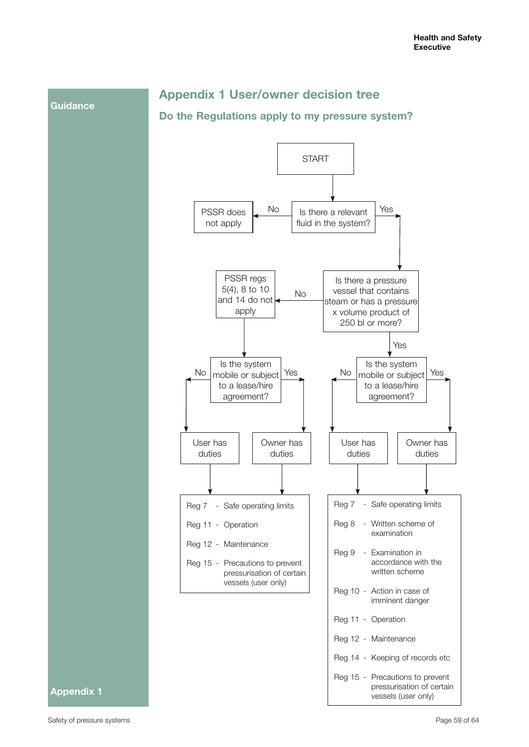### **Appendix 1 User/owner decision tree**

#### **Do the Regulations apply to my pressure system?**



**Guidance**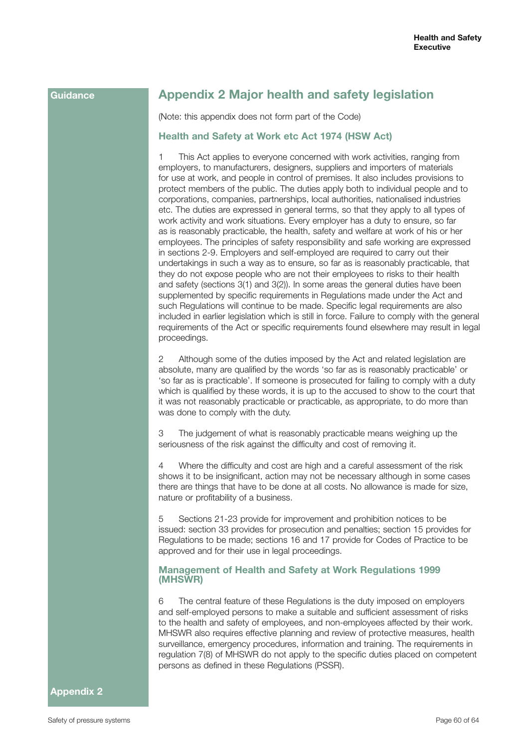## **Appendix 2 Major health and safety legislation**

(Note: this appendix does not form part of the Code)

#### **Health and Safety at Work etc Act 1974 (HSW Act)**

1 This Act applies to everyone concerned with work activities, ranging from employers, to manufacturers, designers, suppliers and importers of materials for use at work, and people in control of premises. It also includes provisions to protect members of the public. The duties apply both to individual people and to corporations, companies, partnerships, local authorities, nationalised industries etc. The duties are expressed in general terms, so that they apply to all types of work activity and work situations. Every employer has a duty to ensure, so far as is reasonably practicable, the health, safety and welfare at work of his or her employees. The principles of safety responsibility and safe working are expressed in sections 2-9. Employers and self-employed are required to carry out their undertakings in such a way as to ensure, so far as is reasonably practicable, that they do not expose people who are not their employees to risks to their health and safety (sections 3(1) and 3(2)). In some areas the general duties have been supplemented by specific requirements in Regulations made under the Act and such Regulations will continue to be made. Specific legal requirements are also included in earlier legislation which is still in force. Failure to comply with the general requirements of the Act or specific requirements found elsewhere may result in legal proceedings.

2 Although some of the duties imposed by the Act and related legislation are absolute, many are qualified by the words 'so far as is reasonably practicable' or 'so far as is practicable'. If someone is prosecuted for failing to comply with a duty which is qualified by these words, it is up to the accused to show to the court that it was not reasonably practicable or practicable, as appropriate, to do more than was done to comply with the duty.

3 The judgement of what is reasonably practicable means weighing up the seriousness of the risk against the difficulty and cost of removing it.

4 Where the difficulty and cost are high and a careful assessment of the risk shows it to be insignificant, action may not be necessary although in some cases there are things that have to be done at all costs. No allowance is made for size, nature or profitability of a business.

5 Sections 21-23 provide for improvement and prohibition notices to be issued: section 33 provides for prosecution and penalties; section 15 provides for Regulations to be made; sections 16 and 17 provide for Codes of Practice to be approved and for their use in legal proceedings.

#### **Management of Health and Safety at Work Regulations 1999 (MHSWR)**

6 The central feature of these Regulations is the duty imposed on employers and self-employed persons to make a suitable and sufficient assessment of risks to the health and safety of employees, and non-employees affected by their work. MHSWR also requires effective planning and review of protective measures, health surveillance, emergency procedures, information and training. The requirements in regulation 7(8) of MHSWR do not apply to the specific duties placed on competent persons as defined in these Regulations (PSSR).

#### **Appendix 2**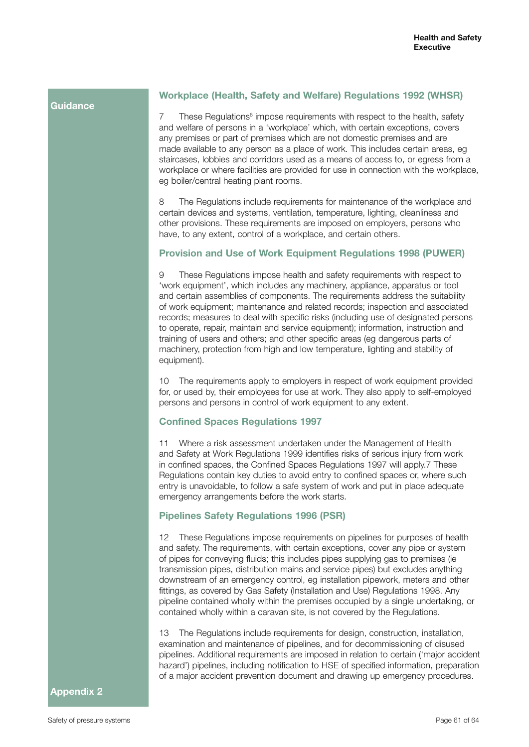#### **Guidance**

#### **Workplace (Health, Safety and Welfare) Regulations 1992 (WHSR)**

7 These Regulations<sup>6</sup> impose requirements with respect to the health, safety and welfare of persons in a 'workplace' which, with certain exceptions, covers any premises or part of premises which are not domestic premises and are made available to any person as a place of work. This includes certain areas, eg staircases, lobbies and corridors used as a means of access to, or egress from a workplace or where facilities are provided for use in connection with the workplace, eg boiler/central heating plant rooms.

8 The Regulations include requirements for maintenance of the workplace and certain devices and systems, ventilation, temperature, lighting, cleanliness and other provisions. These requirements are imposed on employers, persons who have, to any extent, control of a workplace, and certain others.

#### **Provision and Use of Work Equipment Regulations 1998 (PUWER)**

9 These Regulations impose health and safety requirements with respect to 'work equipment', which includes any machinery, appliance, apparatus or tool and certain assemblies of components. The requirements address the suitability of work equipment; maintenance and related records; inspection and associated records; measures to deal with specific risks (including use of designated persons to operate, repair, maintain and service equipment); information, instruction and training of users and others; and other specific areas (eg dangerous parts of machinery, protection from high and low temperature, lighting and stability of equipment).

10 The requirements apply to employers in respect of work equipment provided for, or used by, their employees for use at work. They also apply to self-employed persons and persons in control of work equipment to any extent.

#### **Confined Spaces Regulations 1997**

11 Where a risk assessment undertaken under the Management of Health and Safety at Work Regulations 1999 identifies risks of serious injury from work in confined spaces, the Confined Spaces Regulations 1997 will apply.7 These Regulations contain key duties to avoid entry to confined spaces or, where such entry is unavoidable, to follow a safe system of work and put in place adequate emergency arrangements before the work starts.

#### **Pipelines Safety Regulations 1996 (PSR)**

12 These Regulations impose requirements on pipelines for purposes of health and safety. The requirements, with certain exceptions, cover any pipe or system of pipes for conveying fluids; this includes pipes supplying gas to premises (ie transmission pipes, distribution mains and service pipes) but excludes anything downstream of an emergency control, eg installation pipework, meters and other fittings, as covered by Gas Safety (Installation and Use) Regulations 1998. Any pipeline contained wholly within the premises occupied by a single undertaking, or contained wholly within a caravan site, is not covered by the Regulations.

13 The Regulations include requirements for design, construction, installation, examination and maintenance of pipelines, and for decommissioning of disused pipelines. Additional requirements are imposed in relation to certain ('major accident hazard') pipelines, including notification to HSE of specified information, preparation of a major accident prevention document and drawing up emergency procedures.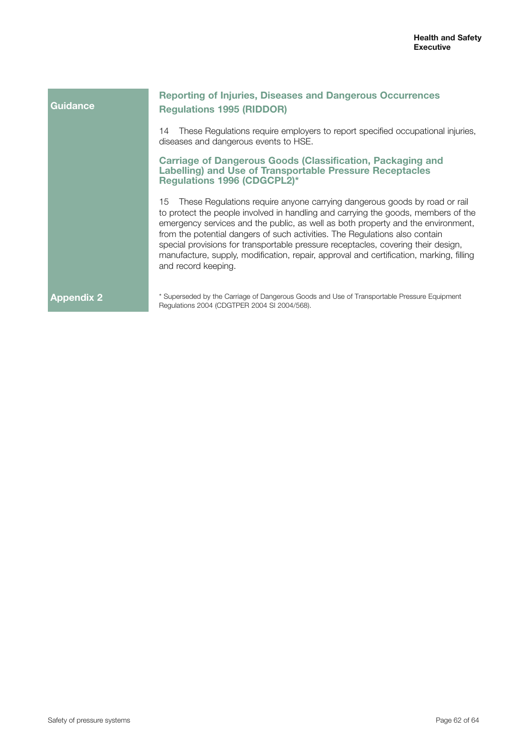| Guidance          | <b>Reporting of Injuries, Diseases and Dangerous Occurrences</b><br><b>Regulations 1995 (RIDDOR)</b>                                                                                                                                                                                                                                                                                                                                                                                                                                           |
|-------------------|------------------------------------------------------------------------------------------------------------------------------------------------------------------------------------------------------------------------------------------------------------------------------------------------------------------------------------------------------------------------------------------------------------------------------------------------------------------------------------------------------------------------------------------------|
|                   | These Regulations require employers to report specified occupational injuries,<br>14<br>diseases and dangerous events to HSE.                                                                                                                                                                                                                                                                                                                                                                                                                  |
|                   | <b>Carriage of Dangerous Goods (Classification, Packaging and</b><br><b>Labelling) and Use of Transportable Pressure Receptacles</b><br>Regulations 1996 (CDGCPL2)*                                                                                                                                                                                                                                                                                                                                                                            |
|                   | These Regulations require anyone carrying dangerous goods by road or rail<br>15<br>to protect the people involved in handling and carrying the goods, members of the<br>emergency services and the public, as well as both property and the environment,<br>from the potential dangers of such activities. The Regulations also contain<br>special provisions for transportable pressure receptacles, covering their design,<br>manufacture, supply, modification, repair, approval and certification, marking, filling<br>and record keeping. |
| <b>Appendix 2</b> | * Superseded by the Carriage of Dangerous Goods and Use of Transportable Pressure Equipment<br>Regulations 2004 (CDGTPER 2004 SI 2004/568).                                                                                                                                                                                                                                                                                                                                                                                                    |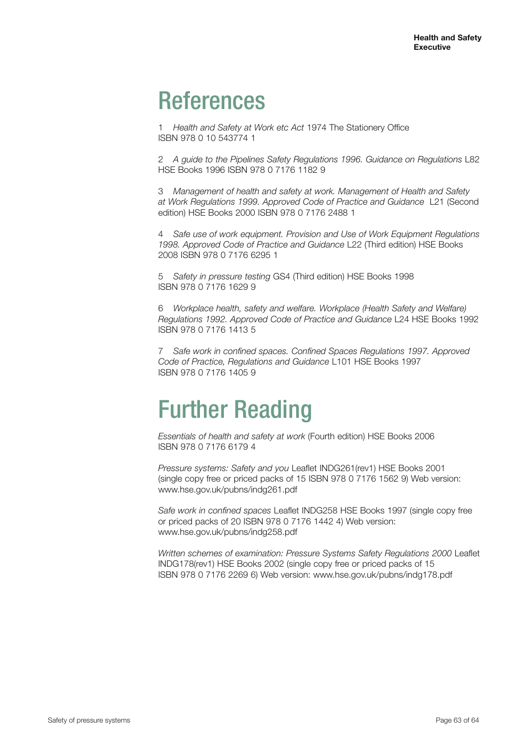# References

1 *Health and Safety at Work etc Act* 1974 The Stationery Office ISBN 978 0 10 543774 1

2 *A guide to the Pipelines Safety Regulations 1996. Guidance on Regulations* L82 HSE Books 1996 ISBN 978 0 7176 1182 9

3 *Management of health and safety at work. Management of Health and Safety at Work Regulations 1999. Approved Code of Practice and Guidance* L21 (Second edition) HSE Books 2000 ISBN 978 0 7176 2488 1

4 *Safe use of work equipment. Provision and Use of Work Equipment Regulations 1998. Approved Code of Practice and Guidance* L22 (Third edition) HSE Books 2008 ISBN 978 0 7176 6295 1

5 *Safety in pressure testing* GS4 (Third edition) HSE Books 1998 ISBN 978 0 7176 1629 9

6 *Workplace health, safety and welfare. Workplace (Health Safety and Welfare) Regulations 1992. Approved Code of Practice and Guidance* L24 HSE Books 1992 ISBN 978 0 7176 1413 5

7 *Safe work in confined spaces. Confined Spaces Regulations 1997. Approved Code of Practice, Regulations and Guidance* L101 HSE Books 1997 ISBN 978 0 7176 1405 9

# Further Reading

*Essentials of health and safety at work* (Fourth edition) HSE Books 2006 ISBN 978 0 7176 6179 4

*Pressure systems: Safety and you* Leaflet INDG261(rev1) HSE Books 2001 (single copy free or priced packs of 15 ISBN 978 0 7176 1562 9) Web version: www.hse.gov.uk/pubns/indg261.pdf

*Safe work in confined spaces* Leaflet INDG258 HSE Books 1997 (single copy free or priced packs of 20 ISBN 978 0 7176 1442 4) Web version: www.hse.gov.uk/pubns/indg258.pdf

*Written schemes of examination: Pressure Systems Safety Regulations 2000* Leaflet INDG178(rev1) HSE Books 2002 (single copy free or priced packs of 15 ISBN 978 0 7176 2269 6) Web version: www.hse.gov.uk/pubns/indg178.pdf